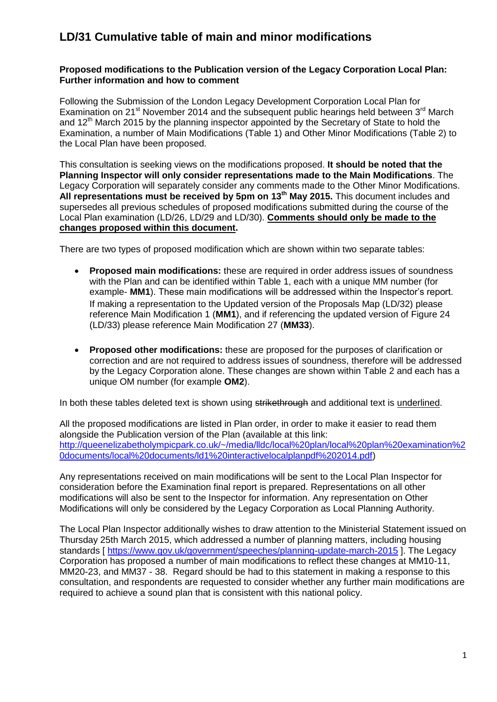#### **Proposed modifications to the Publication version of the Legacy Corporation Local Plan: Further information and how to comment**

Following the Submission of the London Legacy Development Corporation Local Plan for Examination on 21<sup>st</sup> November 2014 and the subsequent public hearings held between 3<sup>rd</sup> March and 12<sup>th</sup> March 2015 by the planning inspector appointed by the Secretary of State to hold the Examination, a number of Main Modifications (Table 1) and Other Minor Modifications (Table 2) to the Local Plan have been proposed.

This consultation is seeking views on the modifications proposed. **It should be noted that the Planning Inspector will only consider representations made to the Main Modifications**. The Legacy Corporation will separately consider any comments made to the Other Minor Modifications. **All representations must be received by 5pm on 13th May 2015.** This document includes and supersedes all previous schedules of proposed modifications submitted during the course of the Local Plan examination (LD/26, LD/29 and LD/30). **Comments should only be made to the changes proposed within this document.**

There are two types of proposed modification which are shown within two separate tables:

- **Proposed main modifications:** these are required in order address issues of soundness with the Plan and can be identified within Table 1, each with a unique MM number (for example- **MM1**). These main modifications will be addressed within the Inspector's report. If making a representation to the Updated version of the Proposals Map (LD/32) please reference Main Modification 1 (**MM1**), and if referencing the updated version of Figure 24 (LD/33) please reference Main Modification 27 (**MM33**).
- **Proposed other modifications:** these are proposed for the purposes of clarification or correction and are not required to address issues of soundness, therefore will be addressed by the Legacy Corporation alone. These changes are shown within Table 2 and each has a unique OM number (for example **OM2**).

In both these tables deleted text is shown using strikethrough and additional text is underlined.

All the proposed modifications are listed in Plan order, in order to make it easier to read them alongside the Publication version of the Plan (available at this link: [http://queenelizabetholympicpark.co.uk/~/media/lldc/local%20plan/local%20plan%20examination%2](http://queenelizabetholympicpark.co.uk/~/media/lldc/local%20plan/local%20plan%20examination%20documents/local%20documents/ld1%20interactivelocalplanpdf%202014.pdf) [0documents/local%20documents/ld1%20interactivelocalplanpdf%202014.pdf\)](http://queenelizabetholympicpark.co.uk/~/media/lldc/local%20plan/local%20plan%20examination%20documents/local%20documents/ld1%20interactivelocalplanpdf%202014.pdf)

Any representations received on main modifications will be sent to the Local Plan Inspector for consideration before the Examination final report is prepared. Representations on all other modifications will also be sent to the Inspector for information. Any representation on Other Modifications will only be considered by the Legacy Corporation as Local Planning Authority.

The Local Plan Inspector additionally wishes to draw attention to the Ministerial Statement issued on Thursday 25th March 2015, which addressed a number of planning matters, including housing standards [ <https://www.gov.uk/government/speeches/planning-update-march-2015> ]. The Legacy Corporation has proposed a number of main modifications to reflect these changes at MM10-11, MM20-23, and MM37 - 38. Regard should be had to this statement in making a response to this consultation, and respondents are requested to consider whether any further main modifications are required to achieve a sound plan that is consistent with this national policy.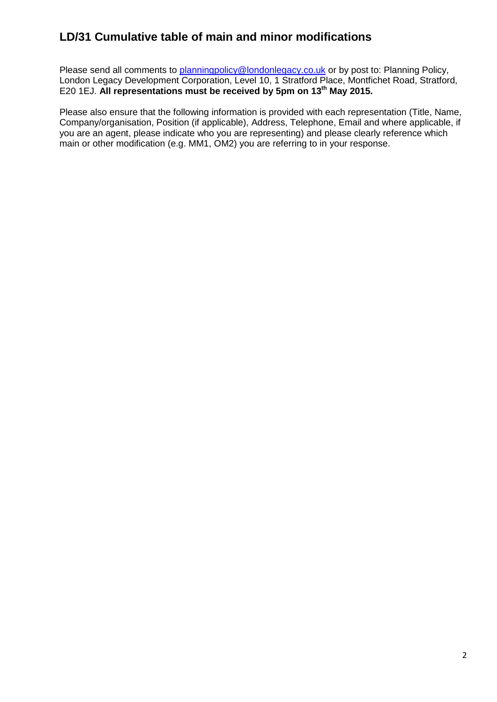Please send all comments to [planningpolicy@londonlegacy.co.uk](mailto:planningpolicy@londonlegacy.co.uk) or by post to: Planning Policy, London Legacy Development Corporation, Level 10, 1 Stratford Place, Montfichet Road, Stratford, E20 1EJ. **All representations must be received by 5pm on 13th May 2015.** 

Please also ensure that the following information is provided with each representation (Title, Name, Company/organisation, Position (if applicable), Address, Telephone, Email and where applicable, if you are an agent, please indicate who you are representing) and please clearly reference which main or other modification (e.g. MM1, OM2) you are referring to in your response.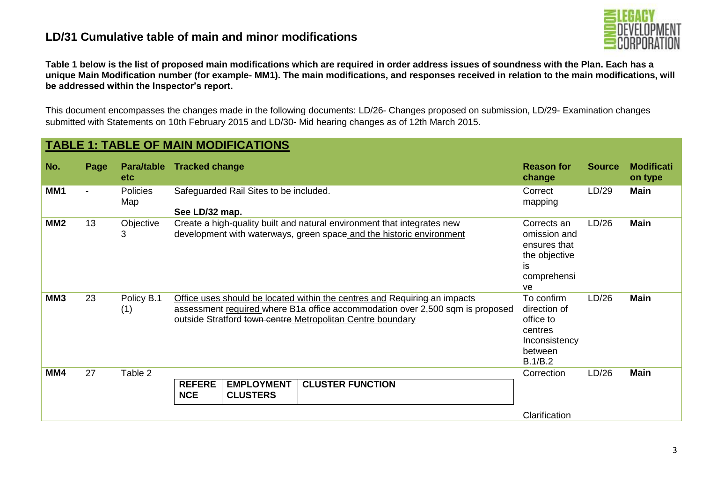

**Table 1 below is the list of proposed main modifications which are required in order address issues of soundness with the Plan. Each has a unique Main Modification number (for example- MM1). The main modifications, and responses received in relation to the main modifications, will be addressed within the Inspector's report.** 

This document encompasses the changes made in the following documents: LD/26- Changes proposed on submission, LD/29- Examination changes submitted with Statements on 10th February 2015 and LD/30- Mid hearing changes as of 12th March 2015.

| No.<br>Page<br>Para/table<br><b>Tracked change</b><br>etc.<br>MM1<br><b>Policies</b><br>Safeguarded Rail Sites to be included.<br>Map<br>See LD/32 map.<br>MM <sub>2</sub><br>13<br>Create a high-quality built and natural environment that integrates new<br>Objective<br>development with waterways, green space and the historic environment<br>3<br>is<br>ve<br>23<br>MM <sub>3</sub><br>Policy B.1<br>Office uses should be located within the centres and Requiring an impacts<br>assessment required where B1a office accommodation over 2,500 sqm is proposed<br>(1)<br>outside Stratford town centre Metropolitan Centre boundary | <b>TABLE 1: TABLE OF MAIN MODIFICATIONS</b> |                                                                                           |                      |                              |  |  |  |  |  |  |  |
|---------------------------------------------------------------------------------------------------------------------------------------------------------------------------------------------------------------------------------------------------------------------------------------------------------------------------------------------------------------------------------------------------------------------------------------------------------------------------------------------------------------------------------------------------------------------------------------------------------------------------------------------|---------------------------------------------|-------------------------------------------------------------------------------------------|----------------------|------------------------------|--|--|--|--|--|--|--|
|                                                                                                                                                                                                                                                                                                                                                                                                                                                                                                                                                                                                                                             |                                             | <b>Reason for</b><br>change                                                               | <b>Source</b>        | <b>Modificati</b><br>on type |  |  |  |  |  |  |  |
|                                                                                                                                                                                                                                                                                                                                                                                                                                                                                                                                                                                                                                             |                                             | Correct<br>mapping                                                                        | <b>Main</b><br>LD/29 |                              |  |  |  |  |  |  |  |
|                                                                                                                                                                                                                                                                                                                                                                                                                                                                                                                                                                                                                                             |                                             | Corrects an<br>omission and<br>ensures that<br>the objective<br>comprehensi               | <b>Main</b><br>LD/26 |                              |  |  |  |  |  |  |  |
|                                                                                                                                                                                                                                                                                                                                                                                                                                                                                                                                                                                                                                             |                                             | To confirm<br>direction of<br>office to<br>centres<br>Inconsistency<br>between<br>B.1/B.2 | LD/26<br><b>Main</b> |                              |  |  |  |  |  |  |  |
| MM4<br>27<br>Table 2<br><b>REFERE</b><br><b>EMPLOYMENT</b><br><b>CLUSTER FUNCTION</b><br><b>NCE</b><br><b>CLUSTERS</b>                                                                                                                                                                                                                                                                                                                                                                                                                                                                                                                      |                                             | Correction<br>Clarification                                                               | LD/26<br><b>Main</b> |                              |  |  |  |  |  |  |  |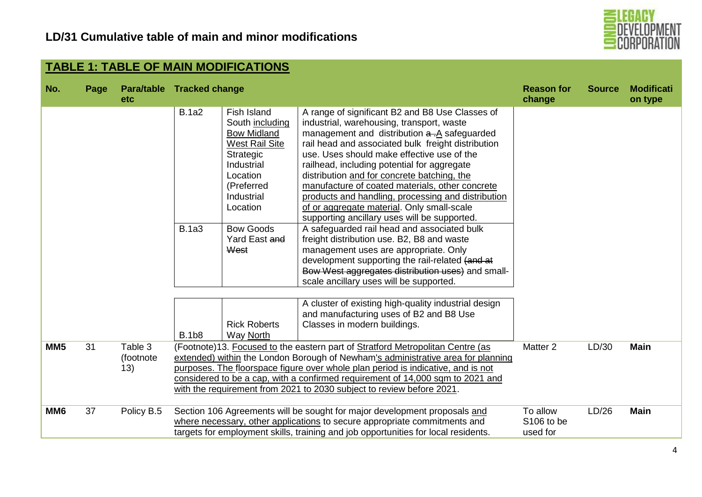

|                 | <b>I ABLE 1: I ABLE OF MAIN MODIFICATIONS</b> |                                   |                                              |                                                                                                                                                                                                                                                      |                                                                                                                                                                                                                                                                                                                                                                                                                                                                                                                                                                                                                                                                                                                                                                                                                                                                                                                                                                                   |                                    |               |                              |  |  |
|-----------------|-----------------------------------------------|-----------------------------------|----------------------------------------------|------------------------------------------------------------------------------------------------------------------------------------------------------------------------------------------------------------------------------------------------------|-----------------------------------------------------------------------------------------------------------------------------------------------------------------------------------------------------------------------------------------------------------------------------------------------------------------------------------------------------------------------------------------------------------------------------------------------------------------------------------------------------------------------------------------------------------------------------------------------------------------------------------------------------------------------------------------------------------------------------------------------------------------------------------------------------------------------------------------------------------------------------------------------------------------------------------------------------------------------------------|------------------------------------|---------------|------------------------------|--|--|
| No.             | Page                                          | Para/table Tracked change<br>etc. |                                              |                                                                                                                                                                                                                                                      |                                                                                                                                                                                                                                                                                                                                                                                                                                                                                                                                                                                                                                                                                                                                                                                                                                                                                                                                                                                   | <b>Reason for</b><br>change        | <b>Source</b> | <b>Modificati</b><br>on type |  |  |
|                 |                                               |                                   | <b>B.1a2</b><br><b>B.1a3</b><br><b>B.1b8</b> | Fish Island<br>South including<br><b>Bow Midland</b><br><b>West Rail Site</b><br>Strategic<br>Industrial<br>Location<br>(Preferred<br>Industrial<br>Location<br><b>Bow Goods</b><br>Yard East and<br>West<br><b>Rick Roberts</b><br><b>Way North</b> | A range of significant B2 and B8 Use Classes of<br>industrial, warehousing, transport, waste<br>management and distribution a -A safeguarded<br>rail head and associated bulk freight distribution<br>use. Uses should make effective use of the<br>railhead, including potential for aggregate<br>distribution and for concrete batching, the<br>manufacture of coated materials, other concrete<br>products and handling, processing and distribution<br>of or aggregate material. Only small-scale<br>supporting ancillary uses will be supported.<br>A safeguarded rail head and associated bulk<br>freight distribution use. B2, B8 and waste<br>management uses are appropriate. Only<br>development supporting the rail-related (and at<br>Bow West aggregates distribution uses) and small-<br>scale ancillary uses will be supported.<br>A cluster of existing high-quality industrial design<br>and manufacturing uses of B2 and B8 Use<br>Classes in modern buildings. |                                    |               |                              |  |  |
| MM <sub>5</sub> | 31                                            | Table 3<br>(footnote<br>13)       |                                              |                                                                                                                                                                                                                                                      | (Footnote)13. Focused to the eastern part of Stratford Metropolitan Centre (as<br>extended) within the London Borough of Newham's administrative area for planning<br>purposes. The floorspace figure over whole plan period is indicative, and is not<br>considered to be a cap, with a confirmed requirement of 14,000 sqm to 2021 and<br>with the requirement from 2021 to 2030 subject to review before 2021.                                                                                                                                                                                                                                                                                                                                                                                                                                                                                                                                                                 | Matter <sub>2</sub>                | LD/30         | <b>Main</b>                  |  |  |
| MM <sub>6</sub> | 37                                            | Policy B.5                        |                                              |                                                                                                                                                                                                                                                      | Section 106 Agreements will be sought for major development proposals and<br>where necessary, other applications to secure appropriate commitments and<br>targets for employment skills, training and job opportunities for local residents.                                                                                                                                                                                                                                                                                                                                                                                                                                                                                                                                                                                                                                                                                                                                      | To allow<br>S106 to be<br>used for | LD/26         | <b>Main</b>                  |  |  |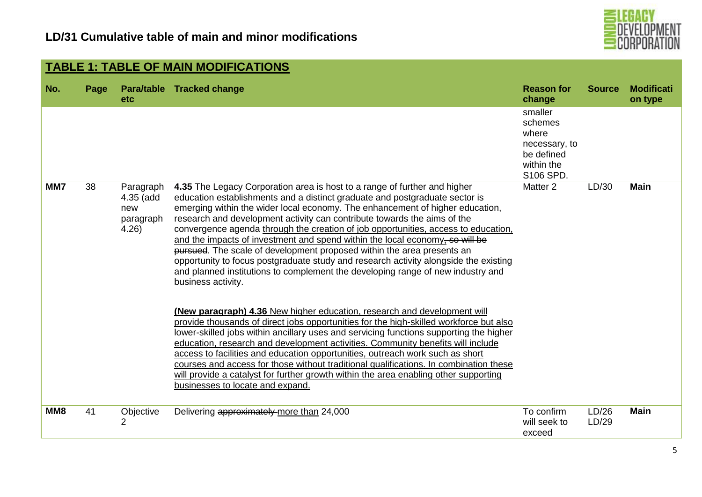

|     | <b>TABLE 1: TABLE OF MAIN MODIFICATIONS</b> |                                                    |                                                                                                                                                                                                                                                                                                                                                                                                                                                                                                                                                                                                                                                                                                                                                                        |                                                                                       |                |                              |  |  |  |  |
|-----|---------------------------------------------|----------------------------------------------------|------------------------------------------------------------------------------------------------------------------------------------------------------------------------------------------------------------------------------------------------------------------------------------------------------------------------------------------------------------------------------------------------------------------------------------------------------------------------------------------------------------------------------------------------------------------------------------------------------------------------------------------------------------------------------------------------------------------------------------------------------------------------|---------------------------------------------------------------------------------------|----------------|------------------------------|--|--|--|--|
| No. | Page                                        | etc.                                               | Para/table Tracked change                                                                                                                                                                                                                                                                                                                                                                                                                                                                                                                                                                                                                                                                                                                                              | <b>Reason for</b><br>change                                                           | <b>Source</b>  | <b>Modificati</b><br>on type |  |  |  |  |
|     |                                             |                                                    |                                                                                                                                                                                                                                                                                                                                                                                                                                                                                                                                                                                                                                                                                                                                                                        | smaller<br>schemes<br>where<br>necessary, to<br>be defined<br>within the<br>S106 SPD. |                |                              |  |  |  |  |
| MM7 | 38                                          | Paragraph<br>4.35 (add<br>new<br>paragraph<br>4.26 | 4.35 The Legacy Corporation area is host to a range of further and higher<br>education establishments and a distinct graduate and postgraduate sector is<br>emerging within the wider local economy. The enhancement of higher education,<br>research and development activity can contribute towards the aims of the<br>convergence agenda through the creation of job opportunities, access to education,<br>and the impacts of investment and spend within the local economy, so will be<br>pursued. The scale of development proposed within the area presents an<br>opportunity to focus postgraduate study and research activity alongside the existing<br>and planned institutions to complement the developing range of new industry and<br>business activity. | Matter <sub>2</sub>                                                                   | LD/30          | <b>Main</b>                  |  |  |  |  |
|     |                                             |                                                    | (New paragraph) 4.36 New higher education, research and development will<br>provide thousands of direct jobs opportunities for the high-skilled workforce but also<br>lower-skilled jobs within ancillary uses and servicing functions supporting the higher<br>education, research and development activities. Community benefits will include<br>access to facilities and education opportunities, outreach work such as short<br>courses and access for those without traditional qualifications. In combination these<br>will provide a catalyst for further growth within the area enabling other supporting<br>businesses to locate and expand.                                                                                                                  |                                                                                       |                |                              |  |  |  |  |
| MM8 | 41                                          | Objective<br>2                                     | Delivering approximately more than 24,000                                                                                                                                                                                                                                                                                                                                                                                                                                                                                                                                                                                                                                                                                                                              | To confirm<br>will seek to<br>exceed                                                  | LD/26<br>LD/29 | <b>Main</b>                  |  |  |  |  |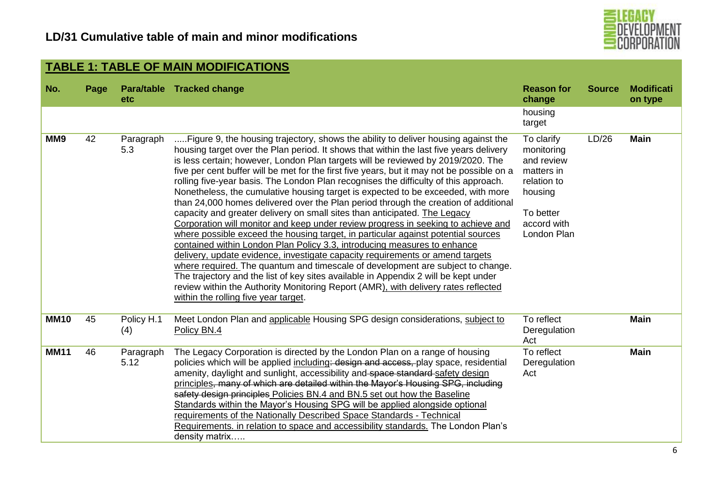

|             | <b>TABLE 1: TABLE OF MAIN MODIFICATIONS</b> |                   |                                                                                                                                                                                                                                                                                                                                                                                                                                                                                                                                                                                                                                                                                                                                                                                                                                                                                                                                                                                                                                                                                                                                                                                                                                                                                                                                                               |                                                                                                                           |               |                              |  |  |  |  |  |  |
|-------------|---------------------------------------------|-------------------|---------------------------------------------------------------------------------------------------------------------------------------------------------------------------------------------------------------------------------------------------------------------------------------------------------------------------------------------------------------------------------------------------------------------------------------------------------------------------------------------------------------------------------------------------------------------------------------------------------------------------------------------------------------------------------------------------------------------------------------------------------------------------------------------------------------------------------------------------------------------------------------------------------------------------------------------------------------------------------------------------------------------------------------------------------------------------------------------------------------------------------------------------------------------------------------------------------------------------------------------------------------------------------------------------------------------------------------------------------------|---------------------------------------------------------------------------------------------------------------------------|---------------|------------------------------|--|--|--|--|--|--|
| No.         | Page                                        | etc               | Para/table Tracked change                                                                                                                                                                                                                                                                                                                                                                                                                                                                                                                                                                                                                                                                                                                                                                                                                                                                                                                                                                                                                                                                                                                                                                                                                                                                                                                                     | <b>Reason for</b><br>change                                                                                               | <b>Source</b> | <b>Modificati</b><br>on type |  |  |  |  |  |  |
|             |                                             |                   |                                                                                                                                                                                                                                                                                                                                                                                                                                                                                                                                                                                                                                                                                                                                                                                                                                                                                                                                                                                                                                                                                                                                                                                                                                                                                                                                                               | housing<br>target                                                                                                         |               |                              |  |  |  |  |  |  |
| MM9         | 42                                          | Paragraph<br>5.3  | Figure 9, the housing trajectory, shows the ability to deliver housing against the<br>housing target over the Plan period. It shows that within the last five years delivery<br>is less certain; however, London Plan targets will be reviewed by 2019/2020. The<br>five per cent buffer will be met for the first five years, but it may not be possible on a<br>rolling five-year basis. The London Plan recognises the difficulty of this approach.<br>Nonetheless, the cumulative housing target is expected to be exceeded, with more<br>than 24,000 homes delivered over the Plan period through the creation of additional<br>capacity and greater delivery on small sites than anticipated. The Legacy<br>Corporation will monitor and keep under review progress in seeking to achieve and<br>where possible exceed the housing target, in particular against potential sources<br>contained within London Plan Policy 3.3, introducing measures to enhance<br>delivery, update evidence, investigate capacity requirements or amend targets<br>where required. The quantum and timescale of development are subject to change.<br>The trajectory and the list of key sites available in Appendix 2 will be kept under<br>review within the Authority Monitoring Report (AMR), with delivery rates reflected<br>within the rolling five year target. | To clarify<br>monitoring<br>and review<br>matters in<br>relation to<br>housing<br>To better<br>accord with<br>London Plan | LD/26         | <b>Main</b>                  |  |  |  |  |  |  |
| <b>MM10</b> | 45                                          | Policy H.1<br>(4) | Meet London Plan and applicable Housing SPG design considerations, subject to<br>Policy BN.4                                                                                                                                                                                                                                                                                                                                                                                                                                                                                                                                                                                                                                                                                                                                                                                                                                                                                                                                                                                                                                                                                                                                                                                                                                                                  | To reflect<br>Deregulation<br>Act                                                                                         |               | <b>Main</b>                  |  |  |  |  |  |  |
| <b>MM11</b> | 46                                          | Paragraph<br>5.12 | The Legacy Corporation is directed by the London Plan on a range of housing<br>policies which will be applied including: design and access, play space, residential<br>amenity, daylight and sunlight, accessibility and space standard safety design<br>principles, many of which are detailed within the Mayor's Housing SPG, including<br>safety design principles Policies BN.4 and BN.5 set out how the Baseline<br>Standards within the Mayor's Housing SPG will be applied alongside optional<br>requirements of the Nationally Described Space Standards - Technical<br>Requirements. in relation to space and accessibility standards. The London Plan's<br>density matrix                                                                                                                                                                                                                                                                                                                                                                                                                                                                                                                                                                                                                                                                           | To reflect<br>Deregulation<br>Act                                                                                         |               | <b>Main</b>                  |  |  |  |  |  |  |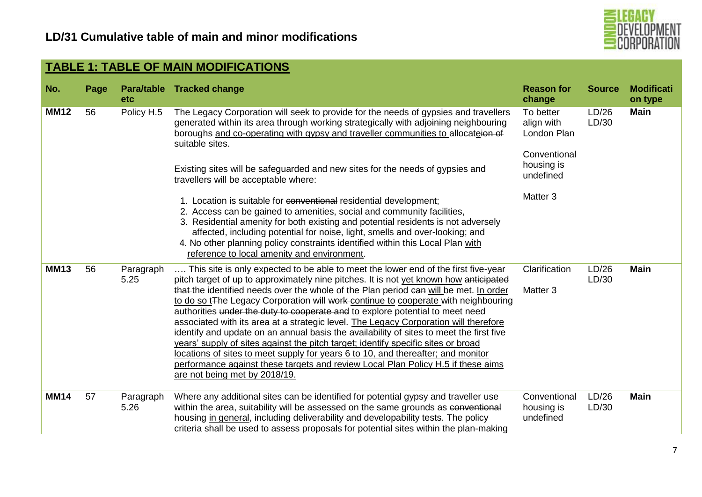

| No.         | Page | etc               | Para/table Tracked change                                                                                                                                                                                                                                                                                                                                                                                                                                                                                                                                                                                                                                                                                                                                                                                                                                                                                                                | <b>Reason for</b><br>change                                                                              | <b>Source</b>  | <b>Modificati</b><br>on type |
|-------------|------|-------------------|------------------------------------------------------------------------------------------------------------------------------------------------------------------------------------------------------------------------------------------------------------------------------------------------------------------------------------------------------------------------------------------------------------------------------------------------------------------------------------------------------------------------------------------------------------------------------------------------------------------------------------------------------------------------------------------------------------------------------------------------------------------------------------------------------------------------------------------------------------------------------------------------------------------------------------------|----------------------------------------------------------------------------------------------------------|----------------|------------------------------|
| <b>MM12</b> | 56   | Policy H.5        | The Legacy Corporation will seek to provide for the needs of gypsies and travellers<br>generated within its area through working strategically with adjoining neighbouring<br>boroughs and co-operating with gypsy and traveller communities to allocateion of<br>suitable sites.<br>Existing sites will be safeguarded and new sites for the needs of gypsies and<br>travellers will be acceptable where:<br>1. Location is suitable for conventional residential development;<br>2. Access can be gained to amenities, social and community facilities,<br>3. Residential amenity for both existing and potential residents is not adversely<br>affected, including potential for noise, light, smells and over-looking; and<br>4. No other planning policy constraints identified within this Local Plan with<br>reference to local amenity and environment.                                                                          | To better<br>align with<br>London Plan<br>Conventional<br>housing is<br>undefined<br>Matter <sub>3</sub> | LD/26<br>LD/30 | <b>Main</b>                  |
| <b>MM13</b> | 56   | Paragraph<br>5.25 | This site is only expected to be able to meet the lower end of the first five-year<br>pitch target of up to approximately nine pitches. It is not yet known how anticipated<br>that the identified needs over the whole of the Plan period can will be met. In order<br>to do so t <sub>The Legacy</sub> Corporation will work-continue to cooperate with neighbouring<br>authorities under the duty to cooperate and to explore potential to meet need<br>associated with its area at a strategic level. The Legacy Corporation will therefore<br>identify and update on an annual basis the availability of sites to meet the first five<br>years' supply of sites against the pitch target; identify specific sites or broad<br>locations of sites to meet supply for years 6 to 10, and thereafter; and monitor<br>performance against these targets and review Local Plan Policy H.5 if these aims<br>are not being met by 2018/19. | Clarification<br>Matter <sub>3</sub>                                                                     | LD/26<br>LD/30 | <b>Main</b>                  |
| MM14        | 57   | Paragraph<br>5.26 | Where any additional sites can be identified for potential gypsy and traveller use<br>within the area, suitability will be assessed on the same grounds as conventional<br>housing in general, including deliverability and developability tests. The policy<br>criteria shall be used to assess proposals for potential sites within the plan-making                                                                                                                                                                                                                                                                                                                                                                                                                                                                                                                                                                                    | Conventional<br>housing is<br>undefined                                                                  | LD/26<br>LD/30 | <b>Main</b>                  |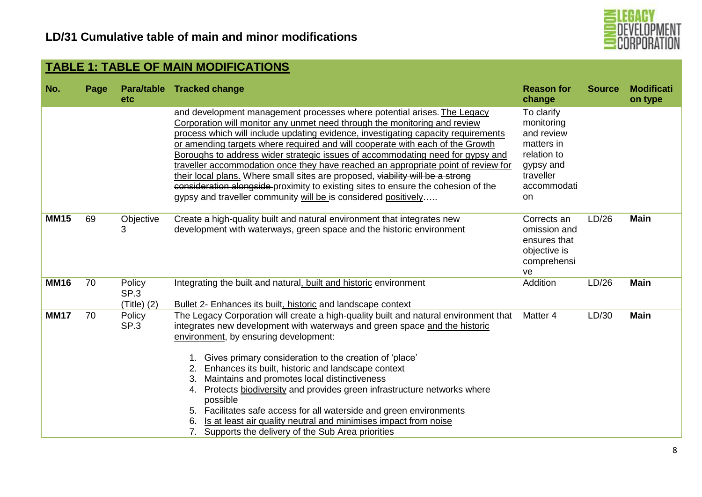

| No.         | Page | <b>etc</b>                    | Para/table Tracked change                                                                                                                                                                                                                                                                                                                                                                                                                                                                                                                                                                                                                                                                                                                 | <b>Reason for</b><br>change                                                                                        | <b>Source</b> | <b>Modificati</b><br>on type |
|-------------|------|-------------------------------|-------------------------------------------------------------------------------------------------------------------------------------------------------------------------------------------------------------------------------------------------------------------------------------------------------------------------------------------------------------------------------------------------------------------------------------------------------------------------------------------------------------------------------------------------------------------------------------------------------------------------------------------------------------------------------------------------------------------------------------------|--------------------------------------------------------------------------------------------------------------------|---------------|------------------------------|
|             |      |                               | and development management processes where potential arises. The Legacy<br>Corporation will monitor any unmet need through the monitoring and review<br>process which will include updating evidence, investigating capacity requirements<br>or amending targets where required and will cooperate with each of the Growth<br>Boroughs to address wider strategic issues of accommodating need for gypsy and<br>traveller accommodation once they have reached an appropriate point of review for<br>their local plans. Where small sites are proposed, viability will be a strong<br>consideration alongside-proximity to existing sites to ensure the cohesion of the<br>gypsy and traveller community will be is considered positively | To clarify<br>monitoring<br>and review<br>matters in<br>relation to<br>gypsy and<br>traveller<br>accommodati<br>on |               |                              |
| <b>MM15</b> | 69   | Objective<br>3                | Create a high-quality built and natural environment that integrates new<br>development with waterways, green space and the historic environment                                                                                                                                                                                                                                                                                                                                                                                                                                                                                                                                                                                           | Corrects an<br>omission and<br>ensures that<br>objective is<br>comprehensi<br>ve                                   | LD/26         | <b>Main</b>                  |
| <b>MM16</b> | 70   | Policy<br>SP.3<br>(Title) (2) | Integrating the built and natural, built and historic environment<br>Bullet 2- Enhances its built, historic and landscape context                                                                                                                                                                                                                                                                                                                                                                                                                                                                                                                                                                                                         | Addition                                                                                                           | LD/26         | <b>Main</b>                  |
| <b>MM17</b> | 70   | Policy<br>SP <sub>3</sub>     | The Legacy Corporation will create a high-quality built and natural environment that<br>integrates new development with waterways and green space and the historic<br>environment, by ensuring development:<br>1. Gives primary consideration to the creation of 'place'<br>2. Enhances its built, historic and landscape context<br>3. Maintains and promotes local distinctiveness<br>4. Protects biodiversity and provides green infrastructure networks where<br>possible<br>5. Facilitates safe access for all waterside and green environments<br>Is at least air quality neutral and minimises impact from noise<br>6.<br>7. Supports the delivery of the Sub Area priorities                                                      | Matter 4                                                                                                           | LD/30         | <b>Main</b>                  |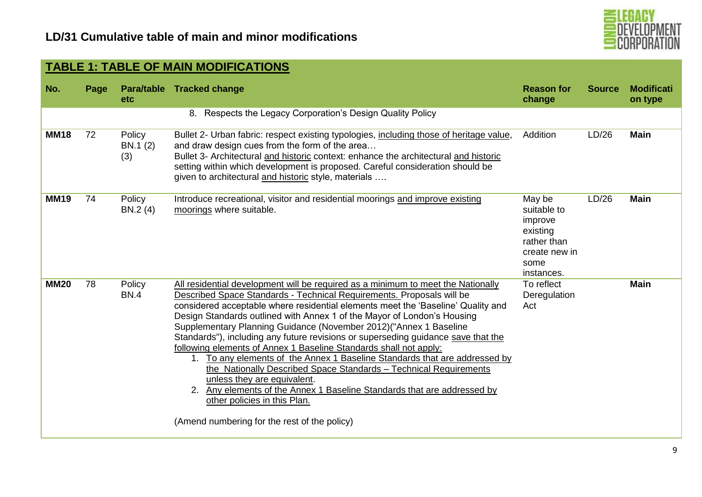

| No.         | Page | etc                       | Para/table Tracked change                                                                                                                                                                                                                                                                                                                                                                                                                                                                                                                                                                                                                                                                                                                                                                                                                                                                             | <b>Reason for</b><br>change                                                                        | <b>Source</b> | <b>Modificati</b><br>on type |
|-------------|------|---------------------------|-------------------------------------------------------------------------------------------------------------------------------------------------------------------------------------------------------------------------------------------------------------------------------------------------------------------------------------------------------------------------------------------------------------------------------------------------------------------------------------------------------------------------------------------------------------------------------------------------------------------------------------------------------------------------------------------------------------------------------------------------------------------------------------------------------------------------------------------------------------------------------------------------------|----------------------------------------------------------------------------------------------------|---------------|------------------------------|
|             |      |                           | 8. Respects the Legacy Corporation's Design Quality Policy                                                                                                                                                                                                                                                                                                                                                                                                                                                                                                                                                                                                                                                                                                                                                                                                                                            |                                                                                                    |               |                              |
| <b>MM18</b> | 72   | Policy<br>BN.1 (2)<br>(3) | Bullet 2- Urban fabric: respect existing typologies, including those of heritage value,<br>and draw design cues from the form of the area<br>Bullet 3- Architectural and historic context: enhance the architectural and historic<br>setting within which development is proposed. Careful consideration should be<br>given to architectural and historic style, materials                                                                                                                                                                                                                                                                                                                                                                                                                                                                                                                            | Addition                                                                                           | LD/26         | <b>Main</b>                  |
| <b>MM19</b> | 74   | Policy<br>BN.2 (4)        | Introduce recreational, visitor and residential moorings and improve existing<br>moorings where suitable.                                                                                                                                                                                                                                                                                                                                                                                                                                                                                                                                                                                                                                                                                                                                                                                             | May be<br>suitable to<br>improve<br>existing<br>rather than<br>create new in<br>some<br>instances. | LD/26         | <b>Main</b>                  |
| <b>MM20</b> | 78   | Policy<br><b>BN.4</b>     | All residential development will be required as a minimum to meet the Nationally<br>Described Space Standards - Technical Requirements. Proposals will be<br>considered acceptable where residential elements meet the 'Baseline' Quality and<br>Design Standards outlined with Annex 1 of the Mayor of London's Housing<br>Supplementary Planning Guidance (November 2012) ("Annex 1 Baseline<br>Standards"), including any future revisions or superseding guidance save that the<br>following elements of Annex 1 Baseline Standards shall not apply:<br>1. To any elements of the Annex 1 Baseline Standards that are addressed by<br>the Nationally Described Space Standards - Technical Requirements<br>unless they are equivalent.<br>2. Any elements of the Annex 1 Baseline Standards that are addressed by<br>other policies in this Plan.<br>(Amend numbering for the rest of the policy) | To reflect<br>Deregulation<br>Act                                                                  |               | <b>Main</b>                  |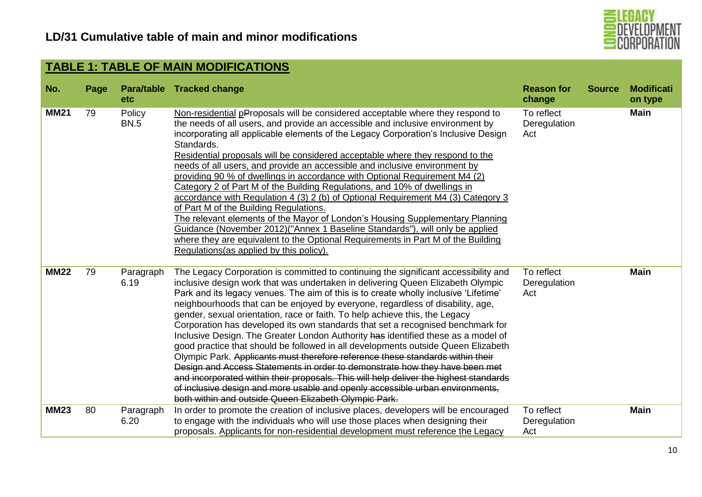

| No.         | Page | <b>etc</b>            | Para/table Tracked change                                                                                                                                                                                                                                                                                                                                                                                                                                                                                                                                                                                                                                                                                                                                                                                                                                                                                                                                                                                                                                                                        | <b>Reason for</b><br>change       | <b>Source</b> | <b>Modificati</b><br>on type |
|-------------|------|-----------------------|--------------------------------------------------------------------------------------------------------------------------------------------------------------------------------------------------------------------------------------------------------------------------------------------------------------------------------------------------------------------------------------------------------------------------------------------------------------------------------------------------------------------------------------------------------------------------------------------------------------------------------------------------------------------------------------------------------------------------------------------------------------------------------------------------------------------------------------------------------------------------------------------------------------------------------------------------------------------------------------------------------------------------------------------------------------------------------------------------|-----------------------------------|---------------|------------------------------|
| <b>MM21</b> | 79   | Policy<br><b>BN.5</b> | Non-residential pProposals will be considered acceptable where they respond to<br>the needs of all users, and provide an accessible and inclusive environment by<br>incorporating all applicable elements of the Legacy Corporation's Inclusive Design<br>Standards.<br>Residential proposals will be considered acceptable where they respond to the<br>needs of all users, and provide an accessible and inclusive environment by<br>providing 90 % of dwellings in accordance with Optional Requirement M4 (2)<br>Category 2 of Part M of the Building Regulations, and 10% of dwellings in<br>accordance with Regulation 4 (3) 2 (b) of Optional Requirement M4 (3) Category 3<br>of Part M of the Building Regulations.<br>The relevant elements of the Mayor of London's Housing Supplementary Planning<br>Guidance (November 2012) ("Annex 1 Baseline Standards"), will only be applied<br>where they are equivalent to the Optional Requirements in Part M of the Building<br>Regulations (as applied by this policy).                                                                   | To reflect<br>Deregulation<br>Act |               | <b>Main</b>                  |
| <b>MM22</b> | 79   | Paragraph<br>6.19     | The Legacy Corporation is committed to continuing the significant accessibility and<br>inclusive design work that was undertaken in delivering Queen Elizabeth Olympic<br>Park and its legacy venues. The aim of this is to create wholly inclusive 'Lifetime'<br>neighbourhoods that can be enjoyed by everyone, regardless of disability, age,<br>gender, sexual orientation, race or faith. To help achieve this, the Legacy<br>Corporation has developed its own standards that set a recognised benchmark for<br>Inclusive Design. The Greater London Authority has identified these as a model of<br>good practice that should be followed in all developments outside Queen Elizabeth<br>Olympic Park. Applicants must therefore reference these standards within their<br>Design and Access Statements in order to demonstrate how they have been met<br>and incorporated within their proposals. This will help deliver the highest standards<br>of inclusive design and more usable and openly accessible urban environments.<br>both within and outside Queen Elizabeth Olympic Park. | To reflect<br>Deregulation<br>Act |               | <b>Main</b>                  |
| <b>MM23</b> | 80   | Paragraph<br>6.20     | In order to promote the creation of inclusive places, developers will be encouraged<br>to engage with the individuals who will use those places when designing their<br>proposals. Applicants for non-residential development must reference the Legacy                                                                                                                                                                                                                                                                                                                                                                                                                                                                                                                                                                                                                                                                                                                                                                                                                                          | To reflect<br>Deregulation<br>Act |               | <b>Main</b>                  |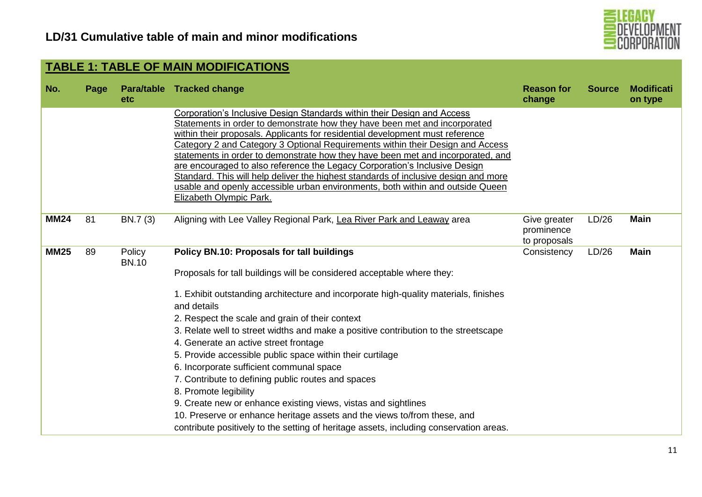

| No.         | Page | <b>etc</b>             | Para/table Tracked change                                                                                                                                                                                                                                                                                                                                                                                                                                                                                                                                                                                                                                                                                                                                                                                                                      | <b>Reason for</b><br>change                | <b>Source</b> | <b>Modificati</b><br>on type |
|-------------|------|------------------------|------------------------------------------------------------------------------------------------------------------------------------------------------------------------------------------------------------------------------------------------------------------------------------------------------------------------------------------------------------------------------------------------------------------------------------------------------------------------------------------------------------------------------------------------------------------------------------------------------------------------------------------------------------------------------------------------------------------------------------------------------------------------------------------------------------------------------------------------|--------------------------------------------|---------------|------------------------------|
|             |      |                        | Corporation's Inclusive Design Standards within their Design and Access<br>Statements in order to demonstrate how they have been met and incorporated<br>within their proposals. Applicants for residential development must reference<br>Category 2 and Category 3 Optional Requirements within their Design and Access<br>statements in order to demonstrate how they have been met and incorporated, and<br>are encouraged to also reference the Legacy Corporation's Inclusive Design<br>Standard. This will help deliver the highest standards of inclusive design and more<br>usable and openly accessible urban environments, both within and outside Queen<br><b>Elizabeth Olympic Park.</b>                                                                                                                                           |                                            |               |                              |
| <b>MM24</b> | 81   | BN.7 (3)               | Aligning with Lee Valley Regional Park, Lea River Park and Leaway area                                                                                                                                                                                                                                                                                                                                                                                                                                                                                                                                                                                                                                                                                                                                                                         | Give greater<br>prominence<br>to proposals | LD/26         | <b>Main</b>                  |
| <b>MM25</b> | 89   | Policy<br><b>BN.10</b> | Policy BN.10: Proposals for tall buildings<br>Proposals for tall buildings will be considered acceptable where they:<br>1. Exhibit outstanding architecture and incorporate high-quality materials, finishes<br>and details<br>2. Respect the scale and grain of their context<br>3. Relate well to street widths and make a positive contribution to the streetscape<br>4. Generate an active street frontage<br>5. Provide accessible public space within their curtilage<br>6. Incorporate sufficient communal space<br>7. Contribute to defining public routes and spaces<br>8. Promote legibility<br>9. Create new or enhance existing views, vistas and sightlines<br>10. Preserve or enhance heritage assets and the views to/from these, and<br>contribute positively to the setting of heritage assets, including conservation areas. | Consistency                                | LD/26         | <b>Main</b>                  |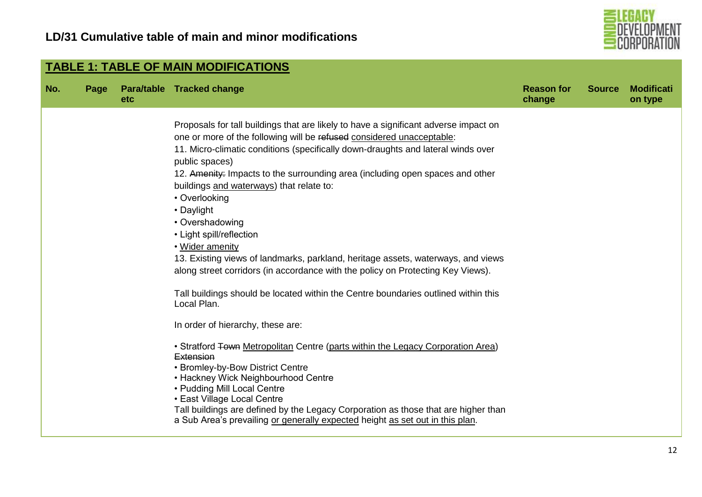

| No. | Page | <b>etc</b> | Para/table Tracked change                                                                         | <b>Reason for</b><br>change | <b>Source</b> | <b>Modificati</b><br>on type |
|-----|------|------------|---------------------------------------------------------------------------------------------------|-----------------------------|---------------|------------------------------|
|     |      |            | Proposals for tall buildings that are likely to have a significant adverse impact on              |                             |               |                              |
|     |      |            | one or more of the following will be refused considered unacceptable:                             |                             |               |                              |
|     |      |            | 11. Micro-climatic conditions (specifically down-draughts and lateral winds over                  |                             |               |                              |
|     |      |            | public spaces)                                                                                    |                             |               |                              |
|     |      |            | 12. Amenity: Impacts to the surrounding area (including open spaces and other                     |                             |               |                              |
|     |      |            | buildings and waterways) that relate to:                                                          |                             |               |                              |
|     |      |            | • Overlooking                                                                                     |                             |               |                              |
|     |      |            | • Daylight                                                                                        |                             |               |                              |
|     |      |            | • Overshadowing                                                                                   |                             |               |                              |
|     |      |            | • Light spill/reflection                                                                          |                             |               |                              |
|     |      |            | • Wider amenity                                                                                   |                             |               |                              |
|     |      |            | 13. Existing views of landmarks, parkland, heritage assets, waterways, and views                  |                             |               |                              |
|     |      |            | along street corridors (in accordance with the policy on Protecting Key Views).                   |                             |               |                              |
|     |      |            | Tall buildings should be located within the Centre boundaries outlined within this<br>Local Plan. |                             |               |                              |
|     |      |            | In order of hierarchy, these are:                                                                 |                             |               |                              |
|     |      |            | • Stratford Town Metropolitan Centre (parts within the Legacy Corporation Area)                   |                             |               |                              |
|     |      |            | Extension<br>• Bromley-by-Bow District Centre                                                     |                             |               |                              |
|     |      |            | • Hackney Wick Neighbourhood Centre                                                               |                             |               |                              |
|     |      |            | • Pudding Mill Local Centre                                                                       |                             |               |                              |
|     |      |            | • East Village Local Centre                                                                       |                             |               |                              |
|     |      |            | Tall buildings are defined by the Legacy Corporation as those that are higher than                |                             |               |                              |
|     |      |            | a Sub Area's prevailing or generally expected height as set out in this plan.                     |                             |               |                              |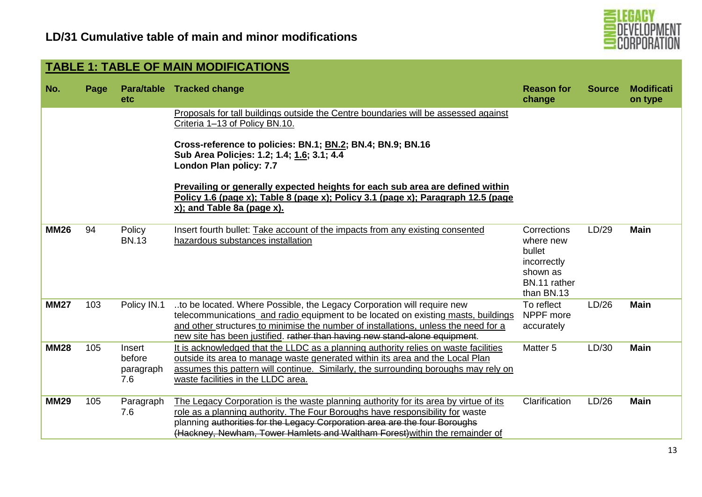

|             | <b>TABLE 1: TABLE OF MAIN MODIFICATIONS</b> |                                      |                                                                                                                                                                                                                                                                                                                                    |                                                                                             |               |                              |  |  |  |  |  |
|-------------|---------------------------------------------|--------------------------------------|------------------------------------------------------------------------------------------------------------------------------------------------------------------------------------------------------------------------------------------------------------------------------------------------------------------------------------|---------------------------------------------------------------------------------------------|---------------|------------------------------|--|--|--|--|--|
| No.         | Page                                        | <b>etc</b>                           | Para/table Tracked change                                                                                                                                                                                                                                                                                                          | <b>Reason for</b><br>change                                                                 | <b>Source</b> | <b>Modificati</b><br>on type |  |  |  |  |  |
|             |                                             |                                      | Proposals for tall buildings outside the Centre boundaries will be assessed against<br>Criteria 1-13 of Policy BN.10.                                                                                                                                                                                                              |                                                                                             |               |                              |  |  |  |  |  |
|             |                                             |                                      | Cross-reference to policies: BN.1; BN.2; BN.4; BN.9; BN.16<br>Sub Area Policies: 1.2; 1.4; 1.6; 3.1; 4.4<br>London Plan policy: 7.7                                                                                                                                                                                                |                                                                                             |               |                              |  |  |  |  |  |
|             |                                             |                                      | Prevailing or generally expected heights for each sub area are defined within<br>Policy 1.6 (page x); Table 8 (page x); Policy 3.1 (page x); Paragraph 12.5 (page<br>x); and Table 8a (page x).                                                                                                                                    |                                                                                             |               |                              |  |  |  |  |  |
| <b>MM26</b> | 94                                          | Policy<br><b>BN.13</b>               | Insert fourth bullet: Take account of the impacts from any existing consented<br>hazardous substances installation                                                                                                                                                                                                                 | Corrections<br>where new<br>bullet<br>incorrectly<br>shown as<br>BN.11 rather<br>than BN.13 | LD/29         | <b>Main</b>                  |  |  |  |  |  |
| <b>MM27</b> | 103                                         | Policy IN.1                          | to be located. Where Possible, the Legacy Corporation will require new<br>telecommunications and radio equipment to be located on existing masts, buildings<br>and other structures to minimise the number of installations, unless the need for a<br>new site has been justified. rather than having new stand-alone equipment.   | To reflect<br>NPPF more<br>accurately                                                       | LD/26         | <b>Main</b>                  |  |  |  |  |  |
| <b>MM28</b> | 105                                         | Insert<br>before<br>paragraph<br>7.6 | It is acknowledged that the LLDC as a planning authority relies on waste facilities<br>outside its area to manage waste generated within its area and the Local Plan<br>assumes this pattern will continue. Similarly, the surrounding boroughs may rely on<br>waste facilities in the LLDC area.                                  | Matter <sub>5</sub>                                                                         | LD/30         | <b>Main</b>                  |  |  |  |  |  |
| <b>MM29</b> | 105                                         | Paragraph<br>7.6                     | The Legacy Corporation is the waste planning authority for its area by virtue of its<br>role as a planning authority. The Four Boroughs have responsibility for waste<br>planning authorities for the Legacy Corporation area are the four Boroughs<br>(Hackney, Newham, Tower Hamlets and Waltham Forest) within the remainder of | Clarification                                                                               | LD/26         | <b>Main</b>                  |  |  |  |  |  |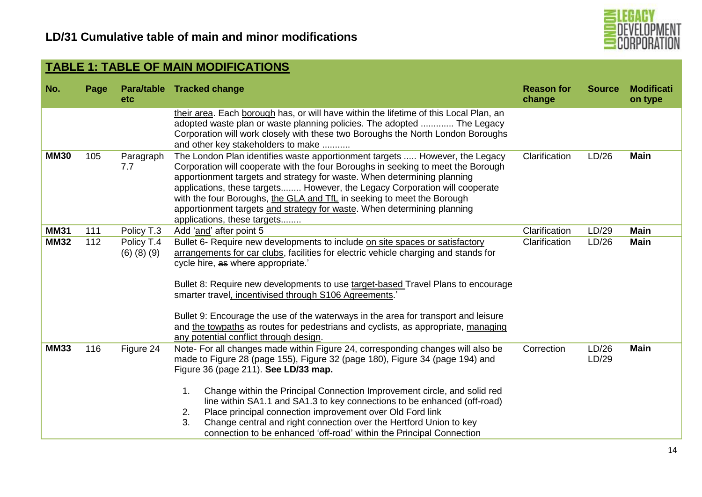

| No.         | Page | <b>etc</b>                      | Para/table Tracked change                                                                                                                                                                                                                                                                                                                                                                                                                                                                                                                                                                    | <b>Reason for</b><br>change | <b>Source</b>  | <b>Modificati</b><br>on type |
|-------------|------|---------------------------------|----------------------------------------------------------------------------------------------------------------------------------------------------------------------------------------------------------------------------------------------------------------------------------------------------------------------------------------------------------------------------------------------------------------------------------------------------------------------------------------------------------------------------------------------------------------------------------------------|-----------------------------|----------------|------------------------------|
|             |      |                                 | their area. Each borough has, or will have within the lifetime of this Local Plan, an<br>adopted waste plan or waste planning policies. The adopted  The Legacy<br>Corporation will work closely with these two Boroughs the North London Boroughs<br>and other key stakeholders to make                                                                                                                                                                                                                                                                                                     |                             |                |                              |
| <b>MM30</b> | 105  | Paragraph<br>7.7                | The London Plan identifies waste apportionment targets  However, the Legacy<br>Corporation will cooperate with the four Boroughs in seeking to meet the Borough<br>apportionment targets and strategy for waste. When determining planning<br>applications, these targets However, the Legacy Corporation will cooperate<br>with the four Boroughs, the GLA and TfL in seeking to meet the Borough<br>apportionment targets and strategy for waste. When determining planning<br>applications, these targets                                                                                 | Clarification               | LD/26          | <b>Main</b>                  |
| <b>MM31</b> | 111  | Policy T.3                      | Add 'and' after point 5                                                                                                                                                                                                                                                                                                                                                                                                                                                                                                                                                                      | Clarification               | LD/29          | <b>Main</b>                  |
| <b>MM32</b> | 112  | Policy T.4<br>$(6)$ $(8)$ $(9)$ | Bullet 6- Require new developments to include on site spaces or satisfactory<br>arrangements for car clubs, facilities for electric vehicle charging and stands for<br>cycle hire, as where appropriate.<br>Bullet 8: Require new developments to use target-based Travel Plans to encourage<br>smarter travel, incentivised through S106 Agreements.<br>Bullet 9: Encourage the use of the waterways in the area for transport and leisure<br>and the towpaths as routes for pedestrians and cyclists, as appropriate, managing<br>any potential conflict through design.                   | Clarification               | LD/26          | <b>Main</b>                  |
| <b>MM33</b> | 116  | Figure 24                       | Note- For all changes made within Figure 24, corresponding changes will also be<br>made to Figure 28 (page 155), Figure 32 (page 180), Figure 34 (page 194) and<br>Figure 36 (page 211). See LD/33 map.<br>Change within the Principal Connection Improvement circle, and solid red<br>1.<br>line within SA1.1 and SA1.3 to key connections to be enhanced (off-road)<br>Place principal connection improvement over Old Ford link<br>2.<br>Change central and right connection over the Hertford Union to key<br>3.<br>connection to be enhanced 'off-road' within the Principal Connection | Correction                  | LD/26<br>LD/29 | <b>Main</b>                  |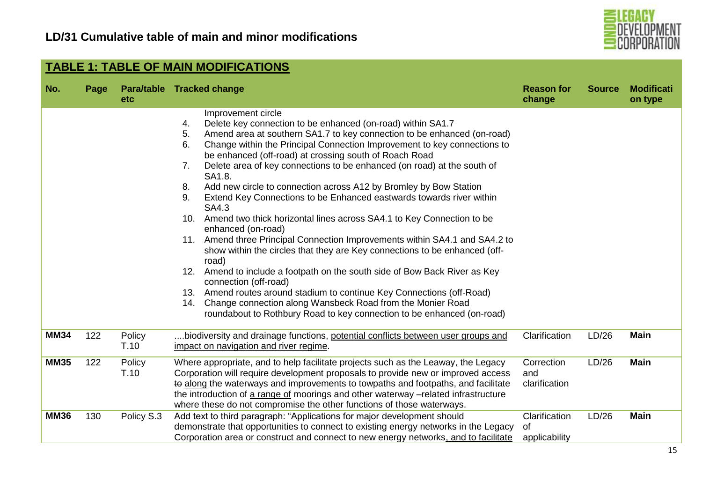

|             | <b>TABLE 1: TABLE OF MAIN MODIFICATIONS</b><br>Para/table Tracked change<br><b>Modificati</b><br><b>Reason for</b><br><b>Source</b><br>Page<br>change<br>etc<br>on type<br>Improvement circle<br>Delete key connection to be enhanced (on-road) within SA1.7<br>4.<br>Amend area at southern SA1.7 to key connection to be enhanced (on-road)<br>5.<br>Change within the Principal Connection Improvement to key connections to<br>6.<br>be enhanced (off-road) at crossing south of Roach Road<br>Delete area of key connections to be enhanced (on road) at the south of<br>7.<br>SA1.8.<br>Add new circle to connection across A12 by Bromley by Bow Station<br>8.<br>Extend Key Connections to be Enhanced eastwards towards river within<br>9.<br>SA4.3<br>10. Amend two thick horizontal lines across SA4.1 to Key Connection to be |                |                                                                                                                                                                                                                                                                                                                                                                                                                                                                                                                       |                                      |       |             |  |  |  |
|-------------|-------------------------------------------------------------------------------------------------------------------------------------------------------------------------------------------------------------------------------------------------------------------------------------------------------------------------------------------------------------------------------------------------------------------------------------------------------------------------------------------------------------------------------------------------------------------------------------------------------------------------------------------------------------------------------------------------------------------------------------------------------------------------------------------------------------------------------------------|----------------|-----------------------------------------------------------------------------------------------------------------------------------------------------------------------------------------------------------------------------------------------------------------------------------------------------------------------------------------------------------------------------------------------------------------------------------------------------------------------------------------------------------------------|--------------------------------------|-------|-------------|--|--|--|
| No.         |                                                                                                                                                                                                                                                                                                                                                                                                                                                                                                                                                                                                                                                                                                                                                                                                                                           |                |                                                                                                                                                                                                                                                                                                                                                                                                                                                                                                                       |                                      |       |             |  |  |  |
|             |                                                                                                                                                                                                                                                                                                                                                                                                                                                                                                                                                                                                                                                                                                                                                                                                                                           |                | enhanced (on-road)<br>11. Amend three Principal Connection Improvements within SA4.1 and SA4.2 to<br>show within the circles that they are Key connections to be enhanced (off-<br>road)<br>12. Amend to include a footpath on the south side of Bow Back River as Key<br>connection (off-road)<br>13. Amend routes around stadium to continue Key Connections (off-Road)<br>14. Change connection along Wansbeck Road from the Monier Road<br>roundabout to Rothbury Road to key connection to be enhanced (on-road) |                                      |       |             |  |  |  |
| <b>MM34</b> | 122                                                                                                                                                                                                                                                                                                                                                                                                                                                                                                                                                                                                                                                                                                                                                                                                                                       | Policy<br>T.10 | biodiversity and drainage functions, potential conflicts between user groups and<br>impact on navigation and river regime.                                                                                                                                                                                                                                                                                                                                                                                            | Clarification                        | LD/26 | <b>Main</b> |  |  |  |
| <b>MM35</b> | 122                                                                                                                                                                                                                                                                                                                                                                                                                                                                                                                                                                                                                                                                                                                                                                                                                                       | Policy<br>T.10 | Where appropriate, and to help facilitate projects such as the Leaway, the Legacy<br>Corporation will require development proposals to provide new or improved access<br>to along the waterways and improvements to towpaths and footpaths, and facilitate<br>the introduction of a range of moorings and other waterway -related infrastructure<br>where these do not compromise the other functions of those waterways.                                                                                             | Correction<br>and<br>clarification   | LD/26 | <b>Main</b> |  |  |  |
| <b>MM36</b> | 130                                                                                                                                                                                                                                                                                                                                                                                                                                                                                                                                                                                                                                                                                                                                                                                                                                       | Policy S.3     | Add text to third paragraph: "Applications for major development should<br>demonstrate that opportunities to connect to existing energy networks in the Legacy<br>Corporation area or construct and connect to new energy networks, and to facilitate                                                                                                                                                                                                                                                                 | Clarification<br>0f<br>applicability | LD/26 | <b>Main</b> |  |  |  |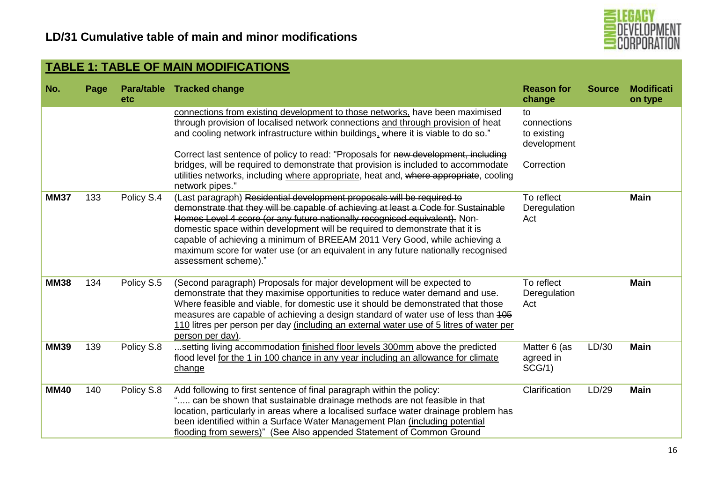

| No.         | Page | etc        | Para/table Tracked change                                                                                                                                                                                                                                                                                                                                                                                                                                                                                             | <b>Reason for</b><br>change                     | <b>Source</b> | <b>Modificati</b><br>on type |
|-------------|------|------------|-----------------------------------------------------------------------------------------------------------------------------------------------------------------------------------------------------------------------------------------------------------------------------------------------------------------------------------------------------------------------------------------------------------------------------------------------------------------------------------------------------------------------|-------------------------------------------------|---------------|------------------------------|
|             |      |            | connections from existing development to those networks, have been maximised<br>through provision of localised network connections and through provision of heat<br>and cooling network infrastructure within buildings, where it is viable to do so."                                                                                                                                                                                                                                                                | to<br>connections<br>to existing<br>development |               |                              |
|             |      |            | Correct last sentence of policy to read: "Proposals for new development, including<br>bridges, will be required to demonstrate that provision is included to accommodate<br>utilities networks, including where appropriate, heat and, where appropriate, cooling<br>network pipes."                                                                                                                                                                                                                                  | Correction                                      |               |                              |
| <b>MM37</b> | 133  | Policy S.4 | (Last paragraph) Residential development proposals will be required to<br>demonstrate that they will be capable of achieving at least a Code for Sustainable<br>Homes Level 4 score (or any future nationally recognised equivalent). Non-<br>domestic space within development will be required to demonstrate that it is<br>capable of achieving a minimum of BREEAM 2011 Very Good, while achieving a<br>maximum score for water use (or an equivalent in any future nationally recognised<br>assessment scheme)." | To reflect<br>Deregulation<br>Act               |               | <b>Main</b>                  |
| <b>MM38</b> | 134  | Policy S.5 | (Second paragraph) Proposals for major development will be expected to<br>demonstrate that they maximise opportunities to reduce water demand and use.<br>Where feasible and viable, for domestic use it should be demonstrated that those<br>measures are capable of achieving a design standard of water use of less than 405<br>110 litres per person per day (including an external water use of 5 litres of water per<br>person per day).                                                                        | To reflect<br>Deregulation<br>Act               |               | <b>Main</b>                  |
| <b>MM39</b> | 139  | Policy S.8 | setting living accommodation finished floor levels 300mm above the predicted<br>flood level for the 1 in 100 chance in any year including an allowance for climate<br>change                                                                                                                                                                                                                                                                                                                                          | Matter 6 (as<br>agreed in<br>SCG/1)             | LD/30         | <b>Main</b>                  |
| <b>MM40</b> | 140  | Policy S.8 | Add following to first sentence of final paragraph within the policy:<br>" can be shown that sustainable drainage methods are not feasible in that<br>location, particularly in areas where a localised surface water drainage problem has<br>been identified within a Surface Water Management Plan (including potential<br>flooding from sewers)" (See Also appended Statement of Common Ground                                                                                                                     | Clarification                                   | LD/29         | <b>Main</b>                  |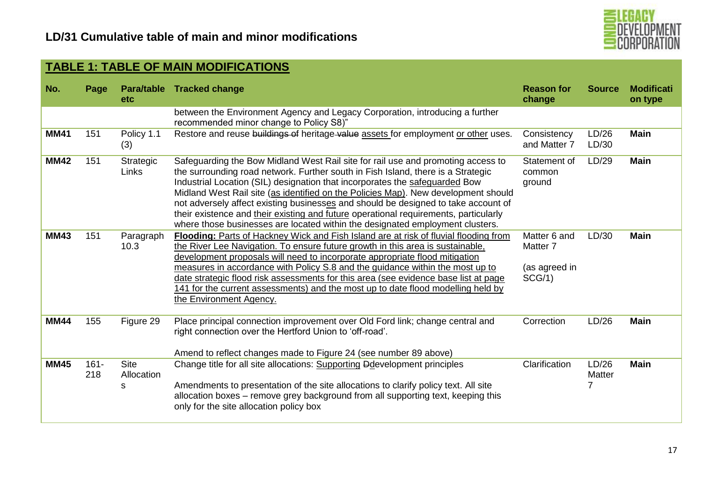

| No.         | Page           | etc                            | Para/table Tracked change                                                                                                                                                                                                                                                                                                                                                                                                                                                                                                                                                                                | <b>Reason for</b><br>change                                    | <b>Source</b>        | <b>Modificati</b><br>on type |
|-------------|----------------|--------------------------------|----------------------------------------------------------------------------------------------------------------------------------------------------------------------------------------------------------------------------------------------------------------------------------------------------------------------------------------------------------------------------------------------------------------------------------------------------------------------------------------------------------------------------------------------------------------------------------------------------------|----------------------------------------------------------------|----------------------|------------------------------|
|             |                |                                | between the Environment Agency and Legacy Corporation, introducing a further<br>recommended minor change to Policy S8)"                                                                                                                                                                                                                                                                                                                                                                                                                                                                                  |                                                                |                      |                              |
| <b>MM41</b> | 151            | Policy 1.1<br>(3)              | Restore and reuse buildings of heritage value assets for employment or other uses.                                                                                                                                                                                                                                                                                                                                                                                                                                                                                                                       | Consistency<br>and Matter 7                                    | LD/26<br>LD/30       | <b>Main</b>                  |
| <b>MM42</b> | 151            | Strategic<br>Links             | Safeguarding the Bow Midland West Rail site for rail use and promoting access to<br>the surrounding road network. Further south in Fish Island, there is a Strategic<br>Industrial Location (SIL) designation that incorporates the safeguarded Bow<br>Midland West Rail site (as identified on the Policies Map). New development should<br>not adversely affect existing businesses and should be designed to take account of<br>their existence and their existing and future operational requirements, particularly<br>where those businesses are located within the designated employment clusters. | Statement of<br>common<br>ground                               | LD/29                | <b>Main</b>                  |
| <b>MM43</b> | 151            | Paragraph<br>10.3              | Flooding: Parts of Hackney Wick and Fish Island are at risk of fluvial flooding from<br>the River Lee Navigation. To ensure future growth in this area is sustainable,<br>development proposals will need to incorporate appropriate flood mitigation<br>measures in accordance with Policy S.8 and the guidance within the most up to<br>date strategic flood risk assessments for this area (see evidence base list at page<br>141 for the current assessments) and the most up to date flood modelling held by<br>the Environment Agency.                                                             | Matter 6 and<br>Matter <sub>7</sub><br>(as agreed in<br>SCG/1) | LD/30                | <b>Main</b>                  |
| <b>MM44</b> | 155            | Figure 29                      | Place principal connection improvement over Old Ford link; change central and<br>right connection over the Hertford Union to 'off-road'.<br>Amend to reflect changes made to Figure 24 (see number 89 above)                                                                                                                                                                                                                                                                                                                                                                                             | Correction                                                     | LD/26                | <b>Main</b>                  |
| <b>MM45</b> | $161 -$<br>218 | <b>Site</b><br>Allocation<br>s | Change title for all site allocations: Supporting Ddevelopment principles<br>Amendments to presentation of the site allocations to clarify policy text. All site<br>allocation boxes - remove grey background from all supporting text, keeping this<br>only for the site allocation policy box                                                                                                                                                                                                                                                                                                          | Clarification                                                  | LD/26<br>Matter<br>7 | <b>Main</b>                  |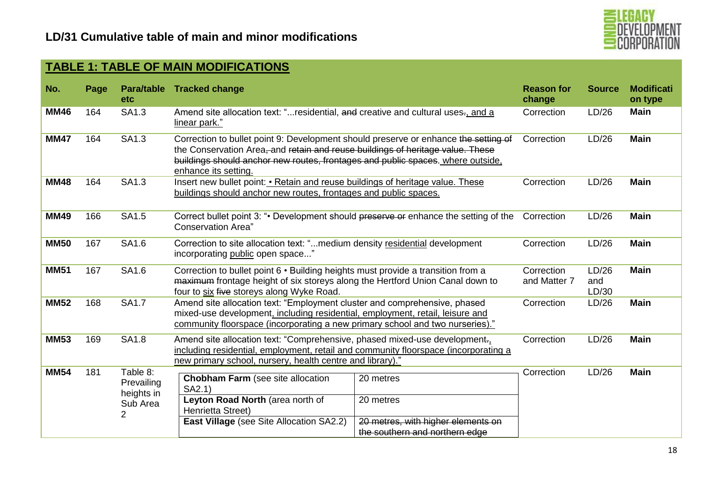

| No.         | Page | <b>etc</b>                                            | Para/table Tracked change                                                                                                                                                                                                                                                        |                                                                                                | <b>Reason for</b><br>change | <b>Source</b>         | <b>Modificati</b><br>on type |
|-------------|------|-------------------------------------------------------|----------------------------------------------------------------------------------------------------------------------------------------------------------------------------------------------------------------------------------------------------------------------------------|------------------------------------------------------------------------------------------------|-----------------------------|-----------------------|------------------------------|
| <b>MM46</b> | 164  | SA1.3                                                 | Amend site allocation text: "residential, and creative and cultural uses-, and a<br>linear park."                                                                                                                                                                                |                                                                                                | Correction                  | LD/26                 | <b>Main</b>                  |
| <b>MM47</b> | 164  | SA1.3                                                 | Correction to bullet point 9: Development should preserve or enhance the setting of<br>the Conservation Area, and retain and reuse buildings of heritage value. These<br>buildings should anchor new routes, frontages and public spaces. where outside,<br>enhance its setting. |                                                                                                | Correction                  | LD/26                 | <b>Main</b>                  |
| <b>MM48</b> | 164  | SA1.3                                                 | Insert new bullet point: • Retain and reuse buildings of heritage value. These<br>buildings should anchor new routes, frontages and public spaces.                                                                                                                               |                                                                                                | Correction                  | LD/26                 | <b>Main</b>                  |
| <b>MM49</b> | 166  | SA1.5                                                 | Correct bullet point 3: ". Development should preserve or enhance the setting of the<br><b>Conservation Area</b> "                                                                                                                                                               |                                                                                                | Correction                  | LD/26                 | <b>Main</b>                  |
| <b>MM50</b> | 167  | SA1.6                                                 | Correction to site allocation text: "medium density residential development<br>incorporating public open space"                                                                                                                                                                  |                                                                                                | Correction                  | LD/26                 | <b>Main</b>                  |
| <b>MM51</b> | 167  | SA1.6                                                 | Correction to bullet point 6 · Building heights must provide a transition from a<br>maximum frontage height of six storeys along the Hertford Union Canal down to<br>four to six five storeys along Wyke Road.                                                                   |                                                                                                | Correction<br>and Matter 7  | LD/26<br>and<br>LD/30 | <b>Main</b>                  |
| <b>MM52</b> | 168  | <b>SA1.7</b>                                          | Amend site allocation text: "Employment cluster and comprehensive, phased<br>mixed-use development, including residential, employment, retail, leisure and<br>community floorspace (incorporating a new primary school and two nurseries)."                                      |                                                                                                | Correction                  | LD/26                 | <b>Main</b>                  |
| <b>MM53</b> | 169  | <b>SA1.8</b>                                          | Amend site allocation text: "Comprehensive, phased mixed-use development<br>including residential, employment, retail and community floorspace (incorporating a<br>new primary school, nursery, health centre and library)."                                                     |                                                                                                | Correction                  | LD/26                 | <b>Main</b>                  |
| <b>MM54</b> | 181  | Table 8:<br>Prevailing<br>heights in<br>Sub Area<br>2 | <b>Chobham Farm</b> (see site allocation<br>SA2.1)<br>Leyton Road North (area north of<br>Henrietta Street)<br><b>East Village</b> (see Site Allocation SA2.2)                                                                                                                   | 20 metres<br>20 metres<br>20 metres, with higher elements on<br>the southern and northern edge | Correction                  | LD/26                 | <b>Main</b>                  |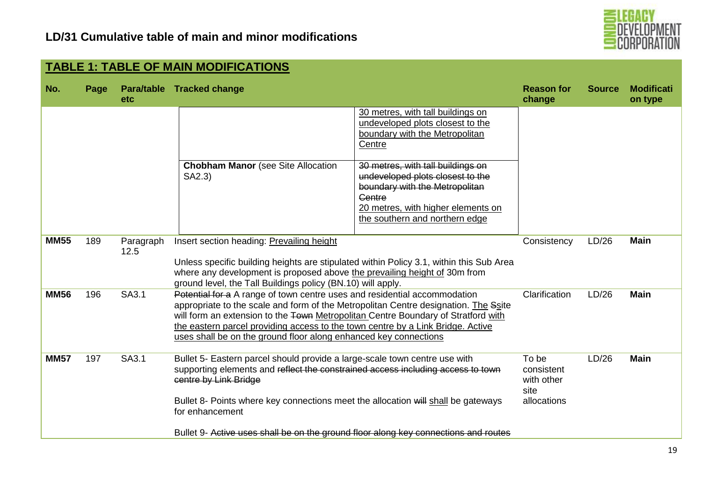

| No.         | Page | <b>etc</b>        | Para/table Tracked change                                                                                                                                                                                                                                                                                                                                                                                    |                                                                                                                                                                                                  | <b>Reason for</b><br>change                              | <b>Source</b> | <b>Modificati</b><br>on type |
|-------------|------|-------------------|--------------------------------------------------------------------------------------------------------------------------------------------------------------------------------------------------------------------------------------------------------------------------------------------------------------------------------------------------------------------------------------------------------------|--------------------------------------------------------------------------------------------------------------------------------------------------------------------------------------------------|----------------------------------------------------------|---------------|------------------------------|
|             |      |                   |                                                                                                                                                                                                                                                                                                                                                                                                              | 30 metres, with tall buildings on<br>undeveloped plots closest to the<br>boundary with the Metropolitan<br>Centre                                                                                |                                                          |               |                              |
|             |      |                   | <b>Chobham Manor</b> (see Site Allocation<br>SA2.3)                                                                                                                                                                                                                                                                                                                                                          | 30 metres, with tall buildings on<br>undeveloped plots closest to the<br>boundary with the Metropolitan<br><b>Centre</b><br>20 metres, with higher elements on<br>the southern and northern edge |                                                          |               |                              |
| <b>MM55</b> | 189  | Paragraph<br>12.5 | Insert section heading: Prevailing height<br>Unless specific building heights are stipulated within Policy 3.1, within this Sub Area<br>where any development is proposed above the prevailing height of 30m from<br>ground level, the Tall Buildings policy (BN.10) will apply.                                                                                                                             |                                                                                                                                                                                                  | Consistency                                              | LD/26         | <b>Main</b>                  |
| <b>MM56</b> | 196  | SA3.1             | Potential for a A range of town centre uses and residential accommodation<br>appropriate to the scale and form of the Metropolitan Centre designation. The Ssite<br>will form an extension to the Town Metropolitan Centre Boundary of Stratford with<br>the eastern parcel providing access to the town centre by a Link Bridge. Active<br>uses shall be on the ground floor along enhanced key connections |                                                                                                                                                                                                  | Clarification                                            | LD/26         | <b>Main</b>                  |
| <b>MM57</b> | 197  | SA3.1             | Bullet 5- Eastern parcel should provide a large-scale town centre use with<br>supporting elements and reflect the constrained access including access to town<br>centre by Link Bridge<br>Bullet 8- Points where key connections meet the allocation will shall be gateways<br>for enhancement                                                                                                               |                                                                                                                                                                                                  | To be<br>consistent<br>with other<br>site<br>allocations | LD/26         | <b>Main</b>                  |
|             |      |                   | Bullet 9- Active uses shall be on the ground floor along key connections and routes                                                                                                                                                                                                                                                                                                                          |                                                                                                                                                                                                  |                                                          |               |                              |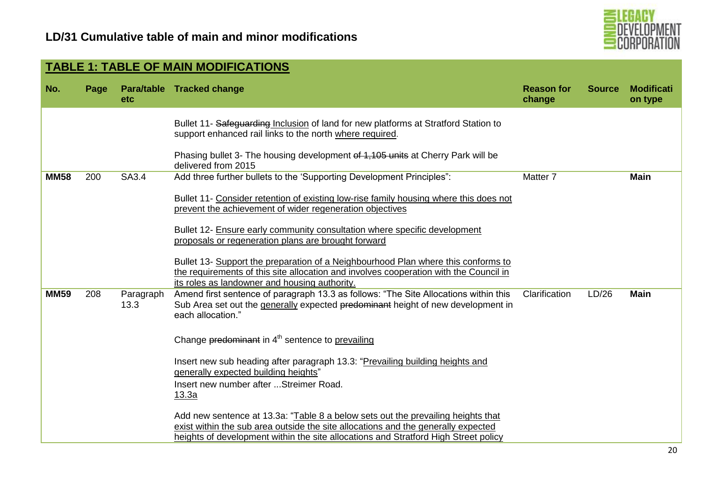

20

| <b>TABLE 1: TABLE OF MAIN MODIFICATIONS</b><br><b>Modificati</b><br>No.<br>Para/table Tracked change<br><b>Reason for</b><br><b>Source</b><br>Page<br>change<br>on type<br><b>etc</b><br>Bullet 11- Safeguarding Inclusion of land for new platforms at Stratford Station to<br>support enhanced rail links to the north where required.<br>Phasing bullet 3- The housing development of 1,105 units at Cherry Park will be<br>delivered from 2015<br>Add three further bullets to the 'Supporting Development Principles":<br><b>MM58</b><br>200<br>SA3.4<br>Matter <sub>7</sub><br><b>Main</b><br>Bullet 11- Consider retention of existing low-rise family housing where this does not<br>prevent the achievement of wider regeneration objectives<br>Bullet 12- Ensure early community consultation where specific development<br>proposals or regeneration plans are brought forward<br>Bullet 13- Support the preparation of a Neighbourhood Plan where this conforms to<br>the requirements of this site allocation and involves cooperation with the Council in<br>its roles as landowner and housing authority.<br>Amend first sentence of paragraph 13.3 as follows: "The Site Allocations within this<br><b>MM59</b><br><b>Main</b><br>208<br>Clarification<br>LD/26<br>Paragraph<br>13.3<br>Sub Area set out the generally expected predominant height of new development in<br>each allocation."<br>Change predominant in 4 <sup>th</sup> sentence to prevailing<br>Insert new sub heading after paragraph 13.3: "Prevailing building heights and<br>generally expected building heights"<br>Insert new number after  Streimer Road.<br><u>13.3a</u><br>Add new sentence at 13.3a: "Table 8 a below sets out the prevailing heights that |  |                                                                                                                                                                          |  |  |
|-------------------------------------------------------------------------------------------------------------------------------------------------------------------------------------------------------------------------------------------------------------------------------------------------------------------------------------------------------------------------------------------------------------------------------------------------------------------------------------------------------------------------------------------------------------------------------------------------------------------------------------------------------------------------------------------------------------------------------------------------------------------------------------------------------------------------------------------------------------------------------------------------------------------------------------------------------------------------------------------------------------------------------------------------------------------------------------------------------------------------------------------------------------------------------------------------------------------------------------------------------------------------------------------------------------------------------------------------------------------------------------------------------------------------------------------------------------------------------------------------------------------------------------------------------------------------------------------------------------------------------------------------------------------------------------------------------------------------------------------------------|--|--------------------------------------------------------------------------------------------------------------------------------------------------------------------------|--|--|
|                                                                                                                                                                                                                                                                                                                                                                                                                                                                                                                                                                                                                                                                                                                                                                                                                                                                                                                                                                                                                                                                                                                                                                                                                                                                                                                                                                                                                                                                                                                                                                                                                                                                                                                                                       |  |                                                                                                                                                                          |  |  |
|                                                                                                                                                                                                                                                                                                                                                                                                                                                                                                                                                                                                                                                                                                                                                                                                                                                                                                                                                                                                                                                                                                                                                                                                                                                                                                                                                                                                                                                                                                                                                                                                                                                                                                                                                       |  |                                                                                                                                                                          |  |  |
|                                                                                                                                                                                                                                                                                                                                                                                                                                                                                                                                                                                                                                                                                                                                                                                                                                                                                                                                                                                                                                                                                                                                                                                                                                                                                                                                                                                                                                                                                                                                                                                                                                                                                                                                                       |  |                                                                                                                                                                          |  |  |
|                                                                                                                                                                                                                                                                                                                                                                                                                                                                                                                                                                                                                                                                                                                                                                                                                                                                                                                                                                                                                                                                                                                                                                                                                                                                                                                                                                                                                                                                                                                                                                                                                                                                                                                                                       |  |                                                                                                                                                                          |  |  |
|                                                                                                                                                                                                                                                                                                                                                                                                                                                                                                                                                                                                                                                                                                                                                                                                                                                                                                                                                                                                                                                                                                                                                                                                                                                                                                                                                                                                                                                                                                                                                                                                                                                                                                                                                       |  | exist within the sub area outside the site allocations and the generally expected<br>heights of development within the site allocations and Stratford High Street policy |  |  |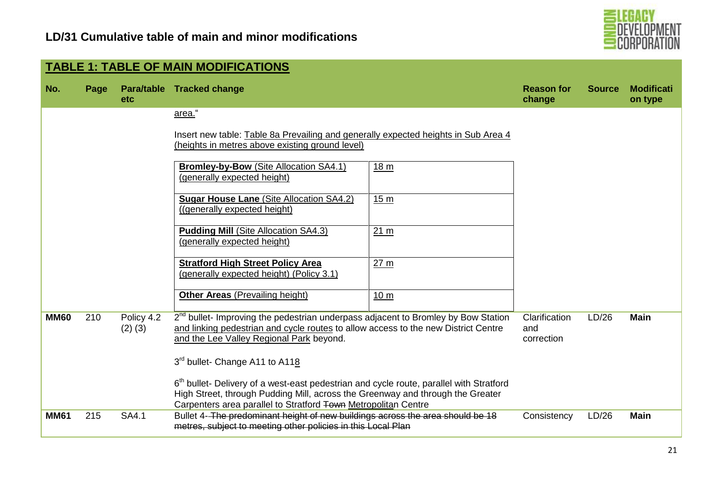

|             |      |                           | <b>TABLE 1: TABLE OF MAIN MODIFICATIONS</b>                                                                                                                                                                                                             |                                    |               |                              |
|-------------|------|---------------------------|---------------------------------------------------------------------------------------------------------------------------------------------------------------------------------------------------------------------------------------------------------|------------------------------------|---------------|------------------------------|
| No.         | Page | etc                       | Para/table Tracked change                                                                                                                                                                                                                               | <b>Reason for</b><br>change        | <b>Source</b> | <b>Modificati</b><br>on type |
|             |      |                           | area."                                                                                                                                                                                                                                                  |                                    |               |                              |
|             |      |                           | Insert new table: Table 8a Prevailing and generally expected heights in Sub Area 4<br>(heights in metres above existing ground level)                                                                                                                   |                                    |               |                              |
|             |      |                           | <b>Bromley-by-Bow (Site Allocation SA4.1)</b><br>18 <sub>m</sub><br>(generally expected height)                                                                                                                                                         |                                    |               |                              |
|             |      |                           | <b>Sugar House Lane (Site Allocation SA4.2)</b><br>15 <sub>m</sub><br>((generally expected height)                                                                                                                                                      |                                    |               |                              |
|             |      |                           | <b>Pudding Mill (Site Allocation SA4.3)</b><br>21 m<br>(generally expected height)                                                                                                                                                                      |                                    |               |                              |
|             |      |                           | <b>Stratford High Street Policy Area</b><br>27 <sub>m</sub><br>(generally expected height) (Policy 3.1)                                                                                                                                                 |                                    |               |                              |
|             |      |                           | <b>Other Areas (Prevailing height)</b><br>10 <sub>m</sub>                                                                                                                                                                                               |                                    |               |                              |
| <b>MM60</b> | 210  | Policy 4.2<br>$(2)$ $(3)$ | $2^{nd}$ bullet- Improving the pedestrian underpass adjacent to Bromley by Bow Station<br>and linking pedestrian and cycle routes to allow access to the new District Centre<br>and the Lee Valley Regional Park beyond.                                | Clarification<br>and<br>correction | LD/26         | <b>Main</b>                  |
|             |      |                           | 3 <sup>rd</sup> bullet- Change A11 to A118                                                                                                                                                                                                              |                                    |               |                              |
|             |      |                           | 6 <sup>th</sup> bullet- Delivery of a west-east pedestrian and cycle route, parallel with Stratford<br>High Street, through Pudding Mill, across the Greenway and through the Greater<br>Carpenters area parallel to Stratford Town Metropolitan Centre |                                    |               |                              |
| <b>MM61</b> | 215  | <b>SA4.1</b>              | Bullet 4- The predominant height of new buildings across the area should be 18<br>metres, subject to meeting other policies in this Local Plan                                                                                                          | Consistency                        | LD/26         | <b>Main</b>                  |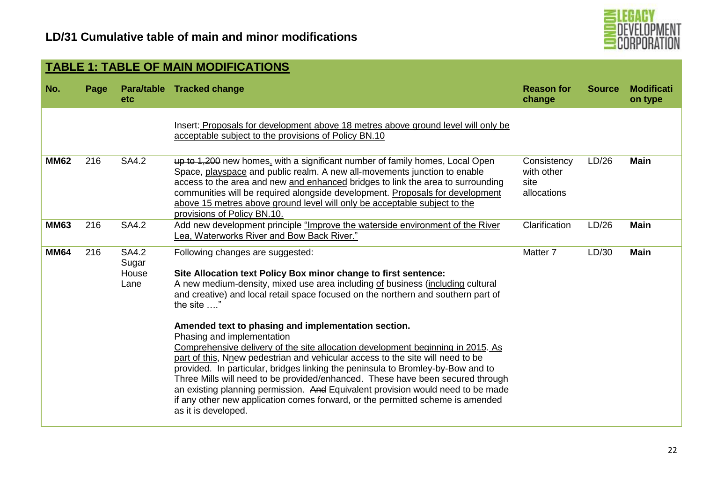

|             | <b>TABLE 1: TABLE OF MAIN MODIFICATIONS</b> |                                 |                                                                                                                                                                                                                                                                                                                                                                                                                                                                                                                                                                                                                                                                                                                                                                                                                                                                                                                     |                                                  |               |                              |  |  |  |  |  |
|-------------|---------------------------------------------|---------------------------------|---------------------------------------------------------------------------------------------------------------------------------------------------------------------------------------------------------------------------------------------------------------------------------------------------------------------------------------------------------------------------------------------------------------------------------------------------------------------------------------------------------------------------------------------------------------------------------------------------------------------------------------------------------------------------------------------------------------------------------------------------------------------------------------------------------------------------------------------------------------------------------------------------------------------|--------------------------------------------------|---------------|------------------------------|--|--|--|--|--|
| No.         | Page                                        | etc                             | Para/table Tracked change                                                                                                                                                                                                                                                                                                                                                                                                                                                                                                                                                                                                                                                                                                                                                                                                                                                                                           | <b>Reason for</b><br>change                      | <b>Source</b> | <b>Modificati</b><br>on type |  |  |  |  |  |
|             |                                             |                                 | Insert: Proposals for development above 18 metres above ground level will only be<br>acceptable subject to the provisions of Policy BN.10                                                                                                                                                                                                                                                                                                                                                                                                                                                                                                                                                                                                                                                                                                                                                                           |                                                  |               |                              |  |  |  |  |  |
| <b>MM62</b> | 216                                         | <b>SA4.2</b>                    | up to 1,200 new homes, with a significant number of family homes, Local Open<br>Space, playspace and public realm. A new all-movements junction to enable<br>access to the area and new and enhanced bridges to link the area to surrounding<br>communities will be required alongside development. Proposals for development<br>above 15 metres above ground level will only be acceptable subject to the<br>provisions of Policy BN.10.                                                                                                                                                                                                                                                                                                                                                                                                                                                                           | Consistency<br>with other<br>site<br>allocations | LD/26         | <b>Main</b>                  |  |  |  |  |  |
| <b>MM63</b> | 216                                         | <b>SA4.2</b>                    | Add new development principle "Improve the waterside environment of the River<br>Lea, Waterworks River and Bow Back River."                                                                                                                                                                                                                                                                                                                                                                                                                                                                                                                                                                                                                                                                                                                                                                                         | Clarification                                    | LD/26         | <b>Main</b>                  |  |  |  |  |  |
| <b>MM64</b> | 216                                         | SA4.2<br>Sugar<br>House<br>Lane | Following changes are suggested:<br>Site Allocation text Policy Box minor change to first sentence:<br>A new medium-density, mixed use area including of business (including cultural<br>and creative) and local retail space focused on the northern and southern part of<br>the site "<br>Amended text to phasing and implementation section.<br>Phasing and implementation<br>Comprehensive delivery of the site allocation development beginning in 2015. As<br>part of this, Nnew pedestrian and vehicular access to the site will need to be<br>provided. In particular, bridges linking the peninsula to Bromley-by-Bow and to<br>Three Mills will need to be provided/enhanced. These have been secured through<br>an existing planning permission. And Equivalent provision would need to be made<br>if any other new application comes forward, or the permitted scheme is amended<br>as it is developed. | Matter <sub>7</sub>                              | LD/30         | <b>Main</b>                  |  |  |  |  |  |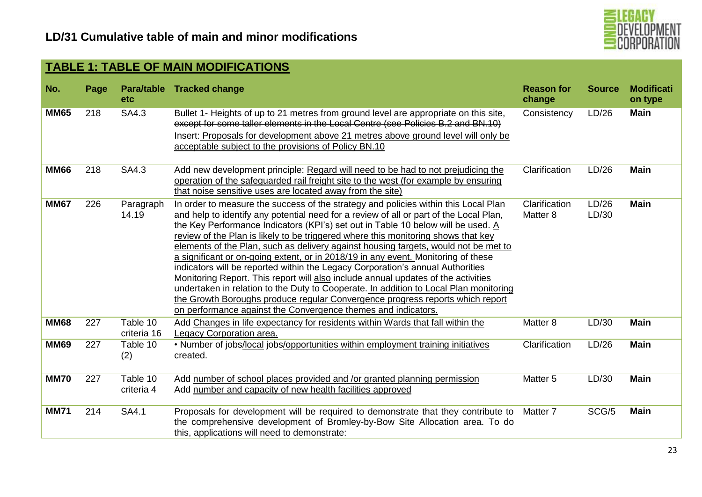

| No.         | Page | <b>etc</b>              | Para/table Tracked change                                                                                                                                                                                                                                                                                                                                                                                                                                                                                                                                                                                                                                                                                                                                                                                                                                                                                                                            | <b>Reason for</b><br>change          | <b>Source</b>  | <b>Modificati</b><br>on type |
|-------------|------|-------------------------|------------------------------------------------------------------------------------------------------------------------------------------------------------------------------------------------------------------------------------------------------------------------------------------------------------------------------------------------------------------------------------------------------------------------------------------------------------------------------------------------------------------------------------------------------------------------------------------------------------------------------------------------------------------------------------------------------------------------------------------------------------------------------------------------------------------------------------------------------------------------------------------------------------------------------------------------------|--------------------------------------|----------------|------------------------------|
| <b>MM65</b> | 218  | SA4.3                   | Bullet 1-Heights of up to 21 metres from ground level are appropriate on this site,<br>except for some taller elements in the Local Centre (see Policies B.2 and BN.10)<br>Insert: Proposals for development above 21 metres above ground level will only be<br>acceptable subject to the provisions of Policy BN.10                                                                                                                                                                                                                                                                                                                                                                                                                                                                                                                                                                                                                                 | Consistency                          | LD/26          | <b>Main</b>                  |
| <b>MM66</b> | 218  | SA4.3                   | Add new development principle: Regard will need to be had to not prejudicing the<br>operation of the safeguarded rail freight site to the west (for example by ensuring<br>that noise sensitive uses are located away from the site)                                                                                                                                                                                                                                                                                                                                                                                                                                                                                                                                                                                                                                                                                                                 | Clarification                        | LD/26          | <b>Main</b>                  |
| <b>MM67</b> | 226  | Paragraph<br>14.19      | In order to measure the success of the strategy and policies within this Local Plan<br>and help to identify any potential need for a review of all or part of the Local Plan,<br>the Key Performance Indicators (KPI's) set out in Table 10 below will be used. A<br>review of the Plan is likely to be triggered where this monitoring shows that key<br>elements of the Plan, such as delivery against housing targets, would not be met to<br>a significant or on-going extent, or in 2018/19 in any event. Monitoring of these<br>indicators will be reported within the Legacy Corporation's annual Authorities<br>Monitoring Report. This report will also include annual updates of the activities<br>undertaken in relation to the Duty to Cooperate. In addition to Local Plan monitoring<br>the Growth Boroughs produce regular Convergence progress reports which report<br>on performance against the Convergence themes and indicators. | Clarification<br>Matter <sub>8</sub> | LD/26<br>LD/30 | <b>Main</b>                  |
| <b>MM68</b> | 227  | Table 10<br>criteria 16 | Add Changes in life expectancy for residents within Wards that fall within the<br>Legacy Corporation area.                                                                                                                                                                                                                                                                                                                                                                                                                                                                                                                                                                                                                                                                                                                                                                                                                                           | Matter 8                             | LD/30          | <b>Main</b>                  |
| <b>MM69</b> | 227  | Table 10<br>(2)         | . Number of jobs/local jobs/opportunities within employment training initiatives<br>created.                                                                                                                                                                                                                                                                                                                                                                                                                                                                                                                                                                                                                                                                                                                                                                                                                                                         | Clarification                        | LD/26          | <b>Main</b>                  |
| <b>MM70</b> | 227  | Table 10<br>criteria 4  | Add number of school places provided and /or granted planning permission<br>Add number and capacity of new health facilities approved                                                                                                                                                                                                                                                                                                                                                                                                                                                                                                                                                                                                                                                                                                                                                                                                                | Matter <sub>5</sub>                  | LD/30          | <b>Main</b>                  |
| <b>MM71</b> | 214  | SA4.1                   | Proposals for development will be required to demonstrate that they contribute to<br>the comprehensive development of Bromley-by-Bow Site Allocation area. To do<br>this, applications will need to demonstrate:                                                                                                                                                                                                                                                                                                                                                                                                                                                                                                                                                                                                                                                                                                                                     | Matter <sub>7</sub>                  | SCG/5          | <b>Main</b>                  |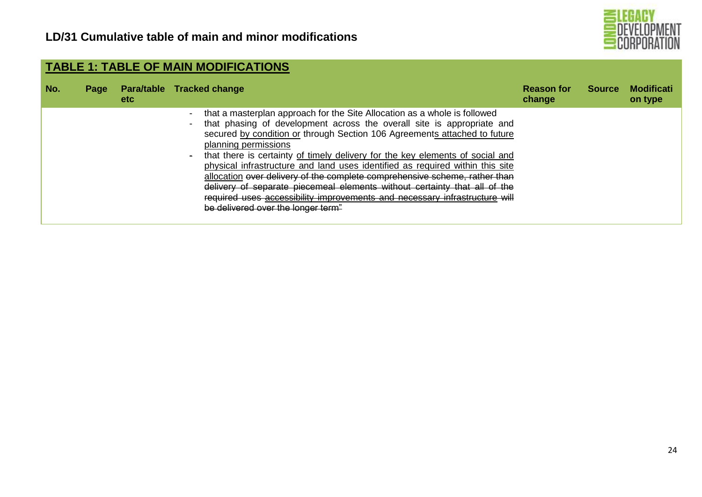

| No. | Page | etc. | Para/table Tracked change                                                                                                                                                                                                                                                                                                                                                                                                                                                                                                                                                                                                                                                                                           | <b>Reason for</b><br>change | <b>Source</b> | <b>Modificati</b><br>on type |
|-----|------|------|---------------------------------------------------------------------------------------------------------------------------------------------------------------------------------------------------------------------------------------------------------------------------------------------------------------------------------------------------------------------------------------------------------------------------------------------------------------------------------------------------------------------------------------------------------------------------------------------------------------------------------------------------------------------------------------------------------------------|-----------------------------|---------------|------------------------------|
|     |      |      | that a masterplan approach for the Site Allocation as a whole is followed<br>that phasing of development across the overall site is appropriate and<br>secured by condition or through Section 106 Agreements attached to future<br>planning permissions<br>that there is certainty of timely delivery for the key elements of social and<br>$\sim$<br>physical infrastructure and land uses identified as required within this site<br>allocation over delivery of the complete comprehensive scheme, rather than<br>delivery of separate piecemeal elements without certainty that all of the<br>required uses accessibility improvements and necessary infrastructure will<br>be delivered over the longer term" |                             |               |                              |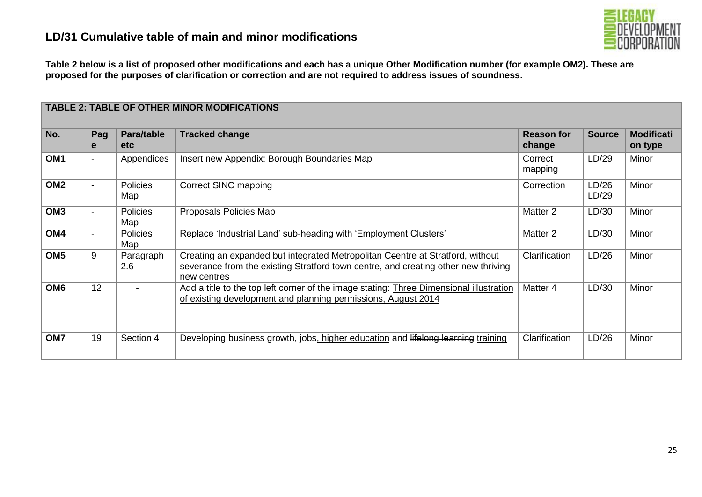

**Table 2 below is a list of proposed other modifications and each has a unique Other Modification number (for example OM2). These are proposed for the purposes of clarification or correction and are not required to address issues of soundness.** 

|                 | <b>TABLE 2: TABLE OF OTHER MINOR MODIFICATIONS</b> |                          |                                                                                                                                                                                     |                             |                |                              |  |  |  |
|-----------------|----------------------------------------------------|--------------------------|-------------------------------------------------------------------------------------------------------------------------------------------------------------------------------------|-----------------------------|----------------|------------------------------|--|--|--|
| No.             | Pag<br>e                                           | Para/table<br><b>etc</b> | <b>Tracked change</b>                                                                                                                                                               | <b>Reason for</b><br>change | <b>Source</b>  | <b>Modificati</b><br>on type |  |  |  |
| OM <sub>1</sub> | $\blacksquare$                                     | Appendices               | Insert new Appendix: Borough Boundaries Map                                                                                                                                         | Correct<br>mapping          | LD/29          | Minor                        |  |  |  |
| OM <sub>2</sub> | $\blacksquare$                                     | Policies<br>Map          | <b>Correct SINC mapping</b>                                                                                                                                                         | Correction                  | LD/26<br>LD/29 | Minor                        |  |  |  |
| OM <sub>3</sub> | $\blacksquare$                                     | <b>Policies</b><br>Map   | <b>Proposals Policies Map</b>                                                                                                                                                       | Matter <sub>2</sub>         | LD/30          | Minor                        |  |  |  |
| OM4             | $\overline{\phantom{a}}$                           | Policies<br>Map          | Replace 'Industrial Land' sub-heading with 'Employment Clusters'                                                                                                                    | Matter 2                    | LD/30          | Minor                        |  |  |  |
| OM <sub>5</sub> | 9                                                  | Paragraph<br>2.6         | Creating an expanded but integrated Metropolitan Ceentre at Stratford, without<br>severance from the existing Stratford town centre, and creating other new thriving<br>new centres | Clarification               | LD/26          | <b>Minor</b>                 |  |  |  |
| OM <sub>6</sub> | 12                                                 |                          | Add a title to the top left corner of the image stating: Three Dimensional illustration<br>of existing development and planning permissions, August 2014                            | Matter 4                    | LD/30          | Minor                        |  |  |  |
| OM7             | 19                                                 | Section 4                | Developing business growth, jobs, higher education and lifelong learning training                                                                                                   | Clarification               | LD/26          | Minor                        |  |  |  |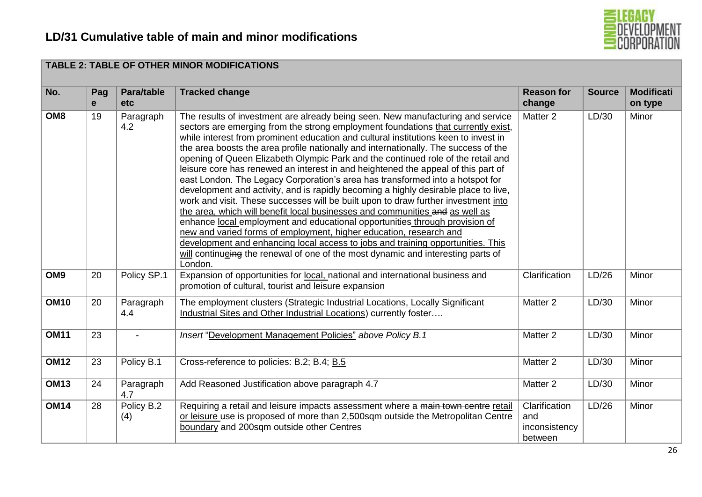

| No.             | Pag<br>e | Para/table<br>etc | <b>Tracked change</b>                                                                                                                                                                                                                                                                                                                                                                                                                                                                                                                                                                                                                                                                                                                                                                                                                                                                                                                                                                                                                                                                                                                                                                                            | <b>Reason for</b><br>change                      | <b>Source</b> | <b>Modificati</b><br>on type |
|-----------------|----------|-------------------|------------------------------------------------------------------------------------------------------------------------------------------------------------------------------------------------------------------------------------------------------------------------------------------------------------------------------------------------------------------------------------------------------------------------------------------------------------------------------------------------------------------------------------------------------------------------------------------------------------------------------------------------------------------------------------------------------------------------------------------------------------------------------------------------------------------------------------------------------------------------------------------------------------------------------------------------------------------------------------------------------------------------------------------------------------------------------------------------------------------------------------------------------------------------------------------------------------------|--------------------------------------------------|---------------|------------------------------|
| OM <sub>8</sub> | 19       | Paragraph<br>4.2  | The results of investment are already being seen. New manufacturing and service<br>sectors are emerging from the strong employment foundations that currently exist,<br>while interest from prominent education and cultural institutions keen to invest in<br>the area boosts the area profile nationally and internationally. The success of the<br>opening of Queen Elizabeth Olympic Park and the continued role of the retail and<br>leisure core has renewed an interest in and heightened the appeal of this part of<br>east London. The Legacy Corporation's area has transformed into a hotspot for<br>development and activity, and is rapidly becoming a highly desirable place to live,<br>work and visit. These successes will be built upon to draw further investment into<br>the area, which will benefit local businesses and communities and as well as<br>enhance local employment and educational opportunities through provision of<br>new and varied forms of employment, higher education, research and<br>development and enhancing local access to jobs and training opportunities. This<br>will continueing the renewal of one of the most dynamic and interesting parts of<br>London. | Matter 2                                         | LD/30         | Minor                        |
| OM <sub>9</sub> | 20       | Policy SP.1       | Expansion of opportunities for local, national and international business and<br>promotion of cultural, tourist and leisure expansion                                                                                                                                                                                                                                                                                                                                                                                                                                                                                                                                                                                                                                                                                                                                                                                                                                                                                                                                                                                                                                                                            | Clarification                                    | LD/26         | Minor                        |
| <b>OM10</b>     | 20       | Paragraph<br>4.4  | The employment clusters (Strategic Industrial Locations, Locally Significant<br>Industrial Sites and Other Industrial Locations) currently foster                                                                                                                                                                                                                                                                                                                                                                                                                                                                                                                                                                                                                                                                                                                                                                                                                                                                                                                                                                                                                                                                | Matter 2                                         | LD/30         | Minor                        |
| <b>OM11</b>     | 23       |                   | Insert "Development Management Policies" above Policy B.1                                                                                                                                                                                                                                                                                                                                                                                                                                                                                                                                                                                                                                                                                                                                                                                                                                                                                                                                                                                                                                                                                                                                                        | Matter 2                                         | LD/30         | Minor                        |
| <b>OM12</b>     | 23       | Policy B.1        | Cross-reference to policies: B.2; B.4; B.5                                                                                                                                                                                                                                                                                                                                                                                                                                                                                                                                                                                                                                                                                                                                                                                                                                                                                                                                                                                                                                                                                                                                                                       | Matter 2                                         | LD/30         | Minor                        |
| <b>OM13</b>     | 24       | Paragraph<br>4.7  | Add Reasoned Justification above paragraph 4.7                                                                                                                                                                                                                                                                                                                                                                                                                                                                                                                                                                                                                                                                                                                                                                                                                                                                                                                                                                                                                                                                                                                                                                   | Matter 2                                         | LD/30         | Minor                        |
| <b>OM14</b>     | 28       | Policy B.2<br>(4) | Requiring a retail and leisure impacts assessment where a main town centre retail<br>or leisure use is proposed of more than 2,500sqm outside the Metropolitan Centre<br>boundary and 200sqm outside other Centres                                                                                                                                                                                                                                                                                                                                                                                                                                                                                                                                                                                                                                                                                                                                                                                                                                                                                                                                                                                               | Clarification<br>and<br>inconsistency<br>between | LD/26         | Minor                        |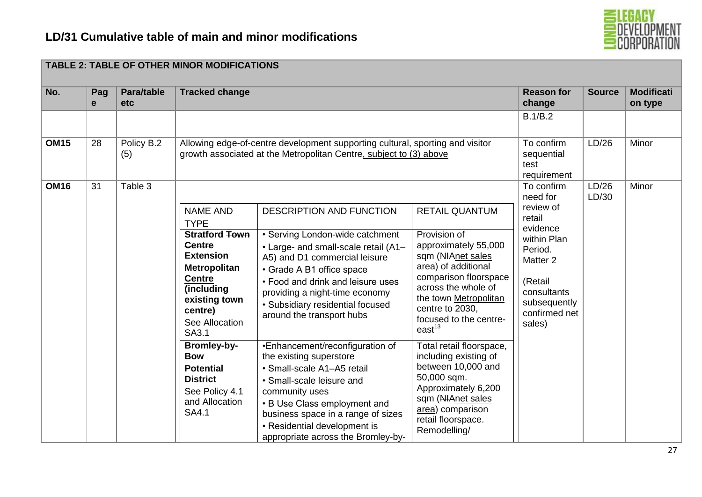

| No.         | Pag<br>e | Para/table<br>etc | <b>Tracked change</b>                                                                                                                                                                                     |                                                                                                                                                                                                                                                                                                           |                                                                                                                                                                                                                                                       | <b>Reason for</b><br>change                                                                                                                                                     | <b>Source</b>  | <b>Modificati</b><br>on type |
|-------------|----------|-------------------|-----------------------------------------------------------------------------------------------------------------------------------------------------------------------------------------------------------|-----------------------------------------------------------------------------------------------------------------------------------------------------------------------------------------------------------------------------------------------------------------------------------------------------------|-------------------------------------------------------------------------------------------------------------------------------------------------------------------------------------------------------------------------------------------------------|---------------------------------------------------------------------------------------------------------------------------------------------------------------------------------|----------------|------------------------------|
| <b>OM15</b> | 28       | Policy B.2        |                                                                                                                                                                                                           | Allowing edge-of-centre development supporting cultural, sporting and visitor                                                                                                                                                                                                                             |                                                                                                                                                                                                                                                       | B.1/B.2<br>To confirm                                                                                                                                                           | LD/26          | Minor                        |
|             |          | (5)               |                                                                                                                                                                                                           | growth associated at the Metropolitan Centre, subject to (3) above                                                                                                                                                                                                                                        |                                                                                                                                                                                                                                                       | sequential<br>test<br>requirement                                                                                                                                               |                |                              |
| <b>OM16</b> | 31       | Table 3           | <b>NAME AND</b><br><b>TYPE</b><br><b>Stratford Town</b><br><b>Centre</b><br><b>Extension</b><br><b>Metropolitan</b><br><b>Centre</b><br>(including<br>existing town<br>centre)<br>See Allocation<br>SA3.1 | DESCRIPTION AND FUNCTION<br>• Serving London-wide catchment<br>• Large- and small-scale retail (A1-<br>A5) and D1 commercial leisure<br>• Grade A B1 office space<br>• Food and drink and leisure uses<br>providing a night-time economy<br>• Subsidiary residential focused<br>around the transport hubs | <b>RETAIL QUANTUM</b><br>Provision of<br>approximately 55,000<br>sqm (NIAnet sales<br>area) of additional<br>comparison floorspace<br>across the whole of<br>the town Metropolitan<br>centre to 2030,<br>focused to the centre-<br>east <sup>13</sup> | To confirm<br>need for<br>review of<br>retail<br>evidence<br>within Plan<br>Period.<br>Matter <sub>2</sub><br>(Retail<br>consultants<br>subsequently<br>confirmed net<br>sales) | LD/26<br>LD/30 | Minor                        |
|             |          |                   | <b>Bromley-by-</b><br><b>Bow</b><br><b>Potential</b><br><b>District</b><br>See Policy 4.1<br>and Allocation<br>SA4.1                                                                                      | •Enhancement/reconfiguration of<br>the existing superstore<br>• Small-scale A1-A5 retail<br>· Small-scale leisure and<br>community uses<br>• B Use Class employment and<br>business space in a range of sizes<br>• Residential development is<br>appropriate across the Bromley-by-                       | Total retail floorspace,<br>including existing of<br>between 10,000 and<br>50,000 sqm.<br>Approximately 6,200<br>sqm (NIAnet sales<br>area) comparison<br>retail floorspace.<br>Remodelling/                                                          |                                                                                                                                                                                 |                |                              |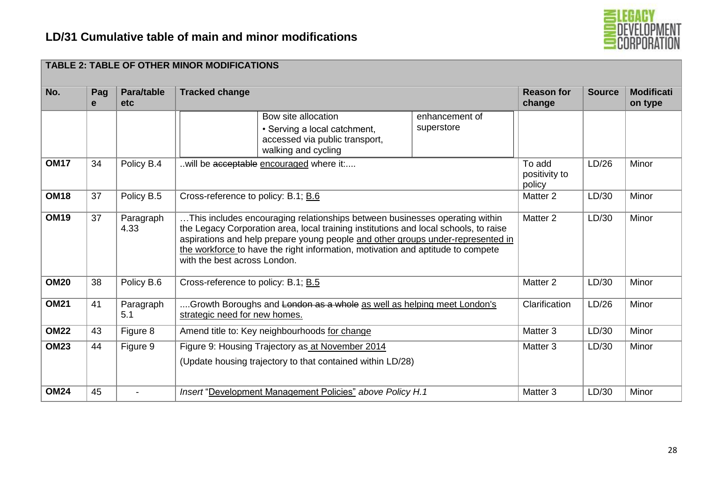

|             |          |                          | <b>TABLE 2: TABLE OF OTHER MINOR MODIFICATIONS</b> |                                                                                                                                                                                                                                                                                                                                                                           |                              |                                   |               |                              |
|-------------|----------|--------------------------|----------------------------------------------------|---------------------------------------------------------------------------------------------------------------------------------------------------------------------------------------------------------------------------------------------------------------------------------------------------------------------------------------------------------------------------|------------------------------|-----------------------------------|---------------|------------------------------|
| No.         | Pag<br>e | Para/table<br><b>etc</b> | <b>Tracked change</b>                              |                                                                                                                                                                                                                                                                                                                                                                           |                              | <b>Reason for</b><br>change       | <b>Source</b> | <b>Modificati</b><br>on type |
|             |          |                          |                                                    | Bow site allocation<br>• Serving a local catchment,<br>accessed via public transport,<br>walking and cycling                                                                                                                                                                                                                                                              | enhancement of<br>superstore |                                   |               |                              |
| <b>OM17</b> | 34       | Policy B.4               | will be acceptable encouraged where it:            |                                                                                                                                                                                                                                                                                                                                                                           |                              | To add<br>positivity to<br>policy | LD/26         | Minor                        |
| <b>OM18</b> | 37       | Policy B.5               | Cross-reference to policy: B.1; B.6                |                                                                                                                                                                                                                                                                                                                                                                           |                              | Matter <sub>2</sub>               | LD/30         | Minor                        |
| <b>OM19</b> | 37       | Paragraph<br>4.33        |                                                    | This includes encouraging relationships between businesses operating within<br>the Legacy Corporation area, local training institutions and local schools, to raise<br>aspirations and help prepare young people and other groups under-represented in<br>the workforce to have the right information, motivation and aptitude to compete<br>with the best across London. |                              | Matter 2                          | LD/30         | Minor                        |
| <b>OM20</b> | 38       | Policy B.6               | Cross-reference to policy: B.1; B.5                |                                                                                                                                                                                                                                                                                                                                                                           |                              | Matter <sub>2</sub>               | LD/30         | Minor                        |
| <b>OM21</b> | 41       | Paragraph<br>5.1         | strategic need for new homes.                      | Growth Boroughs and London as a whole as well as helping meet London's                                                                                                                                                                                                                                                                                                    |                              | Clarification                     | LD/26         | Minor                        |
| <b>OM22</b> | 43       | Figure 8                 | Amend title to: Key neighbourhoods for change      |                                                                                                                                                                                                                                                                                                                                                                           |                              | Matter 3                          | LD/30         | Minor                        |
| <b>OM23</b> | 44       | Figure 9                 |                                                    | Figure 9: Housing Trajectory as at November 2014<br>(Update housing trajectory to that contained within LD/28)                                                                                                                                                                                                                                                            |                              | Matter 3                          | LD/30         | Minor                        |
| <b>OM24</b> | 45       |                          |                                                    | Insert "Development Management Policies" above Policy H.1                                                                                                                                                                                                                                                                                                                 |                              | Matter 3                          | LD/30         | Minor                        |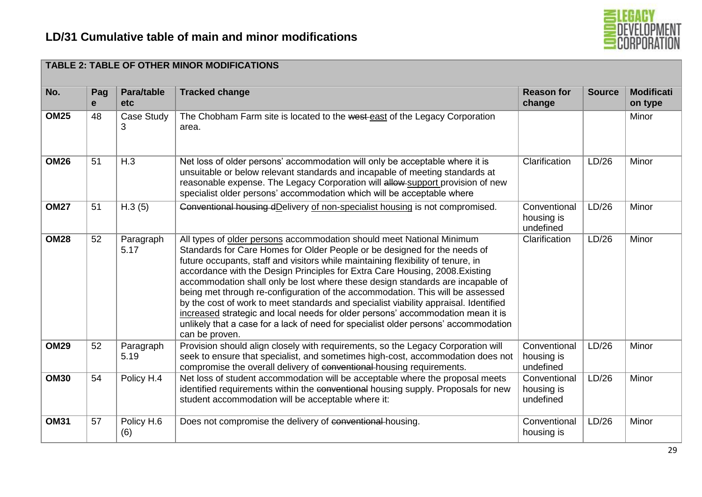

| No.         | Pag<br>e | Para/table<br>etc | <b>Tracked change</b>                                                                                                                                                                                                                                                                                                                                                                                                                                                                                                                                                                                                                                                                                                                                                          | <b>Reason for</b><br>change             | <b>Source</b> | <b>Modificati</b><br>on type |
|-------------|----------|-------------------|--------------------------------------------------------------------------------------------------------------------------------------------------------------------------------------------------------------------------------------------------------------------------------------------------------------------------------------------------------------------------------------------------------------------------------------------------------------------------------------------------------------------------------------------------------------------------------------------------------------------------------------------------------------------------------------------------------------------------------------------------------------------------------|-----------------------------------------|---------------|------------------------------|
| <b>OM25</b> | 48       | Case Study<br>3   | The Chobham Farm site is located to the west-east of the Legacy Corporation<br>area.                                                                                                                                                                                                                                                                                                                                                                                                                                                                                                                                                                                                                                                                                           |                                         |               | Minor                        |
| <b>OM26</b> | 51       | H.3               | Net loss of older persons' accommodation will only be acceptable where it is<br>unsuitable or below relevant standards and incapable of meeting standards at<br>reasonable expense. The Legacy Corporation will allow-support provision of new<br>specialist older persons' accommodation which will be acceptable where                                                                                                                                                                                                                                                                                                                                                                                                                                                       | Clarification                           | LD/26         | Minor                        |
| <b>OM27</b> | 51       | H.3(5)            | Conventional housing dDelivery of non-specialist housing is not compromised.                                                                                                                                                                                                                                                                                                                                                                                                                                                                                                                                                                                                                                                                                                   | Conventional<br>housing is<br>undefined | LD/26         | Minor                        |
| <b>OM28</b> | 52       | Paragraph<br>5.17 | All types of older persons accommodation should meet National Minimum<br>Standards for Care Homes for Older People or be designed for the needs of<br>future occupants, staff and visitors while maintaining flexibility of tenure, in<br>accordance with the Design Principles for Extra Care Housing, 2008. Existing<br>accommodation shall only be lost where these design standards are incapable of<br>being met through re-configuration of the accommodation. This will be assessed<br>by the cost of work to meet standards and specialist viability appraisal. Identified<br>increased strategic and local needs for older persons' accommodation mean it is<br>unlikely that a case for a lack of need for specialist older persons' accommodation<br>can be proven. | Clarification                           | LD/26         | Minor                        |
| <b>OM29</b> | 52       | Paragraph<br>5.19 | Provision should align closely with requirements, so the Legacy Corporation will<br>seek to ensure that specialist, and sometimes high-cost, accommodation does not<br>compromise the overall delivery of conventional-housing requirements.                                                                                                                                                                                                                                                                                                                                                                                                                                                                                                                                   | Conventional<br>housing is<br>undefined | LD/26         | Minor                        |
| <b>OM30</b> | 54       | Policy H.4        | Net loss of student accommodation will be acceptable where the proposal meets<br>identified requirements within the conventional housing supply. Proposals for new<br>student accommodation will be acceptable where it:                                                                                                                                                                                                                                                                                                                                                                                                                                                                                                                                                       | Conventional<br>housing is<br>undefined | LD/26         | Minor                        |
| <b>OM31</b> | 57       | Policy H.6<br>(6) | Does not compromise the delivery of conventional housing.                                                                                                                                                                                                                                                                                                                                                                                                                                                                                                                                                                                                                                                                                                                      | Conventional<br>housing is              | LD/26         | Minor                        |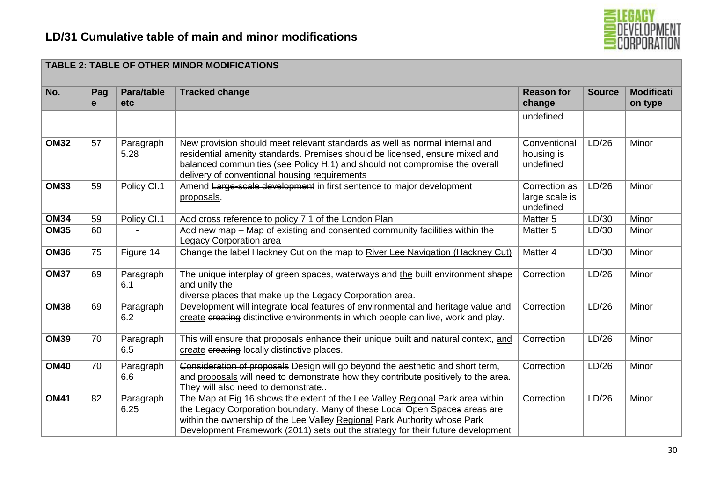

|             | <b>TABLE 2: TABLE OF OTHER MINOR MODIFICATIONS</b> |                          |                                                                                                                                                                                                                                                                                                                              |                                              |               |                              |  |  |
|-------------|----------------------------------------------------|--------------------------|------------------------------------------------------------------------------------------------------------------------------------------------------------------------------------------------------------------------------------------------------------------------------------------------------------------------------|----------------------------------------------|---------------|------------------------------|--|--|
| No.         | Pag<br>e                                           | Para/table<br><b>etc</b> | <b>Tracked change</b>                                                                                                                                                                                                                                                                                                        | <b>Reason for</b><br>change                  | <b>Source</b> | <b>Modificati</b><br>on type |  |  |
|             |                                                    |                          |                                                                                                                                                                                                                                                                                                                              | undefined                                    |               |                              |  |  |
| <b>OM32</b> | 57                                                 | Paragraph<br>5.28        | New provision should meet relevant standards as well as normal internal and<br>residential amenity standards. Premises should be licensed, ensure mixed and<br>balanced communities (see Policy H.1) and should not compromise the overall<br>delivery of conventional housing requirements                                  | Conventional<br>housing is<br>undefined      | LD/26         | Minor                        |  |  |
| <b>OM33</b> | 59                                                 | Policy CI.1              | Amend Large-scale development in first sentence to major development<br>proposals.                                                                                                                                                                                                                                           | Correction as<br>large scale is<br>undefined | LD/26         | Minor                        |  |  |
| <b>OM34</b> | 59                                                 | Policy CI.1              | Add cross reference to policy 7.1 of the London Plan                                                                                                                                                                                                                                                                         | Matter 5                                     | LD/30         | Minor                        |  |  |
| <b>OM35</b> | 60                                                 |                          | Add new map – Map of existing and consented community facilities within the<br>Legacy Corporation area                                                                                                                                                                                                                       | Matter <sub>5</sub>                          | LD/30         | Minor                        |  |  |
| <b>OM36</b> | 75                                                 | Figure 14                | Change the label Hackney Cut on the map to River Lee Navigation (Hackney Cut)                                                                                                                                                                                                                                                | Matter 4                                     | LD/30         | Minor                        |  |  |
| <b>OM37</b> | 69                                                 | Paragraph<br>6.1         | The unique interplay of green spaces, waterways and the built environment shape<br>and unify the<br>diverse places that make up the Legacy Corporation area.                                                                                                                                                                 | Correction                                   | LD/26         | Minor                        |  |  |
| <b>OM38</b> | 69                                                 | Paragraph<br>6.2         | Development will integrate local features of environmental and heritage value and<br>create creating distinctive environments in which people can live, work and play.                                                                                                                                                       | Correction                                   | LD/26         | Minor                        |  |  |
| <b>OM39</b> | 70                                                 | Paragraph<br>6.5         | This will ensure that proposals enhance their unique built and natural context, and<br>create creating locally distinctive places.                                                                                                                                                                                           | Correction                                   | LD/26         | Minor                        |  |  |
| <b>OM40</b> | 70                                                 | Paragraph<br>6.6         | Consideration of proposals Design will go beyond the aesthetic and short term,<br>and proposals will need to demonstrate how they contribute positively to the area.<br>They will also need to demonstrate                                                                                                                   | Correction                                   | LD/26         | Minor                        |  |  |
| <b>OM41</b> | 82                                                 | Paragraph<br>6.25        | The Map at Fig 16 shows the extent of the Lee Valley Regional Park area within<br>the Legacy Corporation boundary. Many of these Local Open Spaces areas are<br>within the ownership of the Lee Valley Regional Park Authority whose Park<br>Development Framework (2011) sets out the strategy for their future development | Correction                                   | LD/26         | Minor                        |  |  |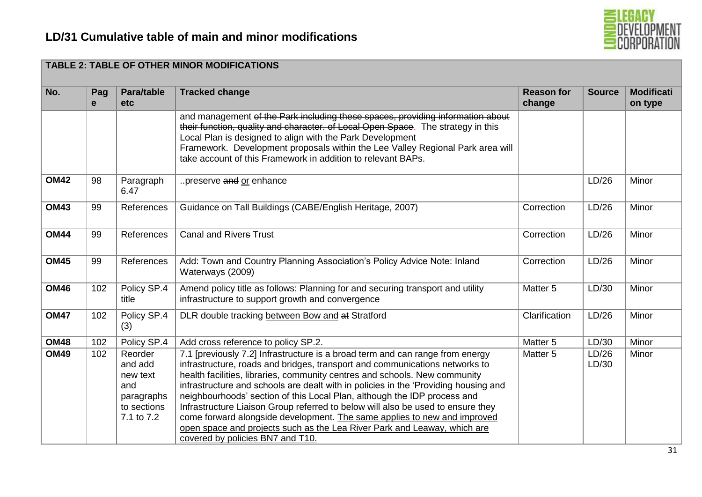

| No.         | Pag<br>e | Para/table<br>etc.                                                               | <b>Tracked change</b>                                                                                                                                                                                                                                                                                                                                                                                                                                                                                                                                                                                                                                                                        | <b>Reason for</b><br>change | <b>Source</b>  | <b>Modificati</b><br>on type |
|-------------|----------|----------------------------------------------------------------------------------|----------------------------------------------------------------------------------------------------------------------------------------------------------------------------------------------------------------------------------------------------------------------------------------------------------------------------------------------------------------------------------------------------------------------------------------------------------------------------------------------------------------------------------------------------------------------------------------------------------------------------------------------------------------------------------------------|-----------------------------|----------------|------------------------------|
|             |          |                                                                                  | and management of the Park including these spaces, providing information about<br>their function, quality and character, of Local Open Space. The strategy in this<br>Local Plan is designed to align with the Park Development<br>Framework. Development proposals within the Lee Valley Regional Park area will<br>take account of this Framework in addition to relevant BAPs.                                                                                                                                                                                                                                                                                                            |                             |                |                              |
| <b>OM42</b> | 98       | Paragraph<br>6.47                                                                | preserve and or enhance                                                                                                                                                                                                                                                                                                                                                                                                                                                                                                                                                                                                                                                                      |                             | LD/26          | Minor                        |
| <b>OM43</b> | 99       | References                                                                       | Guidance on Tall Buildings (CABE/English Heritage, 2007)                                                                                                                                                                                                                                                                                                                                                                                                                                                                                                                                                                                                                                     | Correction                  | LD/26          | Minor                        |
| <b>OM44</b> | 99       | References                                                                       | <b>Canal and Rivers Trust</b>                                                                                                                                                                                                                                                                                                                                                                                                                                                                                                                                                                                                                                                                | Correction                  | LD/26          | Minor                        |
| <b>OM45</b> | 99       | References                                                                       | Add: Town and Country Planning Association's Policy Advice Note: Inland<br>Waterways (2009)                                                                                                                                                                                                                                                                                                                                                                                                                                                                                                                                                                                                  | Correction                  | LD/26          | Minor                        |
| <b>OM46</b> | 102      | Policy SP.4<br>title                                                             | Amend policy title as follows: Planning for and securing transport and utility<br>infrastructure to support growth and convergence                                                                                                                                                                                                                                                                                                                                                                                                                                                                                                                                                           | Matter <sub>5</sub>         | LD/30          | Minor                        |
| <b>OM47</b> | 102      | Policy SP.4<br>(3)                                                               | DLR double tracking between Bow and at Stratford                                                                                                                                                                                                                                                                                                                                                                                                                                                                                                                                                                                                                                             | Clarification               | LD/26          | Minor                        |
| <b>OM48</b> | 102      | Policy SP.4                                                                      | Add cross reference to policy SP.2.                                                                                                                                                                                                                                                                                                                                                                                                                                                                                                                                                                                                                                                          | Matter <sub>5</sub>         | LD/30          | Minor                        |
| <b>OM49</b> | 102      | Reorder<br>and add<br>new text<br>and<br>paragraphs<br>to sections<br>7.1 to 7.2 | 7.1 [previously 7.2] Infrastructure is a broad term and can range from energy<br>infrastructure, roads and bridges, transport and communications networks to<br>health facilities, libraries, community centres and schools. New community<br>infrastructure and schools are dealt with in policies in the 'Providing housing and<br>neighbourhoods' section of this Local Plan, although the IDP process and<br>Infrastructure Liaison Group referred to below will also be used to ensure they<br>come forward alongside development. The same applies to new and improved<br>open space and projects such as the Lea River Park and Leaway, which are<br>covered by policies BN7 and T10. | Matter 5                    | LD/26<br>LD/30 | Minor                        |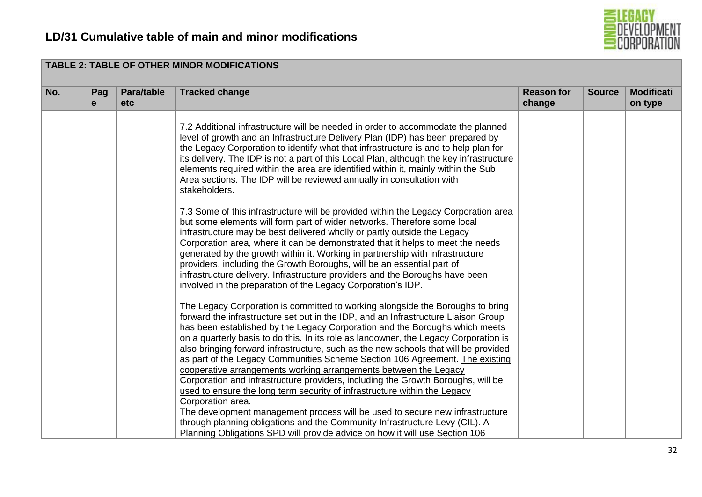

| No. | Pag<br>e | Para/table<br><b>etc</b> | <b>Tracked change</b>                                                                                                                                                                                                                                                                                                                                                                                                                                                                                                                                                                                                                                                                                                                                                                                                                                                                                                                       | <b>Reason for</b><br>change | <b>Source</b> | <b>Modificati</b><br>on type |
|-----|----------|--------------------------|---------------------------------------------------------------------------------------------------------------------------------------------------------------------------------------------------------------------------------------------------------------------------------------------------------------------------------------------------------------------------------------------------------------------------------------------------------------------------------------------------------------------------------------------------------------------------------------------------------------------------------------------------------------------------------------------------------------------------------------------------------------------------------------------------------------------------------------------------------------------------------------------------------------------------------------------|-----------------------------|---------------|------------------------------|
|     |          |                          | 7.2 Additional infrastructure will be needed in order to accommodate the planned<br>level of growth and an Infrastructure Delivery Plan (IDP) has been prepared by<br>the Legacy Corporation to identify what that infrastructure is and to help plan for<br>its delivery. The IDP is not a part of this Local Plan, although the key infrastructure<br>elements required within the area are identified within it, mainly within the Sub<br>Area sections. The IDP will be reviewed annually in consultation with<br>stakeholders.                                                                                                                                                                                                                                                                                                                                                                                                         |                             |               |                              |
|     |          |                          | 7.3 Some of this infrastructure will be provided within the Legacy Corporation area<br>but some elements will form part of wider networks. Therefore some local<br>infrastructure may be best delivered wholly or partly outside the Legacy<br>Corporation area, where it can be demonstrated that it helps to meet the needs<br>generated by the growth within it. Working in partnership with infrastructure<br>providers, including the Growth Boroughs, will be an essential part of<br>infrastructure delivery. Infrastructure providers and the Boroughs have been<br>involved in the preparation of the Legacy Corporation's IDP.                                                                                                                                                                                                                                                                                                    |                             |               |                              |
|     |          |                          | The Legacy Corporation is committed to working alongside the Boroughs to bring<br>forward the infrastructure set out in the IDP, and an Infrastructure Liaison Group<br>has been established by the Legacy Corporation and the Boroughs which meets<br>on a quarterly basis to do this. In its role as landowner, the Legacy Corporation is<br>also bringing forward infrastructure, such as the new schools that will be provided<br>as part of the Legacy Communities Scheme Section 106 Agreement. The existing<br>cooperative arrangements working arrangements between the Legacy<br>Corporation and infrastructure providers, including the Growth Boroughs, will be<br>used to ensure the long term security of infrastructure within the Legacy<br>Corporation area.<br>The development management process will be used to secure new infrastructure<br>through planning obligations and the Community Infrastructure Levy (CIL). A |                             |               |                              |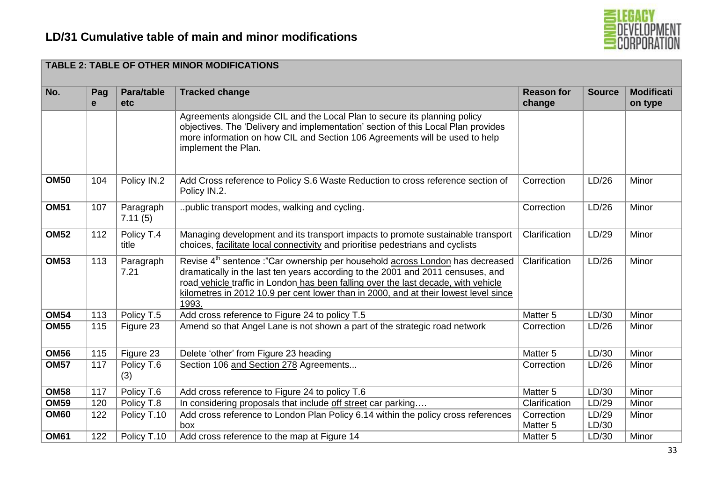

| No.         | Pag<br>e | Para/table<br><b>etc</b> | <b>Tracked change</b>                                                                                                                                                                                                                                                                                                                                               | <b>Reason for</b><br>change | <b>Source</b>  | <b>Modificati</b><br>on type |
|-------------|----------|--------------------------|---------------------------------------------------------------------------------------------------------------------------------------------------------------------------------------------------------------------------------------------------------------------------------------------------------------------------------------------------------------------|-----------------------------|----------------|------------------------------|
|             |          |                          | Agreements alongside CIL and the Local Plan to secure its planning policy<br>objectives. The 'Delivery and implementation' section of this Local Plan provides<br>more information on how CIL and Section 106 Agreements will be used to help<br>implement the Plan.                                                                                                |                             |                |                              |
| <b>OM50</b> | 104      | Policy IN.2              | Add Cross reference to Policy S.6 Waste Reduction to cross reference section of<br>Policy IN.2.                                                                                                                                                                                                                                                                     | Correction                  | LD/26          | Minor                        |
| <b>OM51</b> | 107      | Paragraph<br>7.11(5)     | public transport modes, walking and cycling.                                                                                                                                                                                                                                                                                                                        | Correction                  | LD/26          | Minor                        |
| <b>OM52</b> | 112      | Policy T.4<br>title      | Managing development and its transport impacts to promote sustainable transport<br>choices, facilitate local connectivity and prioritise pedestrians and cyclists                                                                                                                                                                                                   | Clarification               | LD/29          | Minor                        |
| <b>OM53</b> | 113      | Paragraph<br>7.21        | Revise 4 <sup>th</sup> sentence :"Car ownership per household across London has decreased<br>dramatically in the last ten years according to the 2001 and 2011 censuses, and<br>road vehicle traffic in London has been falling over the last decade, with vehicle<br>kilometres in 2012 10.9 per cent lower than in 2000, and at their lowest level since<br>1993. | Clarification               | LD/26          | Minor                        |
| <b>OM54</b> | 113      | Policy T.5               | Add cross reference to Figure 24 to policy T.5                                                                                                                                                                                                                                                                                                                      | Matter <sub>5</sub>         | LD/30          | Minor                        |
| <b>OM55</b> | 115      | Figure 23                | Amend so that Angel Lane is not shown a part of the strategic road network                                                                                                                                                                                                                                                                                          | Correction                  | LD/26          | Minor                        |
| <b>OM56</b> | 115      | Figure 23                | Delete 'other' from Figure 23 heading                                                                                                                                                                                                                                                                                                                               | Matter 5                    | LD/30          | Minor                        |
| OM57        | 117      | Policy T.6<br>(3)        | Section 106 and Section 278 Agreements                                                                                                                                                                                                                                                                                                                              | Correction                  | LD/26          | Minor                        |
| <b>OM58</b> | 117      | Policy T.6               | Add cross reference to Figure 24 to policy T.6                                                                                                                                                                                                                                                                                                                      | Matter 5                    | LD/30          | Minor                        |
| <b>OM59</b> | 120      | Policy T.8               | In considering proposals that include off street car parking                                                                                                                                                                                                                                                                                                        | Clarification               | LD/29          | Minor                        |
| <b>OM60</b> | 122      | Policy T.10              | Add cross reference to London Plan Policy 6.14 within the policy cross references<br>box                                                                                                                                                                                                                                                                            | Correction<br>Matter 5      | LD/29<br>LD/30 | Minor                        |
| <b>OM61</b> | 122      | Policy T.10              | Add cross reference to the map at Figure 14                                                                                                                                                                                                                                                                                                                         | Matter <sub>5</sub>         | LD/30          | Minor                        |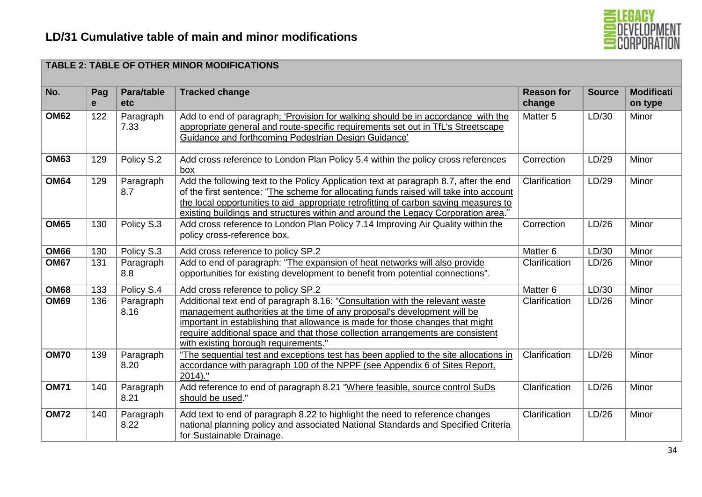

#### **TABLE 2: TABLE OF OTHER MINOR MODIFICATIONS No. Pag e Para/table etc Tracked change Reason for Reason for change Source Modificati on type OM62** 122 Paragraph 7.33 Add to end of paragraph: 'Provision for walking should be in accordance with the appropriate general and route-specific requirements set out in TfL's Streetscape Guidance and forthcoming Pedestrian Design Guidance' Matter 5 LD/30 Minor **OM63** 129 Policy S.2 Add cross reference to London Plan Policy 5.4 within the policy cross references box Correction LD/29 Minor **OM64** 129 Paragraph 8.7 Add the following text to the Policy Application text at paragraph 8.7, after the end of the first sentence: "The scheme for allocating funds raised will take into account the local opportunities to aid appropriate retrofitting of carbon saving measures to existing buildings and structures within and around the Legacy Corporation area." Clarification LD/29 Minor **OM65** | 130 | Policy S.3 | Add cross reference to London Plan Policy 7.14 Improving Air Quality within the policy cross-reference box. Correction LD/26 Minor **OM66** 130 Policy S.3 Add cross reference to policy SP.2 Matter 6 Matter 6 LD/30 Minor **OM67** 131 Paragraph 8.8 Add to end of paragraph: "The expansion of heat networks will also provide opportunities for existing development to benefit from potential connections". Clarification LD/26 Minor **OM68** 133 Policy S.4 Add cross reference to policy SP.2 Matter 6 LD/30 Minor **OM69** 136 Paragraph 8.16 Additional text end of paragraph 8.16: "Consultation with the relevant waste management authorities at the time of any proposal's development will be important in establishing that allowance is made for those changes that might require additional space and that those collection arrangements are consistent with existing borough requirements." Clarification LD/26 Minor **OM70** 139 Paragraph 8.20 "The sequential test and exceptions test has been applied to the site allocations in accordance with paragraph 100 of the NPPF (see Appendix 6 of Sites Report,  $2014$ )." Clarification LD/26 Minor **OM71** | 140 | Paragraph 8.21 Add reference to end of paragraph 8.21 "Where feasible, source control SuDs should be used." Clarification LD/26 Minor **OM72** 140 Paragraph 8.22 Add text to end of paragraph 8.22 to highlight the need to reference changes national planning policy and associated National Standards and Specified Criteria for Sustainable Drainage. Clarification LD/26 Minor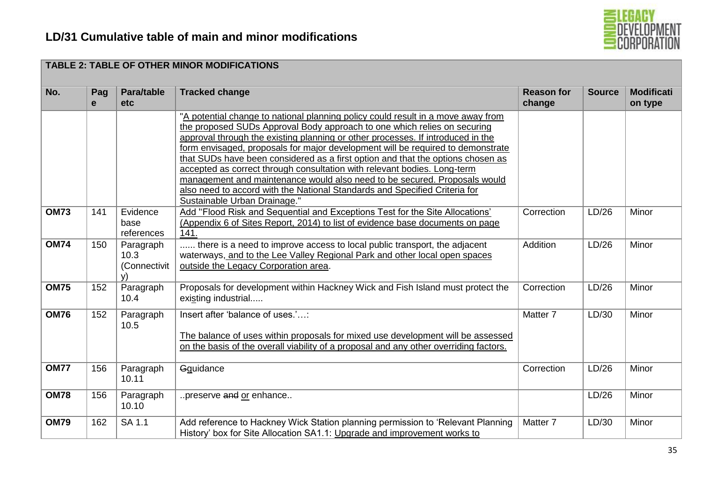

| No.         | Pag<br>e | Para/table<br><b>etc</b>                | <b>Tracked change</b>                                                                                                                                                                                                                                                                                                                                                                                                                                                                                                                                                                                                                                        | <b>Reason for</b><br>change | <b>Source</b> | <b>Modificati</b><br>on type |
|-------------|----------|-----------------------------------------|--------------------------------------------------------------------------------------------------------------------------------------------------------------------------------------------------------------------------------------------------------------------------------------------------------------------------------------------------------------------------------------------------------------------------------------------------------------------------------------------------------------------------------------------------------------------------------------------------------------------------------------------------------------|-----------------------------|---------------|------------------------------|
|             |          |                                         | "A potential change to national planning policy could result in a move away from<br>the proposed SUDs Approval Body approach to one which relies on securing<br>approval through the existing planning or other processes. If introduced in the<br>form envisaged, proposals for major development will be required to demonstrate<br>that SUDs have been considered as a first option and that the options chosen as<br>accepted as correct through consultation with relevant bodies. Long-term<br>management and maintenance would also need to be secured. Proposals would<br>also need to accord with the National Standards and Specified Criteria for |                             |               |                              |
| <b>OM73</b> | 141      | Evidence<br>base<br>references          | Sustainable Urban Drainage."<br>Add "Flood Risk and Sequential and Exceptions Test for the Site Allocations'<br>(Appendix 6 of Sites Report, 2014) to list of evidence base documents on page<br>141.                                                                                                                                                                                                                                                                                                                                                                                                                                                        | Correction                  | LD/26         | Minor                        |
| <b>OM74</b> | 150      | Paragraph<br>10.3<br>(Connectivit<br>v) | there is a need to improve access to local public transport, the adjacent<br>waterways, and to the Lee Valley Regional Park and other local open spaces<br>outside the Legacy Corporation area.                                                                                                                                                                                                                                                                                                                                                                                                                                                              | Addition                    | LD/26         | Minor                        |
| <b>OM75</b> | 152      | Paragraph<br>10.4                       | Proposals for development within Hackney Wick and Fish Island must protect the<br>existing industrial                                                                                                                                                                                                                                                                                                                                                                                                                                                                                                                                                        | Correction                  | LD/26         | Minor                        |
| <b>OM76</b> | 152      | Paragraph<br>10.5                       | Insert after 'balance of uses.':<br>The balance of uses within proposals for mixed use development will be assessed<br>on the basis of the overall viability of a proposal and any other overriding factors.                                                                                                                                                                                                                                                                                                                                                                                                                                                 | Matter 7                    | LD/30         | Minor                        |
| <b>OM77</b> | 156      | Paragraph<br>10.11                      | Gguidance                                                                                                                                                                                                                                                                                                                                                                                                                                                                                                                                                                                                                                                    | Correction                  | LD/26         | Minor                        |
| <b>OM78</b> | 156      | Paragraph<br>10.10                      | preserve and or enhance                                                                                                                                                                                                                                                                                                                                                                                                                                                                                                                                                                                                                                      |                             | LD/26         | Minor                        |
| <b>OM79</b> | 162      | SA 1.1                                  | Add reference to Hackney Wick Station planning permission to 'Relevant Planning<br>History' box for Site Allocation SA1.1: Upgrade and improvement works to                                                                                                                                                                                                                                                                                                                                                                                                                                                                                                  | Matter 7                    | LD/30         | Minor                        |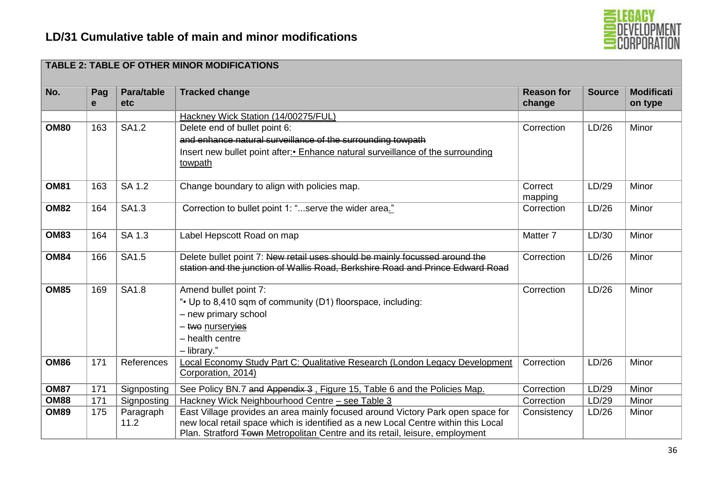

| No.         | Pag<br>e | Para/table<br><b>etc</b> | <b>Tracked change</b>                                                              | <b>Reason for</b><br>change | <b>Source</b> | <b>Modificati</b><br>on type |
|-------------|----------|--------------------------|------------------------------------------------------------------------------------|-----------------------------|---------------|------------------------------|
|             |          |                          | Hackney Wick Station (14/00275/FUL)                                                |                             |               |                              |
| <b>OM80</b> | 163      | <b>SA1.2</b>             | Delete end of bullet point 6:                                                      | Correction                  | LD/26         | Minor                        |
|             |          |                          | and enhance natural surveillance of the surrounding towpath                        |                             |               |                              |
|             |          |                          | Insert new bullet point after: • Enhance natural surveillance of the surrounding   |                             |               |                              |
|             |          |                          | towpath                                                                            |                             |               |                              |
| <b>OM81</b> | 163      | SA 1.2                   | Change boundary to align with policies map.                                        | Correct                     | LD/29         | Minor                        |
|             |          |                          |                                                                                    | mapping                     |               |                              |
| <b>OM82</b> | 164      | SA1.3                    | Correction to bullet point 1: "serve the wider area."                              | Correction                  | LD/26         | Minor                        |
|             |          |                          |                                                                                    |                             |               |                              |
| <b>OM83</b> | 164      | SA 1.3                   | Label Hepscott Road on map                                                         | Matter <sub>7</sub>         | LD/30         | Minor                        |
|             |          |                          |                                                                                    |                             |               |                              |
| <b>OM84</b> | 166      | SA1.5                    | Delete bullet point 7: New retail uses should be mainly focussed around the        | Correction                  | LD/26         | Minor                        |
|             |          |                          | station and the junction of Wallis Road, Berkshire Road and Prince Edward Road     |                             |               |                              |
| <b>OM85</b> | 169      | <b>SA1.8</b>             | Amend bullet point 7:                                                              | Correction                  | LD/26         | Minor                        |
|             |          |                          | ". Up to 8,410 sqm of community (D1) floorspace, including:                        |                             |               |                              |
|             |          |                          | - new primary school                                                               |                             |               |                              |
|             |          |                          | - two nurservies                                                                   |                             |               |                              |
|             |          |                          | - health centre                                                                    |                             |               |                              |
|             |          |                          | - library."                                                                        |                             |               |                              |
| <b>OM86</b> | 171      | References               | Local Economy Study Part C: Qualitative Research (London Legacy Development        | Correction                  | LD/26         | Minor                        |
|             |          |                          | Corporation, 2014)                                                                 |                             |               |                              |
| <b>OM87</b> | 171      | Signposting              | See Policy BN.7 and Appendix 3, Figure 15, Table 6 and the Policies Map.           | Correction                  | LD/29         | Minor                        |
| <b>OM88</b> | 171      | Signposting              | Hackney Wick Neighbourhood Centre - see Table 3                                    | Correction                  | LD/29         | Minor                        |
| <b>OM89</b> | 175      | Paragraph                | East Village provides an area mainly focused around Victory Park open space for    | Consistency                 | LD/26         | Minor                        |
|             |          | 11.2                     | new local retail space which is identified as a new Local Centre within this Local |                             |               |                              |
|             |          |                          | Plan. Stratford Town Metropolitan Centre and its retail, leisure, employment       |                             |               |                              |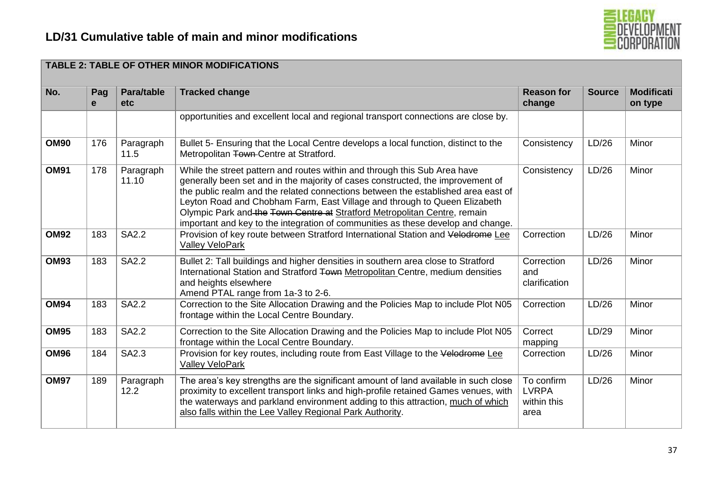

| No.         | Pag<br>e | Para/table<br>etc  | <b>Tracked change</b>                                                                                                                                                                                                                                                                                                                                                                                                                                                                           | <b>Reason for</b><br>change                       | <b>Source</b> | <b>Modificati</b><br>on type |
|-------------|----------|--------------------|-------------------------------------------------------------------------------------------------------------------------------------------------------------------------------------------------------------------------------------------------------------------------------------------------------------------------------------------------------------------------------------------------------------------------------------------------------------------------------------------------|---------------------------------------------------|---------------|------------------------------|
|             |          |                    | opportunities and excellent local and regional transport connections are close by.                                                                                                                                                                                                                                                                                                                                                                                                              |                                                   |               |                              |
| <b>OM90</b> | 176      | Paragraph<br>11.5  | Bullet 5- Ensuring that the Local Centre develops a local function, distinct to the<br>Metropolitan Town-Centre at Stratford.                                                                                                                                                                                                                                                                                                                                                                   | Consistency                                       | LD/26         | Minor                        |
| <b>OM91</b> | 178      | Paragraph<br>11.10 | While the street pattern and routes within and through this Sub Area have<br>generally been set and in the majority of cases constructed, the improvement of<br>the public realm and the related connections between the established area east of<br>Leyton Road and Chobham Farm, East Village and through to Queen Elizabeth<br>Olympic Park and the Town Centre at Stratford Metropolitan Centre, remain<br>important and key to the integration of communities as these develop and change. | Consistency                                       | LD/26         | Minor                        |
| <b>OM92</b> | 183      | <b>SA2.2</b>       | Provision of key route between Stratford International Station and Velodrome Lee<br>Valley VeloPark                                                                                                                                                                                                                                                                                                                                                                                             | Correction                                        | LD/26         | Minor                        |
| <b>OM93</b> | 183      | <b>SA2.2</b>       | Bullet 2: Tall buildings and higher densities in southern area close to Stratford<br>International Station and Stratford Town Metropolitan Centre, medium densities<br>and heights elsewhere<br>Amend PTAL range from 1a-3 to 2-6.                                                                                                                                                                                                                                                              | Correction<br>and<br>clarification                | LD/26         | Minor                        |
| <b>OM94</b> | 183      | <b>SA2.2</b>       | Correction to the Site Allocation Drawing and the Policies Map to include Plot N05<br>frontage within the Local Centre Boundary.                                                                                                                                                                                                                                                                                                                                                                | Correction                                        | LD/26         | Minor                        |
| <b>OM95</b> | 183      | <b>SA2.2</b>       | Correction to the Site Allocation Drawing and the Policies Map to include Plot N05<br>frontage within the Local Centre Boundary.                                                                                                                                                                                                                                                                                                                                                                | Correct<br>mapping                                | LD/29         | Minor                        |
| <b>OM96</b> | 184      | SA2.3              | Provision for key routes, including route from East Village to the Velodrome Lee<br><b>Valley VeloPark</b>                                                                                                                                                                                                                                                                                                                                                                                      | Correction                                        | LD/26         | Minor                        |
| <b>OM97</b> | 189      | Paragraph<br>12.2  | The area's key strengths are the significant amount of land available in such close<br>proximity to excellent transport links and high-profile retained Games venues, with<br>the waterways and parkland environment adding to this attraction, much of which<br>also falls within the Lee Valley Regional Park Authority.                                                                                                                                                                      | To confirm<br><b>LVRPA</b><br>within this<br>area | LD/26         | Minor                        |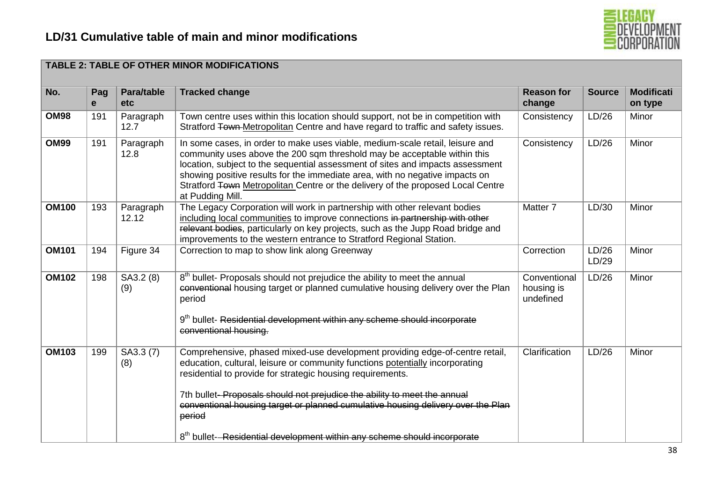

|              |          |                    | <b>TABLE 2: TABLE OF OTHER MINOR MODIFICATIONS</b>                                                                                                                                                                                                                                                                                                                                                                                                                                           |                                         |                |                              |
|--------------|----------|--------------------|----------------------------------------------------------------------------------------------------------------------------------------------------------------------------------------------------------------------------------------------------------------------------------------------------------------------------------------------------------------------------------------------------------------------------------------------------------------------------------------------|-----------------------------------------|----------------|------------------------------|
| No.          | Pag<br>e | Para/table<br>etc  | <b>Tracked change</b>                                                                                                                                                                                                                                                                                                                                                                                                                                                                        | <b>Reason for</b><br>change             | <b>Source</b>  | <b>Modificati</b><br>on type |
| <b>OM98</b>  | 191      | Paragraph<br>12.7  | Town centre uses within this location should support, not be in competition with<br>Stratford Town-Metropolitan Centre and have regard to traffic and safety issues.                                                                                                                                                                                                                                                                                                                         | Consistency                             | LD/26          | Minor                        |
| <b>OM99</b>  | 191      | Paragraph<br>12.8  | In some cases, in order to make uses viable, medium-scale retail, leisure and<br>community uses above the 200 sqm threshold may be acceptable within this<br>location, subject to the sequential assessment of sites and impacts assessment<br>showing positive results for the immediate area, with no negative impacts on<br>Stratford Town Metropolitan Centre or the delivery of the proposed Local Centre<br>at Pudding Mill.                                                           | Consistency                             | LD/26          | Minor                        |
| <b>OM100</b> | 193      | Paragraph<br>12.12 | The Legacy Corporation will work in partnership with other relevant bodies<br>including local communities to improve connections in partnership with other<br>relevant bodies, particularly on key projects, such as the Jupp Road bridge and<br>improvements to the western entrance to Stratford Regional Station.                                                                                                                                                                         | Matter <sub>7</sub>                     | LD/30          | Minor                        |
| <b>OM101</b> | 194      | Figure 34          | Correction to map to show link along Greenway                                                                                                                                                                                                                                                                                                                                                                                                                                                | Correction                              | LD/26<br>LD/29 | Minor                        |
| <b>OM102</b> | 198      | SA3.2 (8)<br>(9)   | 8 <sup>th</sup> bullet- Proposals should not prejudice the ability to meet the annual<br>conventional housing target or planned cumulative housing delivery over the Plan<br>period<br>9 <sup>th</sup> bullet- Residential development within any scheme should incorporate<br>conventional housing.                                                                                                                                                                                         | Conventional<br>housing is<br>undefined | LD/26          | Minor                        |
| <b>OM103</b> | 199      | SA3.3 (7)<br>(8)   | Comprehensive, phased mixed-use development providing edge-of-centre retail,<br>education, cultural, leisure or community functions potentially incorporating<br>residential to provide for strategic housing requirements.<br>7th bullet-Proposals should not prejudice the ability to meet the annual<br>conventional housing target or planned cumulative housing delivery over the Plan<br>period<br>8 <sup>th</sup> bullet-Residential development within any scheme should incorporate | Clarification                           | LD/26          | Minor                        |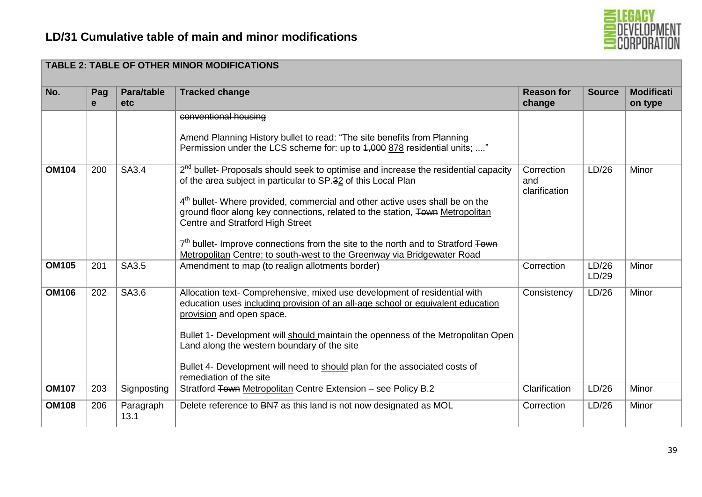

|              |                     |                   | <b>TABLE 2: TABLE OF OTHER MINOR MODIFICATIONS</b>                                                                                                                                                                                                                                                                                                                                                                                                                                                                                                           |                                    |                |                              |
|--------------|---------------------|-------------------|--------------------------------------------------------------------------------------------------------------------------------------------------------------------------------------------------------------------------------------------------------------------------------------------------------------------------------------------------------------------------------------------------------------------------------------------------------------------------------------------------------------------------------------------------------------|------------------------------------|----------------|------------------------------|
| No.          | Pag<br>$\mathbf{e}$ | Para/table<br>etc | <b>Tracked change</b>                                                                                                                                                                                                                                                                                                                                                                                                                                                                                                                                        | <b>Reason for</b><br>change        | <b>Source</b>  | <b>Modificati</b><br>on type |
|              |                     |                   | conventional housing<br>Amend Planning History bullet to read: "The site benefits from Planning<br>Permission under the LCS scheme for: up to 4,000 878 residential units; "                                                                                                                                                                                                                                                                                                                                                                                 |                                    |                |                              |
| <b>OM104</b> | 200                 | SA3.4             | 2 <sup>nd</sup> bullet- Proposals should seek to optimise and increase the residential capacity<br>of the area subject in particular to SP.32 of this Local Plan<br>4 <sup>th</sup> bullet- Where provided, commercial and other active uses shall be on the<br>ground floor along key connections, related to the station, Town Metropolitan<br>Centre and Stratford High Street<br>7 <sup>th</sup> bullet- Improve connections from the site to the north and to Stratford Town<br>Metropolitan Centre; to south-west to the Greenway via Bridgewater Road | Correction<br>and<br>clarification | LD/26          | Minor                        |
| <b>OM105</b> | 201                 | SA3.5             | Amendment to map (to realign allotments border)                                                                                                                                                                                                                                                                                                                                                                                                                                                                                                              | Correction                         | LD/26<br>LD/29 | Minor                        |
| <b>OM106</b> | 202                 | SA3.6             | Allocation text- Comprehensive, mixed use development of residential with<br>education uses including provision of an all-age school or equivalent education<br>provision and open space.<br>Bullet 1- Development will should maintain the openness of the Metropolitan Open<br>Land along the western boundary of the site<br>Bullet 4- Development will need to should plan for the associated costs of<br>remediation of the site                                                                                                                        | Consistency                        | LD/26          | Minor                        |
| <b>OM107</b> | 203                 | Signposting       | Stratford Town Metropolitan Centre Extension - see Policy B.2                                                                                                                                                                                                                                                                                                                                                                                                                                                                                                | Clarification                      | LD/26          | Minor                        |
| <b>OM108</b> | 206                 | Paragraph<br>13.1 | Delete reference to BN7 as this land is not now designated as MOL                                                                                                                                                                                                                                                                                                                                                                                                                                                                                            | Correction                         | LD/26          | Minor                        |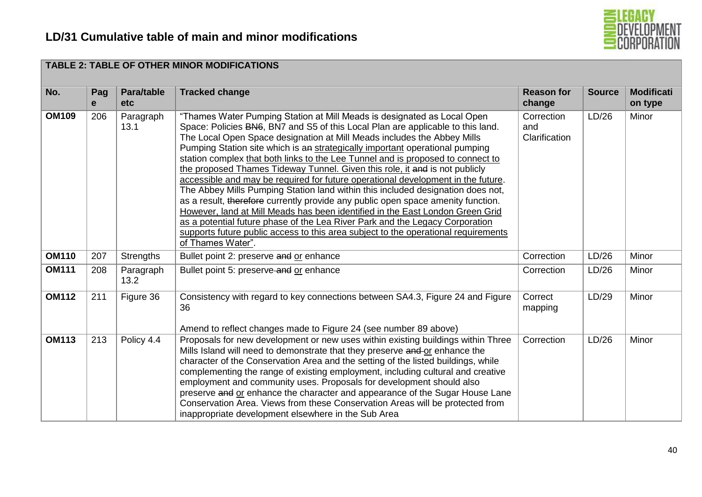

|              |          |                   | <b>TABLE 2: TABLE OF OTHER MINOR MODIFICATIONS</b>                                                                                                                                                                                                                                                                                                                                                                                                                                                                                                                                                                                                                                                                                                                                                                                                                                                                                                                                                                             |                                    |               |                              |
|--------------|----------|-------------------|--------------------------------------------------------------------------------------------------------------------------------------------------------------------------------------------------------------------------------------------------------------------------------------------------------------------------------------------------------------------------------------------------------------------------------------------------------------------------------------------------------------------------------------------------------------------------------------------------------------------------------------------------------------------------------------------------------------------------------------------------------------------------------------------------------------------------------------------------------------------------------------------------------------------------------------------------------------------------------------------------------------------------------|------------------------------------|---------------|------------------------------|
| No.          | Pag<br>e | Para/table<br>etc | <b>Tracked change</b>                                                                                                                                                                                                                                                                                                                                                                                                                                                                                                                                                                                                                                                                                                                                                                                                                                                                                                                                                                                                          | <b>Reason for</b><br>change        | <b>Source</b> | <b>Modificati</b><br>on type |
| <b>OM109</b> | 206      | Paragraph<br>13.1 | "Thames Water Pumping Station at Mill Meads is designated as Local Open<br>Space: Policies BN6, BN7 and S5 of this Local Plan are applicable to this land.<br>The Local Open Space designation at Mill Meads includes the Abbey Mills<br>Pumping Station site which is an strategically important operational pumping<br>station complex that both links to the Lee Tunnel and is proposed to connect to<br>the proposed Thames Tideway Tunnel. Given this role, it and is not publicly<br>accessible and may be required for future operational development in the future.<br>The Abbey Mills Pumping Station land within this included designation does not,<br>as a result, therefore currently provide any public open space amenity function.<br>However, land at Mill Meads has been identified in the East London Green Grid<br>as a potential future phase of the Lea River Park and the Legacy Corporation<br>supports future public access to this area subject to the operational requirements<br>of Thames Water". | Correction<br>and<br>Clarification | LD/26         | Minor                        |
| <b>OM110</b> | 207      | <b>Strengths</b>  | Bullet point 2: preserve and or enhance                                                                                                                                                                                                                                                                                                                                                                                                                                                                                                                                                                                                                                                                                                                                                                                                                                                                                                                                                                                        | Correction                         | LD/26         | Minor                        |
| <b>OM111</b> | 208      | Paragraph<br>13.2 | Bullet point 5: preserve-and or enhance                                                                                                                                                                                                                                                                                                                                                                                                                                                                                                                                                                                                                                                                                                                                                                                                                                                                                                                                                                                        | Correction                         | LD/26         | Minor                        |
| <b>OM112</b> | 211      | Figure 36         | Consistency with regard to key connections between SA4.3, Figure 24 and Figure<br>36<br>Amend to reflect changes made to Figure 24 (see number 89 above)                                                                                                                                                                                                                                                                                                                                                                                                                                                                                                                                                                                                                                                                                                                                                                                                                                                                       | Correct<br>mapping                 | LD/29         | Minor                        |
| <b>OM113</b> | 213      | Policy 4.4        | Proposals for new development or new uses within existing buildings within Three<br>Mills Island will need to demonstrate that they preserve and or enhance the<br>character of the Conservation Area and the setting of the listed buildings, while<br>complementing the range of existing employment, including cultural and creative<br>employment and community uses. Proposals for development should also<br>preserve and or enhance the character and appearance of the Sugar House Lane<br>Conservation Area. Views from these Conservation Areas will be protected from<br>inappropriate development elsewhere in the Sub Area                                                                                                                                                                                                                                                                                                                                                                                        | Correction                         | LD/26         | Minor                        |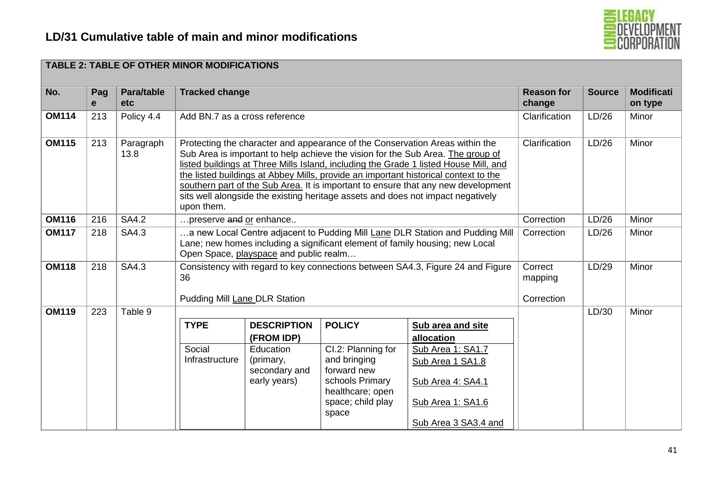

|              |          |                   | <b>TABLE 2: TABLE OF OTHER MINOR MODIFICATIONS</b> |                                                                                                                                                                                                                                                                                                                                                                                                                                                                                                                                         |                                                                                                                                         |                                                                                                                                                                |                                  |               |                              |
|--------------|----------|-------------------|----------------------------------------------------|-----------------------------------------------------------------------------------------------------------------------------------------------------------------------------------------------------------------------------------------------------------------------------------------------------------------------------------------------------------------------------------------------------------------------------------------------------------------------------------------------------------------------------------------|-----------------------------------------------------------------------------------------------------------------------------------------|----------------------------------------------------------------------------------------------------------------------------------------------------------------|----------------------------------|---------------|------------------------------|
| No.          | Pag<br>e | Para/table<br>etc | <b>Tracked change</b>                              |                                                                                                                                                                                                                                                                                                                                                                                                                                                                                                                                         |                                                                                                                                         |                                                                                                                                                                | <b>Reason for</b><br>change      | <b>Source</b> | <b>Modificati</b><br>on type |
| <b>OM114</b> | 213      | Policy 4.4        |                                                    | Add BN.7 as a cross reference                                                                                                                                                                                                                                                                                                                                                                                                                                                                                                           |                                                                                                                                         |                                                                                                                                                                |                                  | LD/26         | Minor                        |
| <b>OM115</b> | 213      | Paragraph<br>13.8 | upon them.                                         | Protecting the character and appearance of the Conservation Areas within the<br>Clarification<br>Sub Area is important to help achieve the vision for the Sub Area. The group of<br>listed buildings at Three Mills Island, including the Grade 1 listed House Mill, and<br>the listed buildings at Abbey Mills, provide an important historical context to the<br>southern part of the Sub Area. It is important to ensure that any new development<br>sits well alongside the existing heritage assets and does not impact negatively |                                                                                                                                         |                                                                                                                                                                |                                  |               | Minor                        |
| <b>OM116</b> | 216      | <b>SA4.2</b>      | preserve and or enhance                            |                                                                                                                                                                                                                                                                                                                                                                                                                                                                                                                                         |                                                                                                                                         |                                                                                                                                                                | Correction                       | LD/26         | Minor                        |
| <b>OM117</b> | 218      | SA4.3             |                                                    | Open Space, playspace and public realm                                                                                                                                                                                                                                                                                                                                                                                                                                                                                                  |                                                                                                                                         | .a new Local Centre adjacent to Pudding Mill Lane DLR Station and Pudding Mill<br>Lane; new homes including a significant element of family housing; new Local | Correction                       | LD/26         | Minor                        |
| <b>OM118</b> | 218      | SA4.3             | 36<br>Pudding Mill Lane DLR Station                |                                                                                                                                                                                                                                                                                                                                                                                                                                                                                                                                         |                                                                                                                                         | Consistency with regard to key connections between SA4.3, Figure 24 and Figure                                                                                 | Correct<br>mapping<br>Correction | LD/29         | Minor                        |
| <b>OM119</b> | 223      | Table 9           | <b>TYPE</b><br>Social<br>Infrastructure            | <b>DESCRIPTION</b><br>(FROM IDP)<br>Education<br>(primary,<br>secondary and<br>early years)                                                                                                                                                                                                                                                                                                                                                                                                                                             | <b>POLICY</b><br>Cl.2: Planning for<br>and bringing<br>forward new<br>schools Primary<br>healthcare; open<br>space; child play<br>space | Sub area and site<br>allocation<br>Sub Area 1: SA1.7<br>Sub Area 1 SA1.8<br>Sub Area 4: SA4.1<br>Sub Area 1: SA1.6<br>Sub Area 3 SA3.4 and                     |                                  | LD/30         | Minor                        |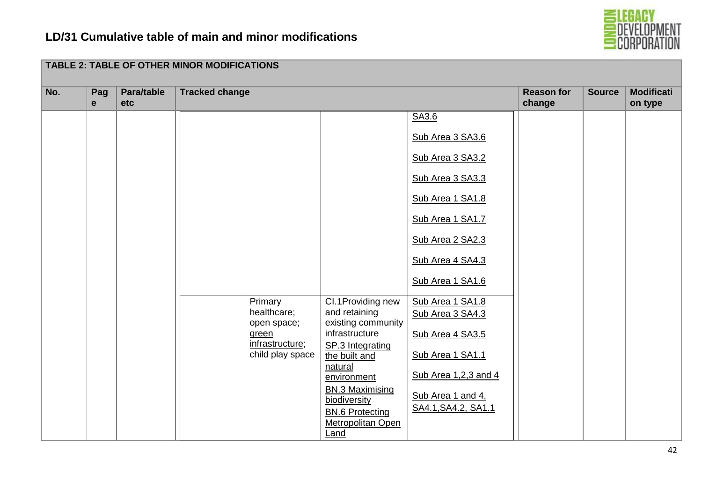

|     |                     |                   | <b>TABLE 2: TABLE OF OTHER MINOR MODIFICATIONS</b>          |                                                                                                                                                                                |                                                                                                                                                                                                               |                             |               |                              |
|-----|---------------------|-------------------|-------------------------------------------------------------|--------------------------------------------------------------------------------------------------------------------------------------------------------------------------------|---------------------------------------------------------------------------------------------------------------------------------------------------------------------------------------------------------------|-----------------------------|---------------|------------------------------|
| No. | Pag<br>$\mathbf{e}$ | Para/table<br>etc | <b>Tracked change</b>                                       |                                                                                                                                                                                |                                                                                                                                                                                                               | <b>Reason for</b><br>change | <b>Source</b> | <b>Modificati</b><br>on type |
|     |                     |                   | Primary<br>healthcare;                                      | Cl.1Providing new<br>and retaining<br>existing community                                                                                                                       | SA3.6<br>Sub Area 3 SA3.6<br>Sub Area 3 SA3.2<br>Sub Area 3 SA3.3<br>Sub Area 1 SA1.8<br>Sub Area 1 SA1.7<br>Sub Area 2 SA2.3<br>Sub Area 4 SA4.3<br>Sub Area 1 SA1.6<br>Sub Area 1 SA1.8<br>Sub Area 3 SA4.3 |                             |               |                              |
|     |                     |                   | open space;<br>green<br>infrastructure;<br>child play space | infrastructure<br>SP.3 Integrating<br>the built and<br>natural<br>environment<br><b>BN.3 Maximising</b><br>biodiversity<br><b>BN.6 Protecting</b><br>Metropolitan Open<br>Land | Sub Area 4 SA3.5<br>Sub Area 1 SA1.1<br>Sub Area 1,2,3 and 4<br>Sub Area 1 and 4,<br>SA4.1, SA4.2, SA1.1                                                                                                      |                             |               |                              |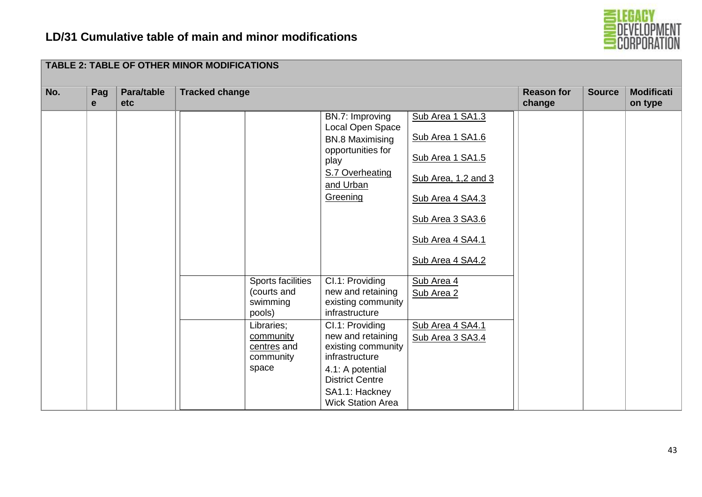**TABLE 2: TABLE OF OTHER MINOR MODIFICATIONS**



| No. | Pag<br>e | Para/table<br><b>etc</b> | <b>Tracked change</b>                                  |                                                                                                                                        |                                                                                                                                                                 | <b>Reason for</b><br>change | <b>Source</b> | <b>Modificati</b><br>on type |
|-----|----------|--------------------------|--------------------------------------------------------|----------------------------------------------------------------------------------------------------------------------------------------|-----------------------------------------------------------------------------------------------------------------------------------------------------------------|-----------------------------|---------------|------------------------------|
|     |          |                          |                                                        | BN.7: Improving<br>Local Open Space<br><b>BN.8 Maximising</b><br>opportunities for<br>play<br>S.7 Overheating<br>and Urban<br>Greening | Sub Area 1 SA1.3<br>Sub Area 1 SA1.6<br>Sub Area 1 SA1.5<br>Sub Area, 1,2 and 3<br>Sub Area 4 SA4.3<br>Sub Area 3 SA3.6<br>Sub Area 4 SA4.1<br>Sub Area 4 SA4.2 |                             |               |                              |
|     |          |                          | Sports facilities<br>(courts and<br>swimming<br>pools) | Cl.1: Providing<br>new and retaining<br>existing community<br>infrastructure                                                           | Sub Area 4<br>Sub Area 2                                                                                                                                        |                             |               |                              |
|     |          |                          | Libraries;<br>community<br>centres and<br>community    | Cl.1: Providing<br>new and retaining<br>existing community<br>infrastructure                                                           | Sub Area 4 SA4.1<br>Sub Area 3 SA3.4                                                                                                                            |                             |               |                              |
|     |          |                          | space                                                  | 4.1: A potential<br><b>District Centre</b><br>SA1.1: Hackney<br><b>Wick Station Area</b>                                               |                                                                                                                                                                 |                             |               |                              |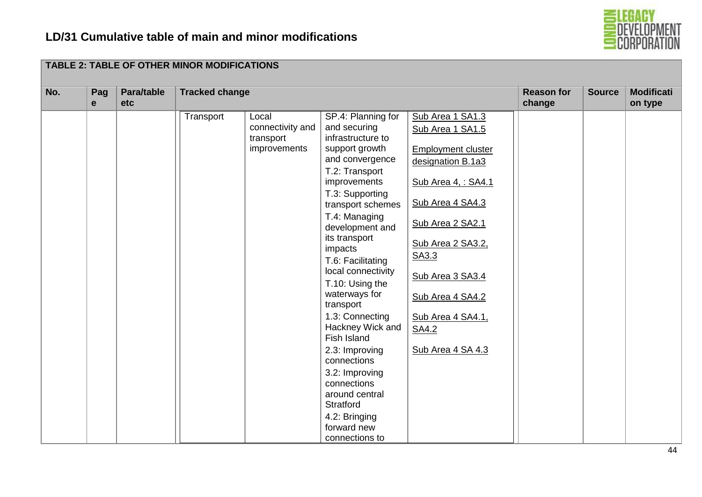

| No. | Pag<br>$\mathbf{e}$ | Para/table<br>etc | <b>Tracked change</b> |                                                        |                                                                                                                                                                                                                                                                                                                                                                                                                                                                                                                                             |                                                                                                                                                                                                                                                                                | <b>Reason for</b><br>change | <b>Source</b> | <b>Modificati</b><br>on type |
|-----|---------------------|-------------------|-----------------------|--------------------------------------------------------|---------------------------------------------------------------------------------------------------------------------------------------------------------------------------------------------------------------------------------------------------------------------------------------------------------------------------------------------------------------------------------------------------------------------------------------------------------------------------------------------------------------------------------------------|--------------------------------------------------------------------------------------------------------------------------------------------------------------------------------------------------------------------------------------------------------------------------------|-----------------------------|---------------|------------------------------|
|     |                     |                   | Transport             | Local<br>connectivity and<br>transport<br>improvements | SP.4: Planning for<br>and securing<br>infrastructure to<br>support growth<br>and convergence<br>T.2: Transport<br>improvements<br>T.3: Supporting<br>transport schemes<br>T.4: Managing<br>development and<br>its transport<br>impacts<br>T.6: Facilitating<br>local connectivity<br>T.10: Using the<br>waterways for<br>transport<br>1.3: Connecting<br>Hackney Wick and<br>Fish Island<br>2.3: Improving<br>connections<br>3.2: Improving<br>connections<br>around central<br>Stratford<br>4.2: Bringing<br>forward new<br>connections to | Sub Area 1 SA1.3<br>Sub Area 1 SA1.5<br><b>Employment cluster</b><br>designation B.1a3<br>Sub Area 4, : SA4.1<br>Sub Area 4 SA4.3<br>Sub Area 2 SA2.1<br>Sub Area 2 SA3.2.<br>SA3.3<br>Sub Area 3 SA3.4<br>Sub Area 4 SA4.2<br>Sub Area 4 SA4.1,<br>SA4.2<br>Sub Area 4 SA 4.3 |                             |               |                              |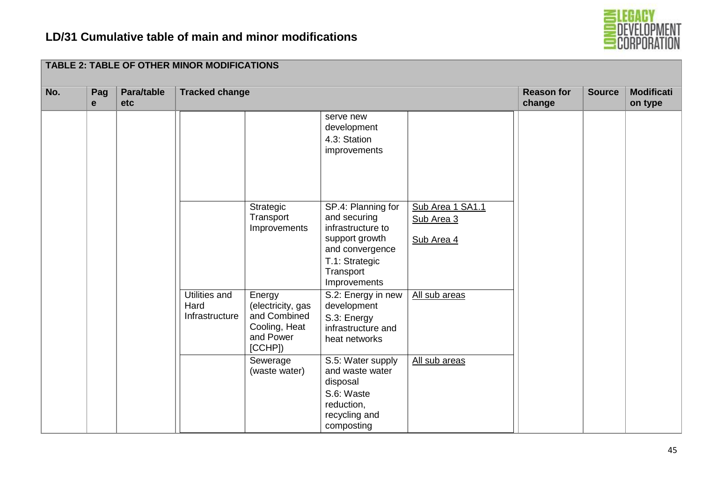

| No. | Pag<br>$\mathbf e$ | Para/table<br>etc |                                         | <b>Tracked change</b>                                                               |                                                                                                                                             |                                              |  |  | <b>Modificati</b><br>on type |
|-----|--------------------|-------------------|-----------------------------------------|-------------------------------------------------------------------------------------|---------------------------------------------------------------------------------------------------------------------------------------------|----------------------------------------------|--|--|------------------------------|
|     |                    |                   |                                         |                                                                                     | serve new<br>development<br>4.3: Station<br>improvements                                                                                    |                                              |  |  |                              |
|     |                    |                   |                                         | Strategic<br>Transport<br>Improvements                                              | SP.4: Planning for<br>and securing<br>infrastructure to<br>support growth<br>and convergence<br>T.1: Strategic<br>Transport<br>Improvements | Sub Area 1 SA1.1<br>Sub Area 3<br>Sub Area 4 |  |  |                              |
|     |                    |                   | Utilities and<br>Hard<br>Infrastructure | Energy<br>(electricity, gas<br>and Combined<br>Cooling, Heat<br>and Power<br>[CCHP] | S.2: Energy in new<br>development<br>S.3: Energy<br>infrastructure and<br>heat networks                                                     | All sub areas                                |  |  |                              |
|     |                    |                   |                                         | Sewerage<br>(waste water)                                                           | S.5: Water supply<br>and waste water<br>disposal<br>S.6: Waste<br>reduction,<br>recycling and<br>composting                                 | All sub areas                                |  |  |                              |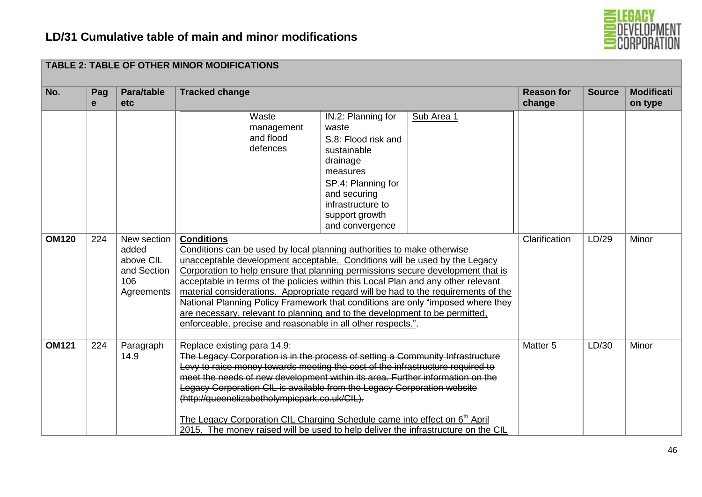

| No.          | Pag<br>e | Para/table<br><b>etc</b>                                              | <b>Tracked change</b>                                                                                                                                                                                                                                                                                                                                                                                                                                                                                                                                                                                                                                                                                                     |                                                                                                                                                                                           |            | <b>Reason for</b><br>change | <b>Source</b> | <b>Modificati</b><br>on type |
|--------------|----------|-----------------------------------------------------------------------|---------------------------------------------------------------------------------------------------------------------------------------------------------------------------------------------------------------------------------------------------------------------------------------------------------------------------------------------------------------------------------------------------------------------------------------------------------------------------------------------------------------------------------------------------------------------------------------------------------------------------------------------------------------------------------------------------------------------------|-------------------------------------------------------------------------------------------------------------------------------------------------------------------------------------------|------------|-----------------------------|---------------|------------------------------|
| <b>OM120</b> | 224      | New section<br>added<br>above CIL<br>and Section<br>106<br>Agreements | Waste<br>management<br>and flood<br>defences<br><b>Conditions</b><br>Conditions can be used by local planning authorities to make otherwise<br>unacceptable development acceptable. Conditions will be used by the Legacy<br>Corporation to help ensure that planning permissions secure development that is<br>acceptable in terms of the policies within this Local Plan and any other relevant<br>material considerations. Appropriate regard will be had to the requirements of the<br>National Planning Policy Framework that conditions are only "imposed where they<br>are necessary, relevant to planning and to the development to be permitted,<br>enforceable, precise and reasonable in all other respects.". | IN.2: Planning for<br>waste<br>S.8: Flood risk and<br>sustainable<br>drainage<br>measures<br>SP.4: Planning for<br>and securing<br>infrastructure to<br>support growth<br>and convergence | Sub Area 1 | Clarification               | LD/29         | Minor                        |
| <b>OM121</b> | 224      | Paragraph<br>14.9                                                     | Replace existing para 14.9:<br>The Legacy Corporation is in the process of setting a Community Infrastructure<br>Levy to raise money towards meeting the cost of the infrastructure required to<br>meet the needs of new development within its area. Further information on the<br>Legacy Corporation CIL is available from the Legacy Corporation website<br>(http://queenelizabetholympicpark.co.uk/CIL).<br>The Legacy Corporation CIL Charging Schedule came into effect on 6 <sup>th</sup> April<br>2015. The money raised will be used to help deliver the infrastructure on the CIL                                                                                                                               |                                                                                                                                                                                           |            | Matter <sub>5</sub>         | LD/30         | Minor                        |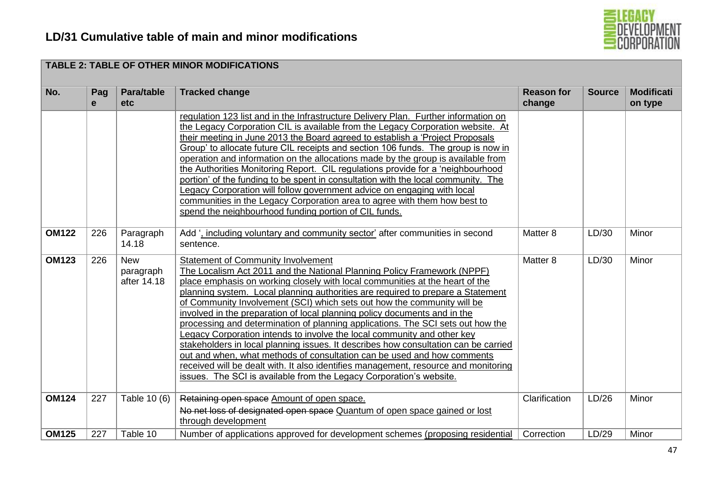

|              |          |                                        | <b>TABLE 2: TABLE OF OTHER MINOR MODIFICATIONS</b>                                                                                                                                                                                                                                                                                                                                                                                                                                                                                                                                                                                                                                                                                                                                                                                                                                                                                            |                             |               |                              |
|--------------|----------|----------------------------------------|-----------------------------------------------------------------------------------------------------------------------------------------------------------------------------------------------------------------------------------------------------------------------------------------------------------------------------------------------------------------------------------------------------------------------------------------------------------------------------------------------------------------------------------------------------------------------------------------------------------------------------------------------------------------------------------------------------------------------------------------------------------------------------------------------------------------------------------------------------------------------------------------------------------------------------------------------|-----------------------------|---------------|------------------------------|
| No.          | Pag<br>e | Para/table<br><b>etc</b>               | <b>Tracked change</b>                                                                                                                                                                                                                                                                                                                                                                                                                                                                                                                                                                                                                                                                                                                                                                                                                                                                                                                         | <b>Reason for</b><br>change | <b>Source</b> | <b>Modificati</b><br>on type |
|              |          |                                        | regulation 123 list and in the Infrastructure Delivery Plan. Further information on<br>the Legacy Corporation CIL is available from the Legacy Corporation website. At<br>their meeting in June 2013 the Board agreed to establish a 'Project Proposals<br>Group' to allocate future CIL receipts and section 106 funds. The group is now in<br>operation and information on the allocations made by the group is available from<br>the Authorities Monitoring Report. CIL regulations provide for a 'neighbourhood<br>portion' of the funding to be spent in consultation with the local community. The<br>Legacy Corporation will follow government advice on engaging with local<br>communities in the Legacy Corporation area to agree with them how best to<br>spend the neighbourhood funding portion of CIL funds.                                                                                                                     |                             |               |                              |
| <b>OM122</b> | 226      | Paragraph<br>14.18                     | Add ', including voluntary and community sector' after communities in second<br>sentence.                                                                                                                                                                                                                                                                                                                                                                                                                                                                                                                                                                                                                                                                                                                                                                                                                                                     | Matter 8                    | LD/30         | Minor                        |
| <b>OM123</b> | 226      | <b>New</b><br>paragraph<br>after 14.18 | <b>Statement of Community Involvement</b><br>The Localism Act 2011 and the National Planning Policy Framework (NPPF)<br>place emphasis on working closely with local communities at the heart of the<br>planning system. Local planning authorities are required to prepare a Statement<br>of Community Involvement (SCI) which sets out how the community will be<br>involved in the preparation of local planning policy documents and in the<br>processing and determination of planning applications. The SCI sets out how the<br>Legacy Corporation intends to involve the local community and other key<br>stakeholders in local planning issues. It describes how consultation can be carried<br>out and when, what methods of consultation can be used and how comments<br>received will be dealt with. It also identifies management, resource and monitoring<br>issues. The SCI is available from the Legacy Corporation's website. | Matter 8                    | LD/30         | Minor                        |
| <b>OM124</b> | 227      | Table 10 (6)                           | Retaining open space Amount of open space.<br>No net loss of designated open space Quantum of open space gained or lost<br>through development                                                                                                                                                                                                                                                                                                                                                                                                                                                                                                                                                                                                                                                                                                                                                                                                | Clarification               | LD/26         | Minor                        |
| <b>OM125</b> | 227      | Table 10                               | Number of applications approved for development schemes (proposing residential                                                                                                                                                                                                                                                                                                                                                                                                                                                                                                                                                                                                                                                                                                                                                                                                                                                                | Correction                  | LD/29         | Minor                        |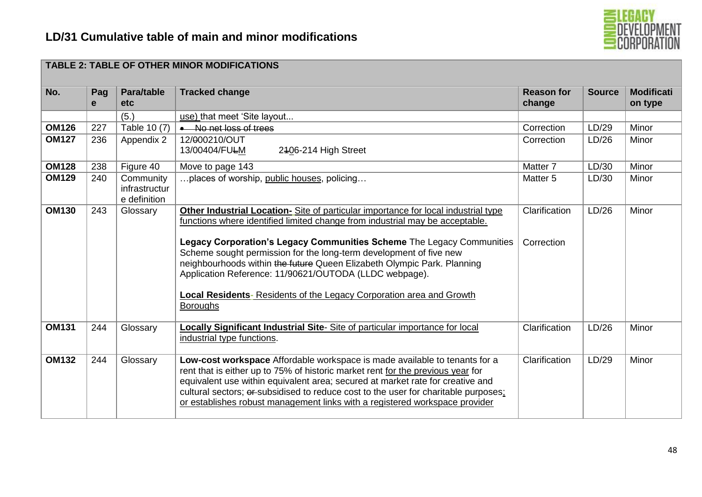

| No.          | Pag<br>$\mathbf{e}$ | Para/table<br>etc                          | <b>Tracked change</b>                                                                                                                                                                                                                                                                                                                                                                                                                                                                                                                             | <b>Reason for</b><br>change | <b>Source</b> | <b>Modificati</b><br>on type |
|--------------|---------------------|--------------------------------------------|---------------------------------------------------------------------------------------------------------------------------------------------------------------------------------------------------------------------------------------------------------------------------------------------------------------------------------------------------------------------------------------------------------------------------------------------------------------------------------------------------------------------------------------------------|-----------------------------|---------------|------------------------------|
|              |                     | (5.)                                       | use) that meet 'Site layout                                                                                                                                                                                                                                                                                                                                                                                                                                                                                                                       |                             |               |                              |
| <b>OM126</b> | 227                 | Table 10 (7)                               | • No net loss of trees                                                                                                                                                                                                                                                                                                                                                                                                                                                                                                                            | Correction                  | LD/29         | Minor                        |
| <b>OM127</b> | 236                 | Appendix 2                                 | 12/000210/OUT<br>13/00404/FULM<br>2406-214 High Street                                                                                                                                                                                                                                                                                                                                                                                                                                                                                            | Correction                  | LD/26         | Minor                        |
| <b>OM128</b> | 238                 | Figure 40                                  | Move to page 143                                                                                                                                                                                                                                                                                                                                                                                                                                                                                                                                  | Matter 7                    | LD/30         | Minor                        |
| <b>OM129</b> | 240                 | Community<br>infrastructur<br>e definition | places of worship, public houses, policing                                                                                                                                                                                                                                                                                                                                                                                                                                                                                                        | Matter 5                    | LD/30         | Minor                        |
| <b>OM130</b> | 243                 | Glossary                                   | Other Industrial Location- Site of particular importance for local industrial type<br>functions where identified limited change from industrial may be acceptable.<br>Legacy Corporation's Legacy Communities Scheme The Legacy Communities<br>Scheme sought permission for the long-term development of five new<br>neighbourhoods within the future Queen Elizabeth Olympic Park. Planning<br>Application Reference: 11/90621/OUTODA (LLDC webpage).<br>Local Residents- Residents of the Legacy Corporation area and Growth<br><b>Boroughs</b> | Clarification<br>Correction | LD/26         | Minor                        |
| <b>OM131</b> | 244                 | Glossary                                   | Locally Significant Industrial Site-Site of particular importance for local<br>industrial type functions.                                                                                                                                                                                                                                                                                                                                                                                                                                         | Clarification               | LD/26         | Minor                        |
| <b>OM132</b> | 244                 | Glossary                                   | Low-cost workspace Affordable workspace is made available to tenants for a<br>rent that is either up to 75% of historic market rent for the previous year for<br>equivalent use within equivalent area; secured at market rate for creative and<br>cultural sectors; or subsidised to reduce cost to the user for charitable purposes;<br>or establishes robust management links with a registered workspace provider                                                                                                                             | Clarification               | LD/29         | Minor                        |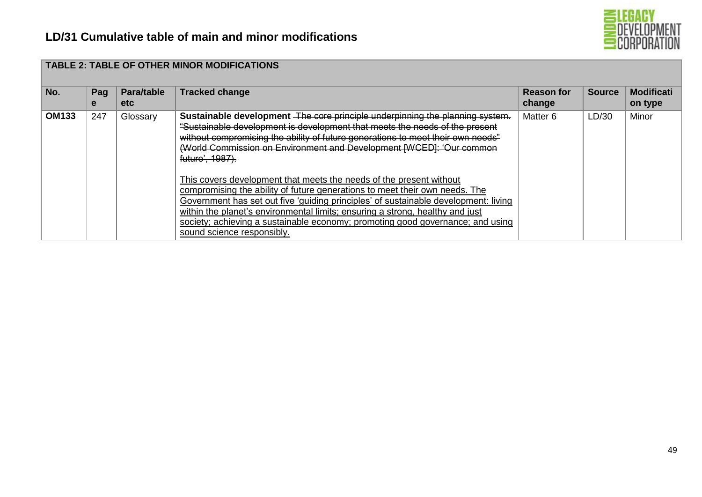

| No.          | Pag<br>е | Para/table<br>etc. | <b>TABLE 2: TABLE OF OTHER MINOR MODIFICATIONS</b><br><b>Tracked change</b>                                                                                                                                                                                                                                                                                                                                                                | <b>Reason for</b><br>change | <b>Source</b> | <b>Modificati</b><br>on type |
|--------------|----------|--------------------|--------------------------------------------------------------------------------------------------------------------------------------------------------------------------------------------------------------------------------------------------------------------------------------------------------------------------------------------------------------------------------------------------------------------------------------------|-----------------------------|---------------|------------------------------|
| <b>OM133</b> | 247      | Glossary           | Sustainable development The core principle underpinning the planning system.<br>"Sustainable development is development that meets the needs of the present<br>without compromising the ability of future generations to meet their own needs"<br>(World Commission on Environment and Development [WCED]: 'Our common<br>future', 1987).                                                                                                  | Matter 6                    | LD/30         | Minor                        |
|              |          |                    | This covers development that meets the needs of the present without<br>compromising the ability of future generations to meet their own needs. The<br>Government has set out five 'guiding principles' of sustainable development: living<br>within the planet's environmental limits; ensuring a strong, healthy and just<br>society; achieving a sustainable economy; promoting good governance; and using<br>sound science responsibly. |                             |               |                              |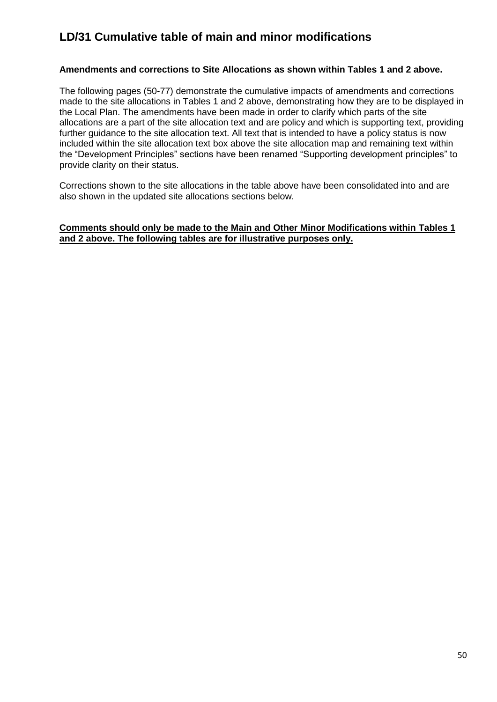### **Amendments and corrections to Site Allocations as shown within Tables 1 and 2 above.**

The following pages (50-77) demonstrate the cumulative impacts of amendments and corrections made to the site allocations in Tables 1 and 2 above, demonstrating how they are to be displayed in the Local Plan. The amendments have been made in order to clarify which parts of the site allocations are a part of the site allocation text and are policy and which is supporting text, providing further guidance to the site allocation text. All text that is intended to have a policy status is now included within the site allocation text box above the site allocation map and remaining text within the "Development Principles" sections have been renamed "Supporting development principles" to provide clarity on their status.

Corrections shown to the site allocations in the table above have been consolidated into and are also shown in the updated site allocations sections below.

#### **Comments should only be made to the Main and Other Minor Modifications within Tables 1 and 2 above. The following tables are for illustrative purposes only.**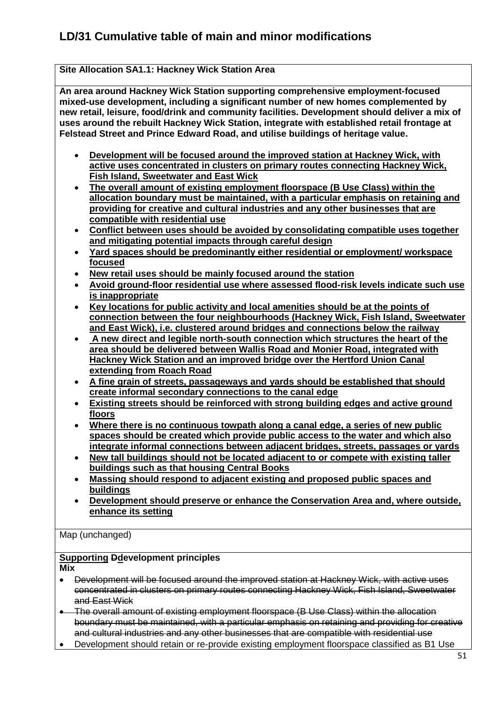## **Site Allocation SA1.1: Hackney Wick Station Area**

**An area around Hackney Wick Station supporting comprehensive employment-focused mixed-use development, including a significant number of new homes complemented by new retail, leisure, food/drink and community facilities. Development should deliver a mix of uses around the rebuilt Hackney Wick Station, integrate with established retail frontage at Felstead Street and Prince Edward Road, and utilise buildings of heritage value.**

- **Development will be focused around the improved station at Hackney Wick, with active uses concentrated in clusters on primary routes connecting Hackney Wick, Fish Island, Sweetwater and East Wick**
- **The overall amount of existing employment floorspace (B Use Class) within the allocation boundary must be maintained, with a particular emphasis on retaining and providing for creative and cultural industries and any other businesses that are compatible with residential use**
- **Conflict between uses should be avoided by consolidating compatible uses together and mitigating potential impacts through careful design**
- **Yard spaces should be predominantly either residential or employment/ workspace focused**
- **New retail uses should be mainly focused around the station**
- **Avoid ground-floor residential use where assessed flood-risk levels indicate such use is inappropriate**
- **Key locations for public activity and local amenities should be at the points of connection between the four neighbourhoods (Hackney Wick, Fish Island, Sweetwater and East Wick), i.e. clustered around bridges and connections below the railway**
- **A new direct and legible north-south connection which structures the heart of the area should be delivered between Wallis Road and Monier Road, integrated with Hackney Wick Station and an improved bridge over the Hertford Union Canal extending from Roach Road**
- **A fine grain of streets, passageways and yards should be established that should create informal secondary connections to the canal edge**
- **Existing streets should be reinforced with strong building edges and active ground floors**
- **Where there is no continuous towpath along a canal edge, a series of new public spaces should be created which provide public access to the water and which also integrate informal connections between adjacent bridges, streets, passages or yards**
- **New tall buildings should not be located adjacent to or compete with existing taller buildings such as that housing Central Books**
- **Massing should respond to adjacent existing and proposed public spaces and buildings**
- **Development should preserve or enhance the Conservation Area and, where outside, enhance its setting**

Map (unchanged)

## **Supporting Ddevelopment principles**

**Mix** 

- Development will be focused around the improved station at Hackney Wick, with active uses concentrated in clusters on primary routes connecting Hackney Wick, Fish Island, Sweetwater and East Wick
- The overall amount of existing employment floorspace (B Use Class) within the allocation boundary must be maintained, with a particular emphasis on retaining and providing for creative and cultural industries and any other businesses that are compatible with residential use
- Development should retain or re-provide existing employment floorspace classified as B1 Use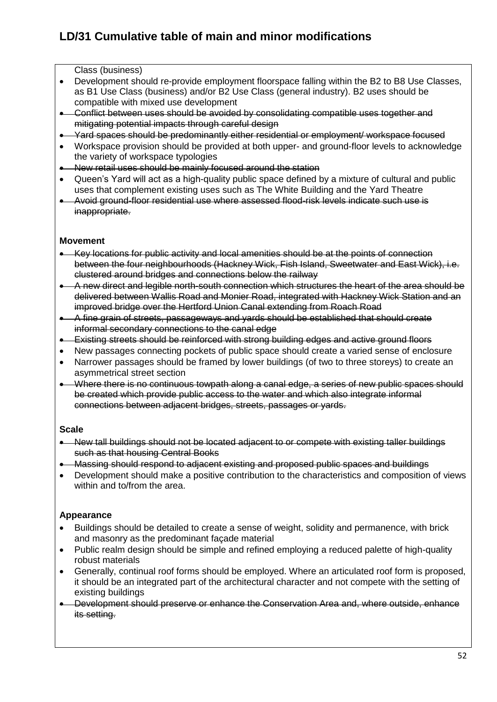Class (business)

- Development should re-provide employment floorspace falling within the B2 to B8 Use Classes, as B1 Use Class (business) and/or B2 Use Class (general industry). B2 uses should be compatible with mixed use development
- Conflict between uses should be avoided by consolidating compatible uses together and mitigating potential impacts through careful design
- Yard spaces should be predominantly either residential or employment/ workspace focused
- Workspace provision should be provided at both upper- and ground-floor levels to acknowledge the variety of workspace typologies
- New retail uses should be mainly focused around the station
- Queen's Yard will act as a high-quality public space defined by a mixture of cultural and public uses that complement existing uses such as The White Building and the Yard Theatre
- Avoid ground-floor residential use where assessed flood-risk levels indicate such use is inappropriate.

### **Movement**

- Key locations for public activity and local amenities should be at the points of connection between the four neighbourhoods (Hackney Wick, Fish Island, Sweetwater and East Wick), i.e. clustered around bridges and connections below the railway
- A new direct and legible north-south connection which structures the heart of the area should be delivered between Wallis Road and Monier Road, integrated with Hackney Wick Station and an improved bridge over the Hertford Union Canal extending from Roach Road
- A fine grain of streets, passageways and yards should be established that should create informal secondary connections to the canal edge
- Existing streets should be reinforced with strong building edges and active ground floors
- New passages connecting pockets of public space should create a varied sense of enclosure
- Narrower passages should be framed by lower buildings (of two to three storeys) to create an asymmetrical street section
- Where there is no continuous towpath along a canal edge, a series of new public spaces should be created which provide public access to the water and which also integrate informal connections between adjacent bridges, streets, passages or yards.

### **Scale**

- New tall buildings should not be located adjacent to or compete with existing taller buildings such as that housing Central Books
- Massing should respond to adjacent existing and proposed public spaces and buildings
- Development should make a positive contribution to the characteristics and composition of views within and to/from the area.

## **Appearance**

- Buildings should be detailed to create a sense of weight, solidity and permanence, with brick and masonry as the predominant façade material
- Public realm design should be simple and refined employing a reduced palette of high-quality robust materials
- Generally, continual roof forms should be employed. Where an articulated roof form is proposed, it should be an integrated part of the architectural character and not compete with the setting of existing buildings
- Development should preserve or enhance the Conservation Area and, where outside, enhance its setting.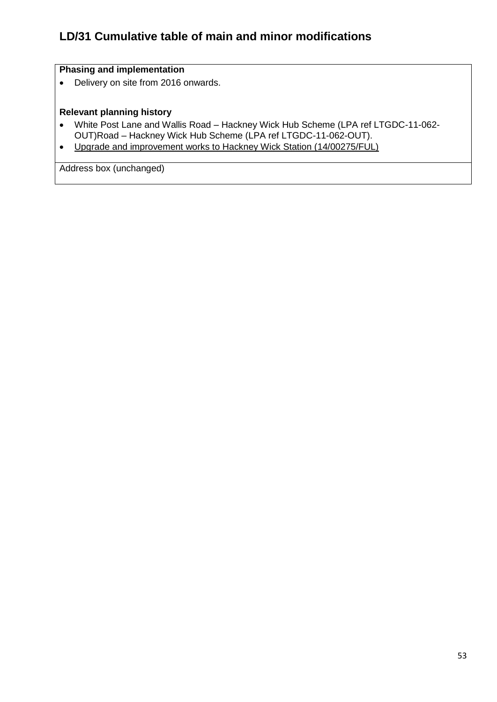## **Phasing and implementation**

• Delivery on site from 2016 onwards.

## **Relevant planning history**

- White Post Lane and Wallis Road Hackney Wick Hub Scheme (LPA ref LTGDC-11-062- OUT)Road – Hackney Wick Hub Scheme (LPA ref LTGDC-11-062-OUT).
- Upgrade and improvement works to Hackney Wick Station (14/00275/FUL)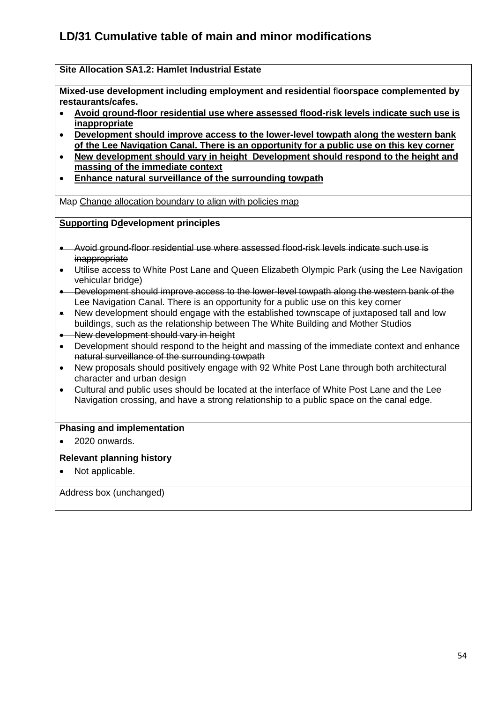## **Site Allocation SA1.2: Hamlet Industrial Estate**

**Mixed-use development including employment and residential** fl**oorspace complemented by restaurants/cafes.**

- **Avoid ground-floor residential use where assessed flood-risk levels indicate such use is inappropriate**
- **Development should improve access to the lower-level towpath along the western bank of the Lee Navigation Canal. There is an opportunity for a public use on this key corner**
- **New development should vary in height Development should respond to the height and massing of the immediate context**
- **Enhance natural surveillance of the surrounding towpath**

Map Change allocation boundary to align with policies map

### **Supporting Ddevelopment principles**

- Avoid ground-floor residential use where assessed flood-risk levels indicate such use is inappropriate
- Utilise access to White Post Lane and Queen Elizabeth Olympic Park (using the Lee Navigation vehicular bridge)
- Development should improve access to the lower-level towpath along the western bank of the Lee Navigation Canal. There is an opportunity for a public use on this key corner
- New development should engage with the established townscape of juxtaposed tall and low buildings, such as the relationship between The White Building and Mother Studios
- New development should vary in height
- Development should respond to the height and massing of the immediate context and enhance natural surveillance of the surrounding towpath
- New proposals should positively engage with 92 White Post Lane through both architectural character and urban design
- Cultural and public uses should be located at the interface of White Post Lane and the Lee Navigation crossing, and have a strong relationship to a public space on the canal edge.

### **Phasing and implementation**

• 2020 onwards.

### **Relevant planning history**

• Not applicable.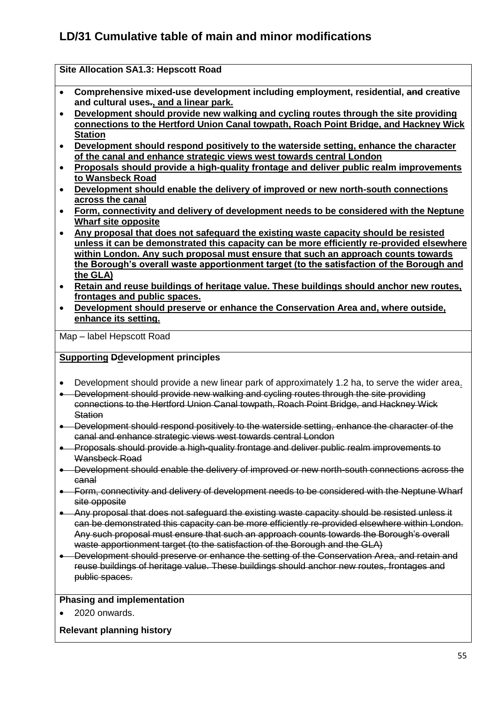| Comprehensive mixed-use development including employment, residential, and creative |
|-------------------------------------------------------------------------------------|
| and cultural uses., and a linear park.                                              |

- **Development should provide new walking and cycling routes through the site providing connections to the Hertford Union Canal towpath, Roach Point Bridge, and Hackney Wick Station**
- **Development should respond positively to the waterside setting, enhance the character of the canal and enhance strategic views west towards central London**
- **Proposals should provide a high-quality frontage and deliver public realm improvements to Wansbeck Road**
- **Development should enable the delivery of improved or new north-south connections across the canal**
- **Form, connectivity and delivery of development needs to be considered with the Neptune Wharf site opposite**
- **Any proposal that does not safeguard the existing waste capacity should be resisted unless it can be demonstrated this capacity can be more efficiently re-provided elsewhere within London. Any such proposal must ensure that such an approach counts towards the Borough's overall waste apportionment target (to the satisfaction of the Borough and the GLA)**
- **Retain and reuse buildings of heritage value. These buildings should anchor new routes, frontages and public spaces.**
- **Development should preserve or enhance the Conservation Area and, where outside, enhance its setting.**

Map – label Hepscott Road

## **Supporting Ddevelopment principles**

**Site Allocation SA1.3: Hepscott Road**

- Development should provide a new linear park of approximately 1.2 ha, to serve the wider area.
- Development should provide new walking and cycling routes through the site providing connections to the Hertford Union Canal towpath, Roach Point Bridge, and Hackney Wick **Station**
- Development should respond positively to the waterside setting, enhance the character of the canal and enhance strategic views west towards central London
- Proposals should provide a high-quality frontage and deliver public realm improvements to Wansbeck Road
- **.** Development should enable the delivery of improved or new north-south connections across the canal
- Form, connectivity and delivery of development needs to be considered with the Neptune Wharf site opposite
- Any proposal that does not safeguard the existing waste capacity should be resisted unless it can be demonstrated this capacity can be more efficiently re-provided elsewhere within London. Any such proposal must ensure that such an approach counts towards the Borough's overall waste apportionment target (to the satisfaction of the Borough and the GLA)
- **.** Development should preserve or enhance the setting of the Conservation Area, and retain and reuse buildings of heritage value. These buildings should anchor new routes, frontages and public spaces.

### **Phasing and implementation**

2020 onwards.

### **Relevant planning history**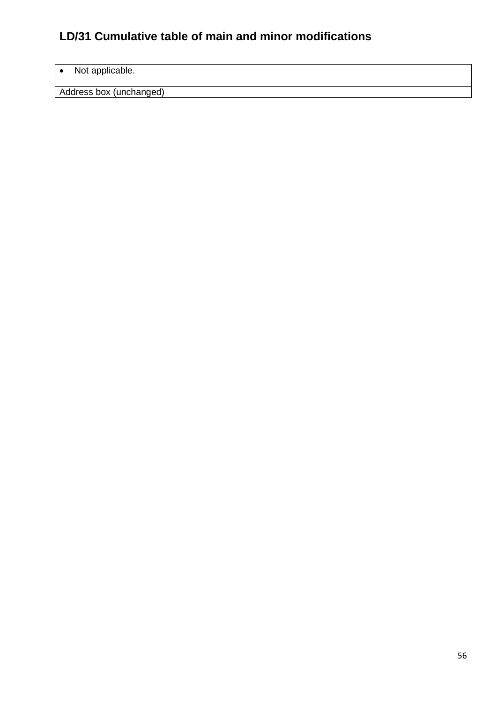## • Not applicable.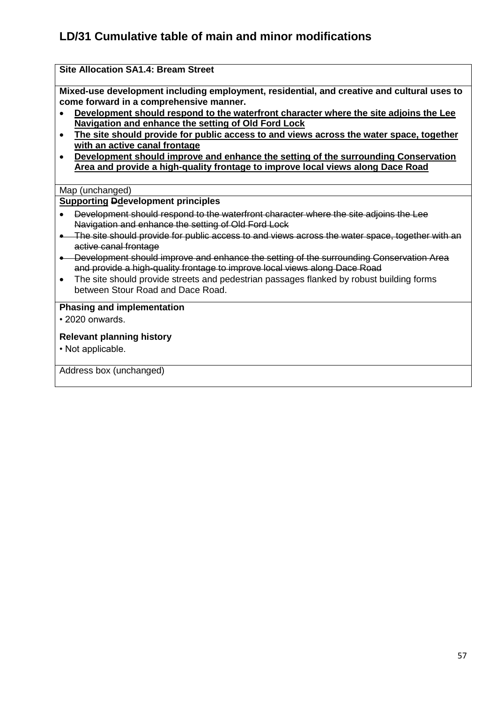## **Site Allocation SA1.4: Bream Street**

**Mixed-use development including employment, residential, and creative and cultural uses to come forward in a comprehensive manner.**

- **Development should respond to the waterfront character where the site adjoins the Lee Navigation and enhance the setting of Old Ford Lock**
- **The site should provide for public access to and views across the water space, together with an active canal frontage**
- **Development should improve and enhance the setting of the surrounding Conservation Area and provide a high-quality frontage to improve local views along Dace Road**

### Map (unchanged)

### **Supporting Ddevelopment principles**

- Development should respond to the waterfront character where the site adjoins the Lee Navigation and enhance the setting of Old Ford Lock
- The site should provide for public access to and views across the water space, together with an active canal frontage
- Development should improve and enhance the setting of the surrounding Conservation Area and provide a high-quality frontage to improve local views along Dace Road
- The site should provide streets and pedestrian passages flanked by robust building forms between Stour Road and Dace Road.

### **Phasing and implementation**

• 2020 onwards.

### **Relevant planning history**

• Not applicable.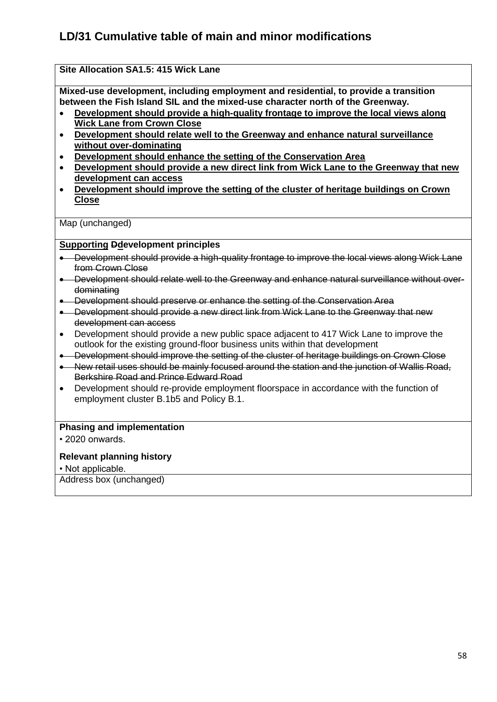## **Site Allocation SA1.5: 415 Wick Lane**

**Mixed-use development, including employment and residential, to provide a transition between the Fish Island SIL and the mixed-use character north of the Greenway.** 

- **Development should provide a high-quality frontage to improve the local views along Wick Lane from Crown Close**
- **Development should relate well to the Greenway and enhance natural surveillance without over-dominating**
- **Development should enhance the setting of the Conservation Area**
- **Development should provide a new direct link from Wick Lane to the Greenway that new development can access**
- **Development should improve the setting of the cluster of heritage buildings on Crown Close**

Map (unchanged)

## **Supporting Ddevelopment principles**

- Development should provide a high-quality frontage to improve the local views along Wick Lane from Crown Close
- Development should relate well to the Greenway and enhance natural surveillance without overdominating
- Development should preserve or enhance the setting of the Conservation Area
- Development should provide a new direct link from Wick Lane to the Greenway that new development can access
- Development should provide a new public space adjacent to 417 Wick Lane to improve the outlook for the existing ground-floor business units within that development
- Development should improve the setting of the cluster of heritage buildings on Crown Close
- New retail uses should be mainly focused around the station and the junction of Wallis Road, Berkshire Road and Prince Edward Road
- Development should re-provide employment floorspace in accordance with the function of employment cluster B.1b5 and Policy B.1.

#### **Phasing and implementation**

• 2020 onwards.

### **Relevant planning history**

• Not applicable.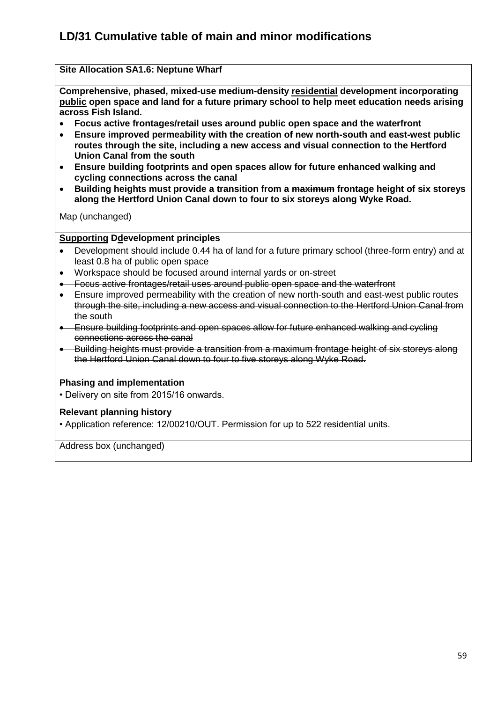### **Site Allocation SA1.6: Neptune Wharf**

**Comprehensive, phased, mixed-use medium-density residential development incorporating public open space and land for a future primary school to help meet education needs arising across Fish Island.**

- **Focus active frontages/retail uses around public open space and the waterfront**
- **Ensure improved permeability with the creation of new north-south and east-west public routes through the site, including a new access and visual connection to the Hertford Union Canal from the south**
- **Ensure building footprints and open spaces allow for future enhanced walking and cycling connections across the canal**
- **Building heights must provide a transition from a maximum frontage height of six storeys along the Hertford Union Canal down to four to six storeys along Wyke Road.**

Map (unchanged)

### **Supporting Ddevelopment principles**

- Development should include 0.44 ha of land for a future primary school (three-form entry) and at least 0.8 ha of public open space
- Workspace should be focused around internal yards or on-street
- Focus active frontages/retail uses around public open space and the waterfront
- Ensure improved permeability with the creation of new north-south and east-west public routes through the site, including a new access and visual connection to the Hertford Union Canal from the south
- **Ensure building footprints and open spaces allow for future enhanced walking and cycling** connections across the canal
- Building heights must provide a transition from a maximum frontage height of six storeys along the Hertford Union Canal down to four to five storeys along Wyke Road.

### **Phasing and implementation**

• Delivery on site from 2015/16 onwards.

#### **Relevant planning history**

• Application reference: 12/00210/OUT. Permission for up to 522 residential units.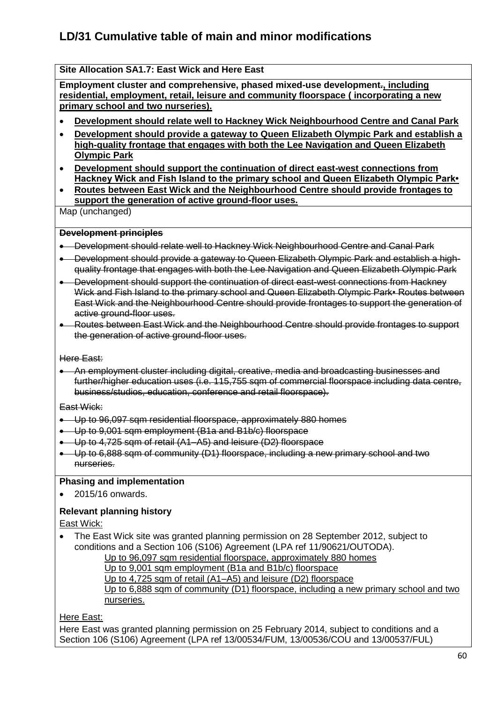## **Site Allocation SA1.7: East Wick and Here East**

**Employment cluster and comprehensive, phased mixed-use development., including residential, employment, retail, leisure and community floorspace ( incorporating a new primary school and two nurseries).** 

- **Development should relate well to Hackney Wick Neighbourhood Centre and Canal Park**
- **Development should provide a gateway to Queen Elizabeth Olympic Park and establish a high-quality frontage that engages with both the Lee Navigation and Queen Elizabeth Olympic Park**
- **Development should support the continuation of direct east-west connections from Hackney Wick and Fish Island to the primary school and Queen Elizabeth Olympic Park•**
- **Routes between East Wick and the Neighbourhood Centre should provide frontages to support the generation of active ground-floor uses.**

Map (unchanged)

### **Development principles**

- Development should relate well to Hackney Wick Neighbourhood Centre and Canal Park
- Development should provide a gateway to Queen Elizabeth Olympic Park and establish a highquality frontage that engages with both the Lee Navigation and Queen Elizabeth Olympic Park
- Development should support the continuation of direct east-west connections from Hackney Wick and Fish Island to the primary school and Queen Elizabeth Olympic Park• Routes between East Wick and the Neighbourhood Centre should provide frontages to support the generation of active ground-floor uses.
- Routes between East Wick and the Neighbourhood Centre should provide frontages to support the generation of active ground-floor uses.

Here East:

 An employment cluster including digital, creative, media and broadcasting businesses and further/higher education uses (i.e. 115,755 sqm of commercial floorspace including data centre, business/studios, education, conference and retail floorspace).

East Wick:

- Up to 96,097 sqm residential floorspace, approximately 880 homes
- Up to 9,001 sqm employment (B1a and B1b/c) floorspace
- Up to 4,725 sqm of retail (A1–A5) and leisure (D2) floorspace
- Up to 6,888 sqm of community (D1) floorspace, including a new primary school and two nurseries.

### **Phasing and implementation**

2015/16 onwards.

## **Relevant planning history**

East Wick:

 The East Wick site was granted planning permission on 28 September 2012, subject to conditions and a Section 106 (S106) Agreement (LPA ref 11/90621/OUTODA).

Up to 96,097 sqm residential floorspace, approximately 880 homes Up to 9,001 sqm employment (B1a and B1b/c) floorspace Up to 4,725 sqm of retail (A1–A5) and leisure (D2) floorspace Up to 6,888 sqm of community (D1) floorspace, including a new primary school and two nurseries.

Here East:

Here East was granted planning permission on 25 February 2014, subject to conditions and a Section 106 (S106) Agreement (LPA ref 13/00534/FUM, 13/00536/COU and 13/00537/FUL)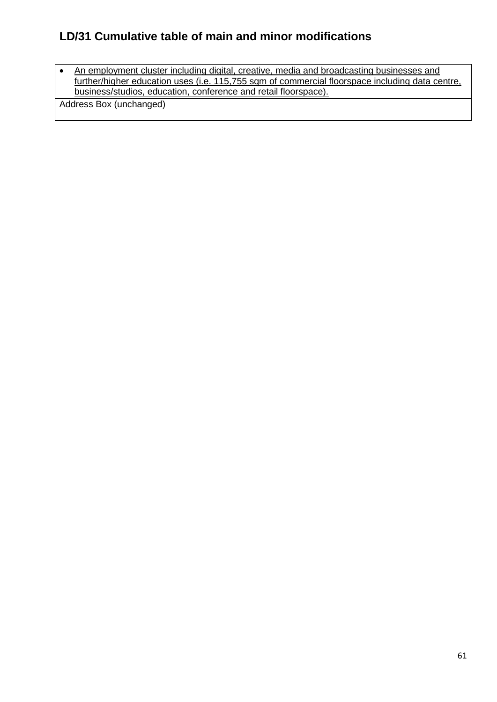• An employment cluster including digital, creative, media and broadcasting businesses and further/higher education uses (i.e. 115,755 sqm of commercial floorspace including data centre, business/studios, education, conference and retail floorspace).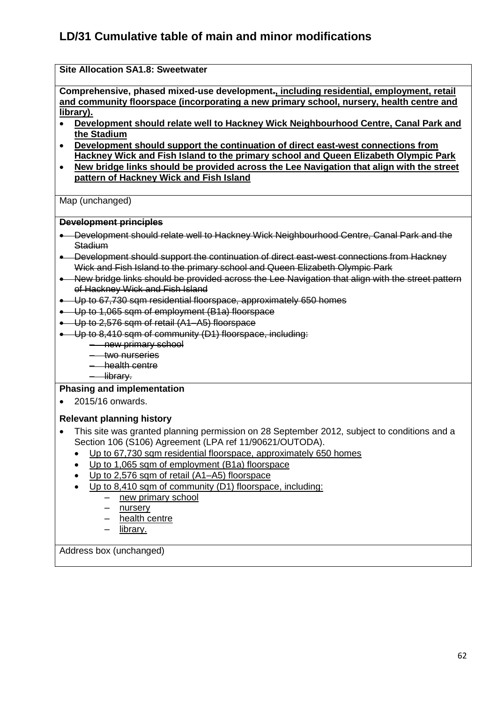## **Site Allocation SA1.8: Sweetwater Comprehensive, phased mixed-use development., including residential, employment, retail and community floorspace (incorporating a new primary school, nursery, health centre and library). Development should relate well to Hackney Wick Neighbourhood Centre, Canal Park and the Stadium Development should support the continuation of direct east-west connections from Hackney Wick and Fish Island to the primary school and Queen Elizabeth Olympic Park New bridge links should be provided across the Lee Navigation that align with the street pattern of Hackney Wick and Fish Island**  Map (unchanged) **Development principles** Development should relate well to Hackney Wick Neighbourhood Centre, Canal Park and the Stadium • Development should support the continuation of direct east-west connections from Hackney Wick and Fish Island to the primary school and Queen Elizabeth Olympic Park New bridge links should be provided across the Lee Navigation that align with the street pattern of Hackney Wick and Fish Island Up to 67,730 sqm residential floorspace, approximately 650 homes Up to 1,065 sqm of employment (B1a) floorspace ● Up to 2,576 sqm of retail (A1–A5) floorspace Up to 8,410 sqm of community (D1) floorspace, including: – new primary school – two nurseries – health centre – library. **Phasing and implementation**  2015/16 onwards. **Relevant planning history**  This site was granted planning permission on 28 September 2012, subject to conditions and a Section 106 (S106) Agreement (LPA ref 11/90621/OUTODA). Up to 67,730 sqm residential floorspace, approximately 650 homes Up to 1,065 sqm of employment (B1a) floorspace Up to 2,576 sqm of retail (A1–A5) floorspace Up to 8,410 sqm of community (D1) floorspace, including: – new primary school – nursery

- health centre
- library.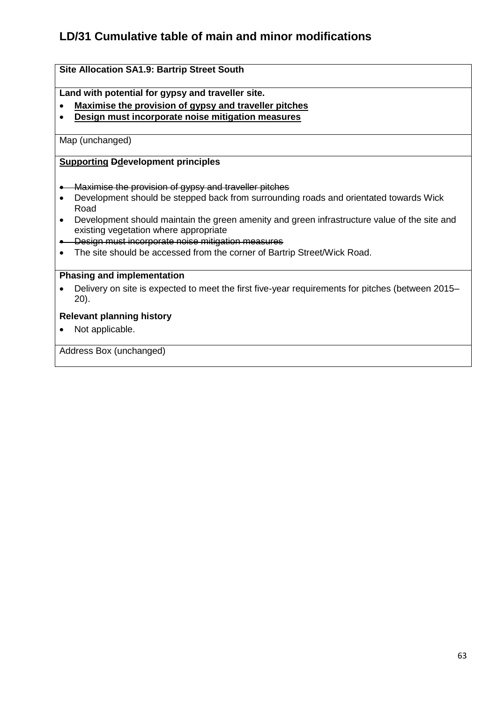## **Site Allocation SA1.9: Bartrip Street South**

**Land with potential for gypsy and traveller site.**

- **Maximise the provision of gypsy and traveller pitches**
- **Design must incorporate noise mitigation measures**

Map (unchanged)

#### **Supporting Ddevelopment principles**

- **•** Maximise the provision of gypsy and traveller pitches
- Development should be stepped back from surrounding roads and orientated towards Wick Road
- Development should maintain the green amenity and green infrastructure value of the site and existing vegetation where appropriate
- **.** Design must incorporate noise mitigation measures
- The site should be accessed from the corner of Bartrip Street/Wick Road.

### **Phasing and implementation**

 Delivery on site is expected to meet the first five-year requirements for pitches (between 2015– 20).

### **Relevant planning history**

• Not applicable.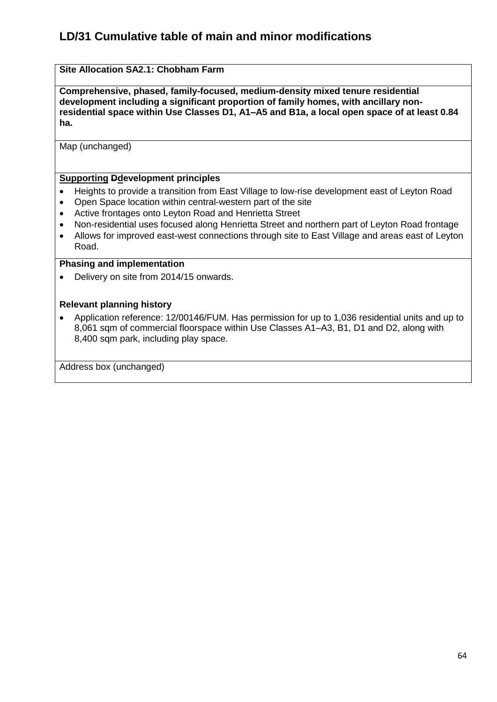## **Site Allocation SA2.1: Chobham Farm**

**Comprehensive, phased, family-focused, medium-density mixed tenure residential development including a significant proportion of family homes, with ancillary nonresidential space within Use Classes D1, A1–A5 and B1a, a local open space of at least 0.84 ha.**

Map (unchanged)

## **Supporting Ddevelopment principles**

- Heights to provide a transition from East Village to low-rise development east of Leyton Road
- Open Space location within central-western part of the site
- Active frontages onto Leyton Road and Henrietta Street
- Non-residential uses focused along Henrietta Street and northern part of Leyton Road frontage
- Allows for improved east-west connections through site to East Village and areas east of Leyton Road.

#### **Phasing and implementation**

• Delivery on site from 2014/15 onwards.

### **Relevant planning history**

 Application reference: 12/00146/FUM. Has permission for up to 1,036 residential units and up to 8,061 sqm of commercial floorspace within Use Classes A1–A3, B1, D1 and D2, along with 8,400 sqm park, including play space.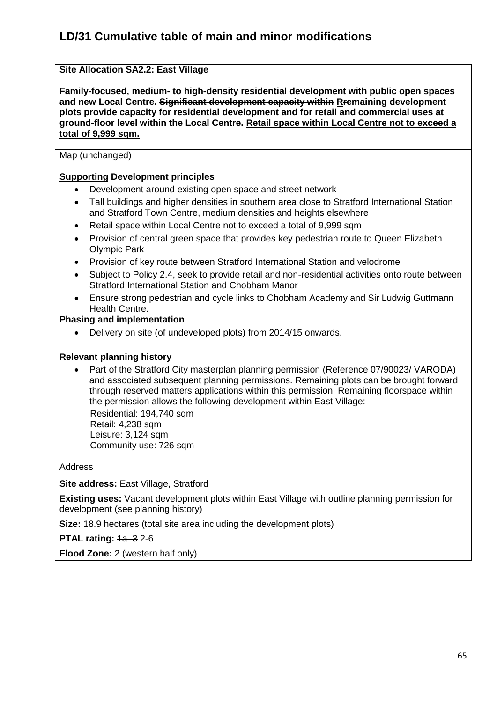## **Site Allocation SA2.2: East Village**

**Family-focused, medium- to high-density residential development with public open spaces and new Local Centre. Significant development capacity within Rremaining development plots provide capacity for residential development and for retail and commercial uses at ground-floor level within the Local Centre. Retail space within Local Centre not to exceed a total of 9,999 sqm.**

Map (unchanged)

### **Supporting Development principles**

- Development around existing open space and street network
- Tall buildings and higher densities in southern area close to Stratford International Station and Stratford Town Centre, medium densities and heights elsewhere
- **-** Retail space within Local Centre not to exceed a total of 9,999 sqm
- Provision of central green space that provides key pedestrian route to Queen Elizabeth Olympic Park
- Provision of key route between Stratford International Station and velodrome
- Subject to Policy 2.4, seek to provide retail and non-residential activities onto route between Stratford International Station and Chobham Manor
- Ensure strong pedestrian and cycle links to Chobham Academy and Sir Ludwig Guttmann Health Centre.

### **Phasing and implementation**

Delivery on site (of undeveloped plots) from 2014/15 onwards.

### **Relevant planning history**

• Part of the Stratford City masterplan planning permission (Reference 07/90023/ VARODA) and associated subsequent planning permissions. Remaining plots can be brought forward through reserved matters applications within this permission. Remaining floorspace within the permission allows the following development within East Village:

 Residential: 194,740 sqm Retail: 4,238 sqm Leisure: 3,124 sqm Community use: 726 sqm

#### Address

### **Site address: East Village, Stratford**

**Existing uses:** Vacant development plots within East Village with outline planning permission for development (see planning history)

**Size:** 18.9 hectares (total site area including the development plots)

**PTAL rating:**  $1a-32-6$ 

**Flood Zone:** 2 (western half only)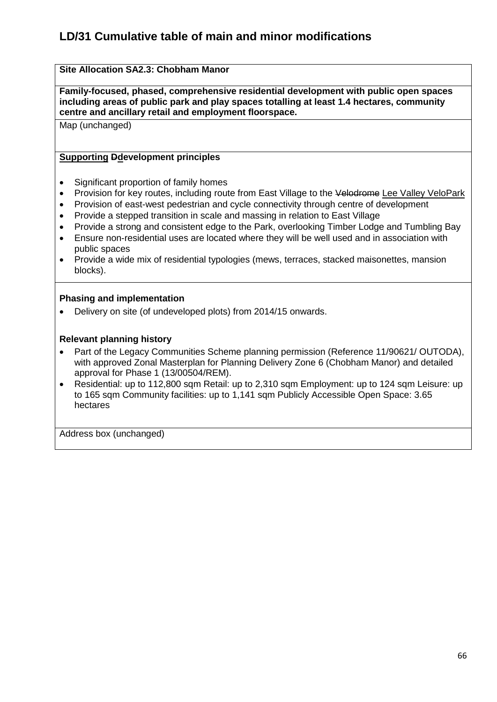## **Site Allocation SA2.3: Chobham Manor**

**Family-focused, phased, comprehensive residential development with public open spaces including areas of public park and play spaces totalling at least 1.4 hectares, community centre and ancillary retail and employment floorspace.**

Map (unchanged)

### **Supporting Ddevelopment principles**

- Significant proportion of family homes
- Provision for key routes, including route from East Village to the Velodrome Lee Valley VeloPark
- Provision of east-west pedestrian and cycle connectivity through centre of development
- Provide a stepped transition in scale and massing in relation to East Village
- Provide a strong and consistent edge to the Park, overlooking Timber Lodge and Tumbling Bay
- Ensure non-residential uses are located where they will be well used and in association with public spaces
- Provide a wide mix of residential typologies (mews, terraces, stacked maisonettes, mansion blocks).

### **Phasing and implementation**

Delivery on site (of undeveloped plots) from 2014/15 onwards.

### **Relevant planning history**

- Part of the Legacy Communities Scheme planning permission (Reference 11/90621/ OUTODA), with approved Zonal Masterplan for Planning Delivery Zone 6 (Chobham Manor) and detailed approval for Phase 1 (13/00504/REM).
- Residential: up to 112,800 sqm Retail: up to 2,310 sqm Employment: up to 124 sqm Leisure: up to 165 sqm Community facilities: up to 1,141 sqm Publicly Accessible Open Space: 3.65 hectares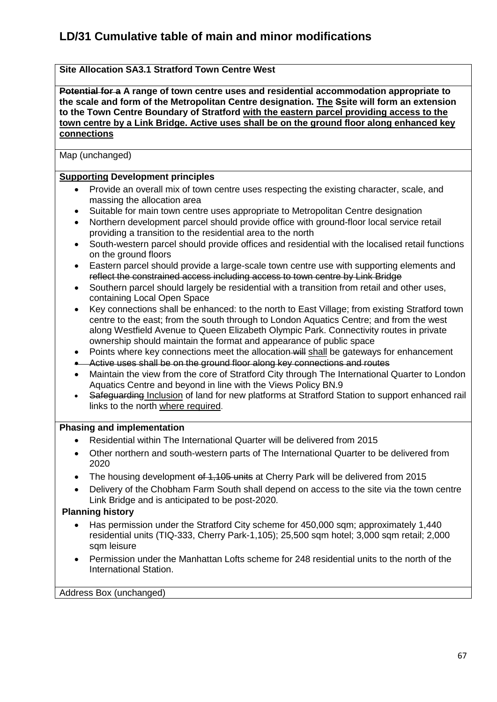## **Site Allocation SA3.1 Stratford Town Centre West**

**Potential for a A range of town centre uses and residential accommodation appropriate to the scale and form of the Metropolitan Centre designation. The Ssite will form an extension to the Town Centre Boundary of Stratford with the eastern parcel providing access to the town centre by a Link Bridge. Active uses shall be on the ground floor along enhanced key connections**

Map (unchanged)

### **Supporting Development principles**

- Provide an overall mix of town centre uses respecting the existing character, scale, and massing the allocation area
- Suitable for main town centre uses appropriate to Metropolitan Centre designation
- Northern development parcel should provide office with ground-floor local service retail providing a transition to the residential area to the north
- South-western parcel should provide offices and residential with the localised retail functions on the ground floors
- Eastern parcel should provide a large-scale town centre use with supporting elements and reflect the constrained access including access to town centre by Link Bridge
- Southern parcel should largely be residential with a transition from retail and other uses, containing Local Open Space
- Key connections shall be enhanced: to the north to East Village; from existing Stratford town centre to the east; from the south through to London Aquatics Centre; and from the west along Westfield Avenue to Queen Elizabeth Olympic Park. Connectivity routes in private ownership should maintain the format and appearance of public space
- Points where key connections meet the allocation will shall be gateways for enhancement
- Active uses shall be on the ground floor along key connections and routes
- Maintain the view from the core of Stratford City through The International Quarter to London Aquatics Centre and beyond in line with the Views Policy BN.9
- Safeguarding Inclusion of land for new platforms at Stratford Station to support enhanced rail links to the north where required.

### **Phasing and implementation**

- Residential within The International Quarter will be delivered from 2015
- Other northern and south-western parts of The International Quarter to be delivered from 2020
- The housing development of 1,105 units at Cherry Park will be delivered from 2015
- Delivery of the Chobham Farm South shall depend on access to the site via the town centre Link Bridge and is anticipated to be post-2020.

### **Planning history**

- Has permission under the Stratford City scheme for 450,000 sqm; approximately 1,440 residential units (TIQ-333, Cherry Park-1,105); 25,500 sqm hotel; 3,000 sqm retail; 2,000 sqm leisure
- Permission under the Manhattan Lofts scheme for 248 residential units to the north of the International Station.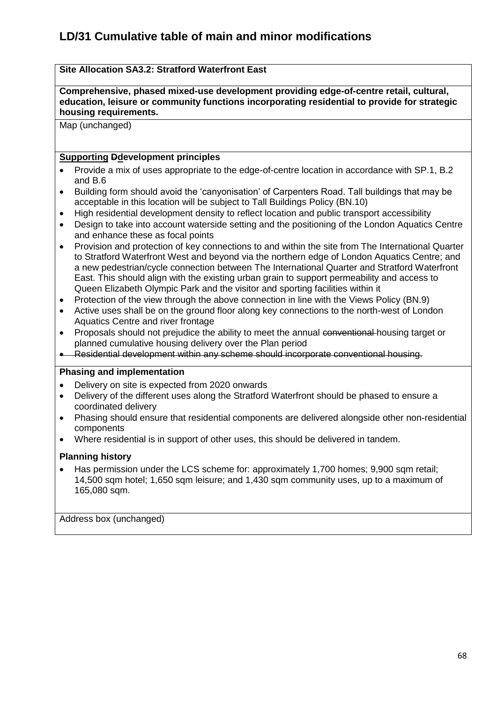## **Site Allocation SA3.2: Stratford Waterfront East**

**Comprehensive, phased mixed-use development providing edge-of-centre retail, cultural, education, leisure or community functions incorporating residential to provide for strategic housing requirements.**

Map (unchanged)

## **Supporting Ddevelopment principles**

- Provide a mix of uses appropriate to the edge-of-centre location in accordance with SP.1, B.2 and B.6
- Building form should avoid the 'canyonisation' of Carpenters Road. Tall buildings that may be acceptable in this location will be subject to Tall Buildings Policy (BN.10)
- High residential development density to reflect location and public transport accessibility
- Design to take into account waterside setting and the positioning of the London Aquatics Centre and enhance these as focal points
- Provision and protection of key connections to and within the site from The International Quarter to Stratford Waterfront West and beyond via the northern edge of London Aquatics Centre; and a new pedestrian/cycle connection between The International Quarter and Stratford Waterfront East. This should align with the existing urban grain to support permeability and access to Queen Elizabeth Olympic Park and the visitor and sporting facilities within it
- Protection of the view through the above connection in line with the Views Policy (BN.9)
- Active uses shall be on the ground floor along key connections to the north-west of London Aquatics Centre and river frontage
- Proposals should not prejudice the ability to meet the annual conventional housing target or planned cumulative housing delivery over the Plan period
- Residential development within any scheme should incorporate conventional housing.

## **Phasing and implementation**

- Delivery on site is expected from 2020 onwards
- Delivery of the different uses along the Stratford Waterfront should be phased to ensure a coordinated delivery
- Phasing should ensure that residential components are delivered alongside other non-residential components
- Where residential is in support of other uses, this should be delivered in tandem.

### **Planning history**

 Has permission under the LCS scheme for: approximately 1,700 homes; 9,900 sqm retail; 14,500 sqm hotel; 1,650 sqm leisure; and 1,430 sqm community uses, up to a maximum of 165,080 sqm.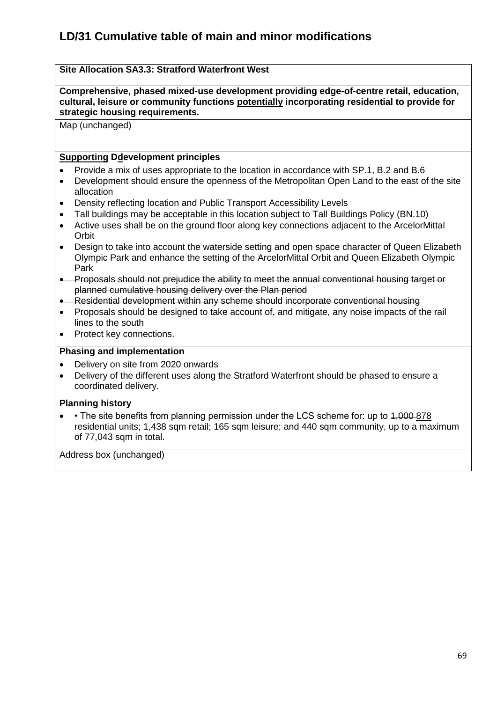## **Site Allocation SA3.3: Stratford Waterfront West**

**Comprehensive, phased mixed-use development providing edge-of-centre retail, education, cultural, leisure or community functions potentially incorporating residential to provide for strategic housing requirements.**

Map (unchanged)

## **Supporting Ddevelopment principles**

- Provide a mix of uses appropriate to the location in accordance with SP.1, B.2 and B.6
- Development should ensure the openness of the Metropolitan Open Land to the east of the site allocation
- Density reflecting location and Public Transport Accessibility Levels
- Tall buildings may be acceptable in this location subject to Tall Buildings Policy (BN.10)
- Active uses shall be on the ground floor along key connections adjacent to the ArcelorMittal **Orbit**
- Design to take into account the waterside setting and open space character of Queen Elizabeth Olympic Park and enhance the setting of the ArcelorMittal Orbit and Queen Elizabeth Olympic Park
- **•** Proposals should not prejudice the ability to meet the annual conventional housing target or planned cumulative housing delivery over the Plan period
- Residential development within any scheme should incorporate conventional housing
- Proposals should be designed to take account of, and mitigate, any noise impacts of the rail lines to the south
- Protect key connections.

### **Phasing and implementation**

- Delivery on site from 2020 onwards
- Delivery of the different uses along the Stratford Waterfront should be phased to ensure a coordinated delivery.

### **Planning history**

• The site benefits from planning permission under the LCS scheme for: up to 4,000 878 residential units; 1,438 sqm retail; 165 sqm leisure; and 440 sqm community, up to a maximum of 77,043 sqm in total.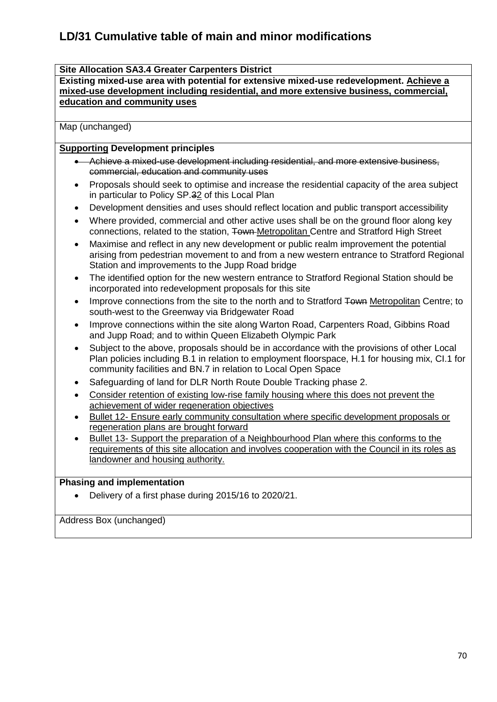### **Site Allocation SA3.4 Greater Carpenters District**

**Existing mixed-use area with potential for extensive mixed-use redevelopment. Achieve a mixed-use development including residential, and more extensive business, commercial, education and community uses**

Map (unchanged)

### **Supporting Development principles**

- Achieve a mixed-use development including residential, and more extensive business, commercial, education and community uses
- Proposals should seek to optimise and increase the residential capacity of the area subject in particular to Policy SP.32 of this Local Plan
- Development densities and uses should reflect location and public transport accessibility
- Where provided, commercial and other active uses shall be on the ground floor along key connections, related to the station, Town-Metropolitan Centre and Stratford High Street
- Maximise and reflect in any new development or public realm improvement the potential arising from pedestrian movement to and from a new western entrance to Stratford Regional Station and improvements to the Jupp Road bridge
- The identified option for the new western entrance to Stratford Regional Station should be incorporated into redevelopment proposals for this site
- Improve connections from the site to the north and to Stratford Town Metropolitan Centre; to south-west to the Greenway via Bridgewater Road
- Improve connections within the site along Warton Road, Carpenters Road, Gibbins Road and Jupp Road; and to within Queen Elizabeth Olympic Park
- Subject to the above, proposals should be in accordance with the provisions of other Local Plan policies including B.1 in relation to employment floorspace, H.1 for housing mix, CI.1 for community facilities and BN.7 in relation to Local Open Space
- Safeguarding of land for DLR North Route Double Tracking phase 2.
- Consider retention of existing low-rise family housing where this does not prevent the achievement of wider regeneration objectives
- Bullet 12- Ensure early community consultation where specific development proposals or regeneration plans are brought forward
- Bullet 13- Support the preparation of a Neighbourhood Plan where this conforms to the requirements of this site allocation and involves cooperation with the Council in its roles as landowner and housing authority.

### **Phasing and implementation**

Delivery of a first phase during 2015/16 to 2020/21.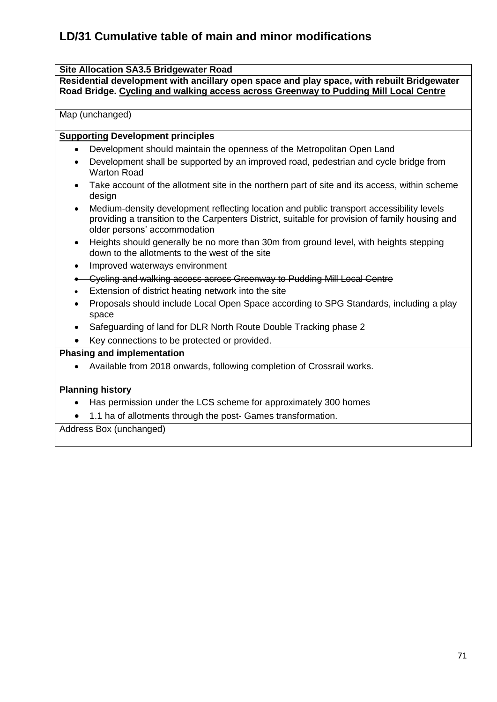## **Site Allocation SA3.5 Bridgewater Road**

**Residential development with ancillary open space and play space, with rebuilt Bridgewater Road Bridge. Cycling and walking access across Greenway to Pudding Mill Local Centre**

Map (unchanged)

### **Supporting Development principles**

- Development should maintain the openness of the Metropolitan Open Land
- Development shall be supported by an improved road, pedestrian and cycle bridge from Warton Road
- Take account of the allotment site in the northern part of site and its access, within scheme design
- Medium-density development reflecting location and public transport accessibility levels providing a transition to the Carpenters District, suitable for provision of family housing and older persons' accommodation
- Heights should generally be no more than 30m from ground level, with heights stepping down to the allotments to the west of the site
- Improved waterways environment
- Cycling and walking access across Greenway to Pudding Mill Local Centre
- Extension of district heating network into the site
- Proposals should include Local Open Space according to SPG Standards, including a play space
- Safeguarding of land for DLR North Route Double Tracking phase 2
- Key connections to be protected or provided.

## **Phasing and implementation**

Available from 2018 onwards, following completion of Crossrail works.

### **Planning history**

- Has permission under the LCS scheme for approximately 300 homes
- 1.1 ha of allotments through the post- Games transformation.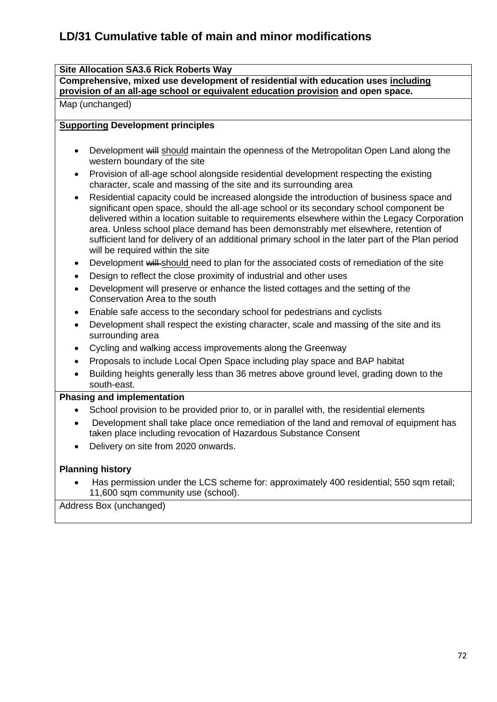## **Site Allocation SA3.6 Rick Roberts Way**

**Comprehensive, mixed use development of residential with education uses including provision of an all-age school or equivalent education provision and open space.**

Map (unchanged)

## **Supporting Development principles**

- Development will should maintain the openness of the Metropolitan Open Land along the western boundary of the site
- Provision of all-age school alongside residential development respecting the existing character, scale and massing of the site and its surrounding area
- Residential capacity could be increased alongside the introduction of business space and significant open space, should the all-age school or its secondary school component be delivered within a location suitable to requirements elsewhere within the Legacy Corporation area. Unless school place demand has been demonstrably met elsewhere, retention of sufficient land for delivery of an additional primary school in the later part of the Plan period will be required within the site
- Development will should need to plan for the associated costs of remediation of the site
- Design to reflect the close proximity of industrial and other uses
- Development will preserve or enhance the listed cottages and the setting of the Conservation Area to the south
- Enable safe access to the secondary school for pedestrians and cyclists
- Development shall respect the existing character, scale and massing of the site and its surrounding area
- Cycling and walking access improvements along the Greenway
- Proposals to include Local Open Space including play space and BAP habitat
- Building heights generally less than 36 metres above ground level, grading down to the south-east.

## **Phasing and implementation**

- School provision to be provided prior to, or in parallel with, the residential elements
- Development shall take place once remediation of the land and removal of equipment has taken place including revocation of Hazardous Substance Consent
- Delivery on site from 2020 onwards.

## **Planning history**

 Has permission under the LCS scheme for: approximately 400 residential; 550 sqm retail; 11,600 sqm community use (school).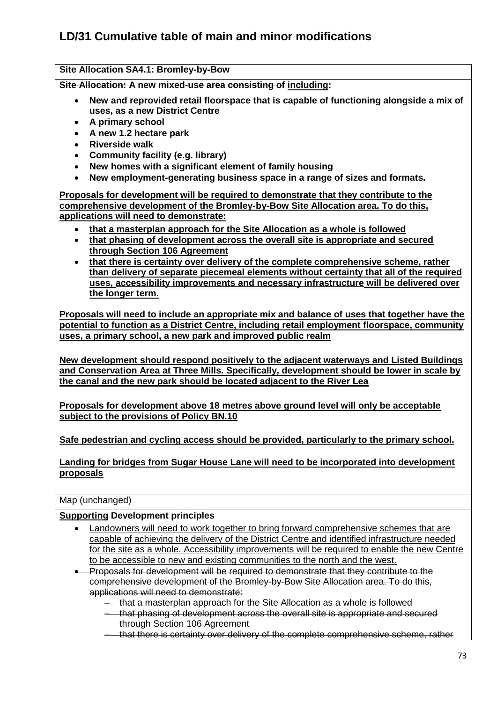**Site Allocation SA4.1: Bromley-by-Bow** 

**Site Allocation: A new mixed-use area consisting of including:**

- **New and reprovided retail floorspace that is capable of functioning alongside a mix of uses, as a new District Centre**
- **A primary school**
- **A new 1.2 hectare park**
- **Riverside walk**
- **Community facility (e.g. library)**
- **New homes with a significant element of family housing**
- **New employment-generating business space in a range of sizes and formats.**

**Proposals for development will be required to demonstrate that they contribute to the comprehensive development of the Bromley-by-Bow Site Allocation area. To do this, applications will need to demonstrate:** 

- **that a masterplan approach for the Site Allocation as a whole is followed**
- **that phasing of development across the overall site is appropriate and secured through Section 106 Agreement**
- **that there is certainty over delivery of the complete comprehensive scheme, rather than delivery of separate piecemeal elements without certainty that all of the required uses, accessibility improvements and necessary infrastructure will be delivered over the longer term.**

**Proposals will need to include an appropriate mix and balance of uses that together have the potential to function as a District Centre, including retail employment floorspace, community uses, a primary school, a new park and improved public realm** 

**New development should respond positively to the adjacent waterways and Listed Buildings and Conservation Area at Three Mills. Specifically, development should be lower in scale by the canal and the new park should be located adjacent to the River Lea** 

**Proposals for development above 18 metres above ground level will only be acceptable subject to the provisions of Policy BN.10**

**Safe pedestrian and cycling access should be provided, particularly to the primary school.**

**Landing for bridges from Sugar House Lane will need to be incorporated into development proposals** 

Map (unchanged)

#### **Supporting Development principles**

- Landowners will need to work together to bring forward comprehensive schemes that are capable of achieving the delivery of the District Centre and identified infrastructure needed for the site as a whole. Accessibility improvements will be required to enable the new Centre to be accessible to new and existing communities to the north and the west.
- Proposals for development will be required to demonstrate that they contribute to the comprehensive development of the Bromley-by-Bow Site Allocation area. To do this, applications will need to demonstrate:
	- that a masterplan approach for the Site Allocation as a whole is followed
	- that phasing of development across the overall site is appropriate and secured through Section 106 Agreement
	- that there is certainty over delivery of the complete comprehensive scheme, rather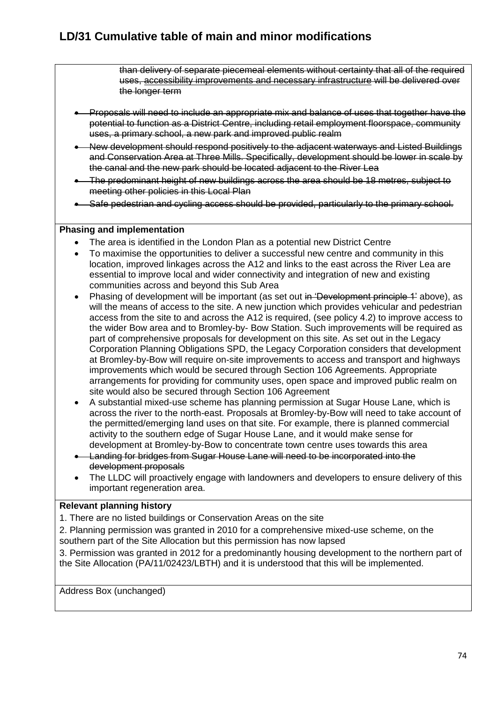than delivery of separate piecemeal elements without certainty that all of the required uses, accessibility improvements and necessary infrastructure will be delivered over the longer term

- Proposals will need to include an appropriate mix and balance of uses that together have the potential to function as a District Centre, including retail employment floorspace, community uses, a primary school, a new park and improved public realm
- New development should respond positively to the adjacent waterways and Listed Buildings and Conservation Area at Three Mills. Specifically, development should be lower in scale by the canal and the new park should be located adjacent to the River Lea
- The predominant height of new buildings across the area should be 18 metres, subject to meeting other policies in this Local Plan
- Safe pedestrian and cycling access should be provided, particularly to the primary school.

#### **Phasing and implementation**

- The area is identified in the London Plan as a potential new District Centre
- To maximise the opportunities to deliver a successful new centre and community in this location, improved linkages across the A12 and links to the east across the River Lea are essential to improve local and wider connectivity and integration of new and existing communities across and beyond this Sub Area
- Phasing of development will be important (as set out in 'Development principle 1' above), as will the means of access to the site. A new junction which provides vehicular and pedestrian access from the site to and across the A12 is required, (see policy 4.2) to improve access to the wider Bow area and to Bromley-by- Bow Station. Such improvements will be required as part of comprehensive proposals for development on this site. As set out in the Legacy Corporation Planning Obligations SPD, the Legacy Corporation considers that development at Bromley-by-Bow will require on-site improvements to access and transport and highways improvements which would be secured through Section 106 Agreements. Appropriate arrangements for providing for community uses, open space and improved public realm on site would also be secured through Section 106 Agreement
- A substantial mixed-use scheme has planning permission at Sugar House Lane, which is across the river to the north-east. Proposals at Bromley-by-Bow will need to take account of the permitted/emerging land uses on that site. For example, there is planned commercial activity to the southern edge of Sugar House Lane, and it would make sense for development at Bromley-by-Bow to concentrate town centre uses towards this area
- Landing for bridges from Sugar House Lane will need to be incorporated into the development proposals
- The LLDC will proactively engage with landowners and developers to ensure delivery of this important regeneration area.

#### **Relevant planning history**

1. There are no listed buildings or Conservation Areas on the site

2. Planning permission was granted in 2010 for a comprehensive mixed-use scheme, on the southern part of the Site Allocation but this permission has now lapsed

3. Permission was granted in 2012 for a predominantly housing development to the northern part of the Site Allocation (PA/11/02423/LBTH) and it is understood that this will be implemented.

Address Box (unchanged)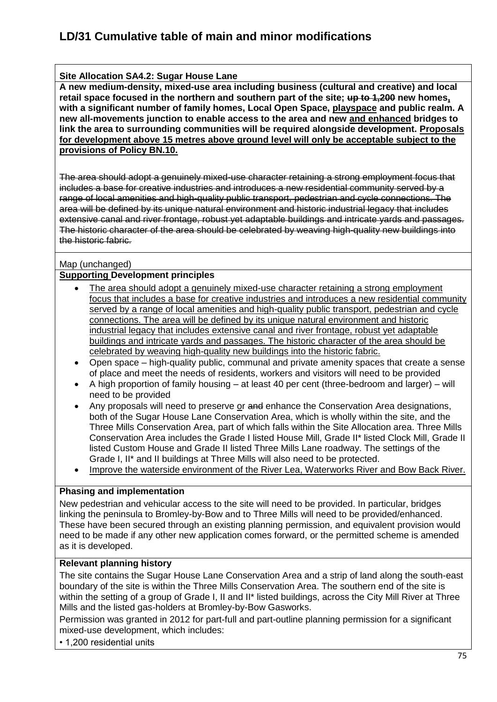### **Site Allocation SA4.2: Sugar House Lane**

**A new medium-density, mixed-use area including business (cultural and creative) and local retail space focused in the northern and southern part of the site; up to 1,200 new homes, with a significant number of family homes, Local Open Space, playspace and public realm. A new all-movements junction to enable access to the area and new and enhanced bridges to link the area to surrounding communities will be required alongside development. Proposals for development above 15 metres above ground level will only be acceptable subject to the provisions of Policy BN.10.**

The area should adopt a genuinely mixed-use character retaining a strong employment focus that includes a base for creative industries and introduces a new residential community served by a range of local amenities and high-quality public transport, pedestrian and cycle connections. The area will be defined by its unique natural environment and historic industrial legacy that includes extensive canal and river frontage, robust yet adaptable buildings and intricate yards and passages. The historic character of the area should be celebrated by weaving high-quality new buildings into the historic fabric.

#### Map (unchanged)

#### **Supporting Development principles**

- The area should adopt a genuinely mixed-use character retaining a strong employment focus that includes a base for creative industries and introduces a new residential community served by a range of local amenities and high-quality public transport, pedestrian and cycle connections. The area will be defined by its unique natural environment and historic industrial legacy that includes extensive canal and river frontage, robust yet adaptable buildings and intricate yards and passages. The historic character of the area should be celebrated by weaving high-quality new buildings into the historic fabric.
- Open space high-quality public, communal and private amenity spaces that create a sense of place and meet the needs of residents, workers and visitors will need to be provided
- A high proportion of family housing at least 40 per cent (three-bedroom and larger) will need to be provided
- Any proposals will need to preserve or and enhance the Conservation Area designations, both of the Sugar House Lane Conservation Area, which is wholly within the site, and the Three Mills Conservation Area, part of which falls within the Site Allocation area. Three Mills Conservation Area includes the Grade I listed House Mill, Grade II\* listed Clock Mill, Grade II listed Custom House and Grade II listed Three Mills Lane roadway. The settings of the Grade I, II\* and II buildings at Three Mills will also need to be protected.
- Improve the waterside environment of the River Lea, Waterworks River and Bow Back River.

#### **Phasing and implementation**

New pedestrian and vehicular access to the site will need to be provided. In particular, bridges linking the peninsula to Bromley-by-Bow and to Three Mills will need to be provided/enhanced. These have been secured through an existing planning permission, and equivalent provision would need to be made if any other new application comes forward, or the permitted scheme is amended as it is developed.

#### **Relevant planning history**

The site contains the Sugar House Lane Conservation Area and a strip of land along the south-east boundary of the site is within the Three Mills Conservation Area. The southern end of the site is within the setting of a group of Grade I, II and II\* listed buildings, across the City Mill River at Three Mills and the listed gas-holders at Bromley-by-Bow Gasworks.

Permission was granted in 2012 for part-full and part-outline planning permission for a significant mixed-use development, which includes:

• 1,200 residential units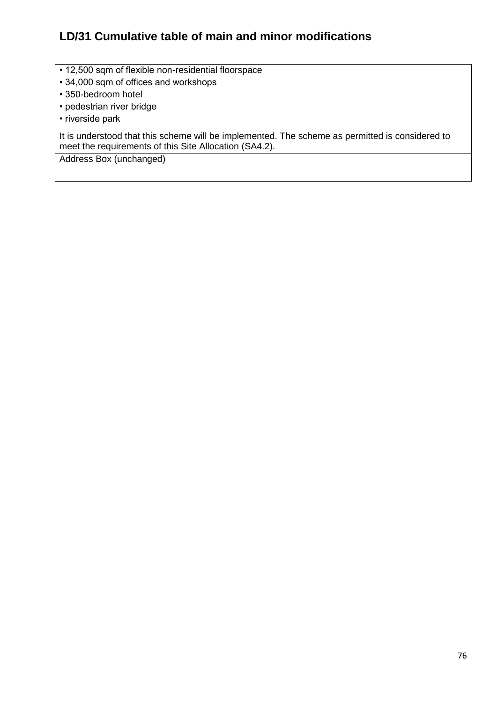- 12,500 sqm of flexible non-residential floorspace
- 34,000 sqm of offices and workshops
- 350-bedroom hotel
- pedestrian river bridge
- riverside park

It is understood that this scheme will be implemented. The scheme as permitted is considered to meet the requirements of this Site Allocation (SA4.2).

Address Box (unchanged)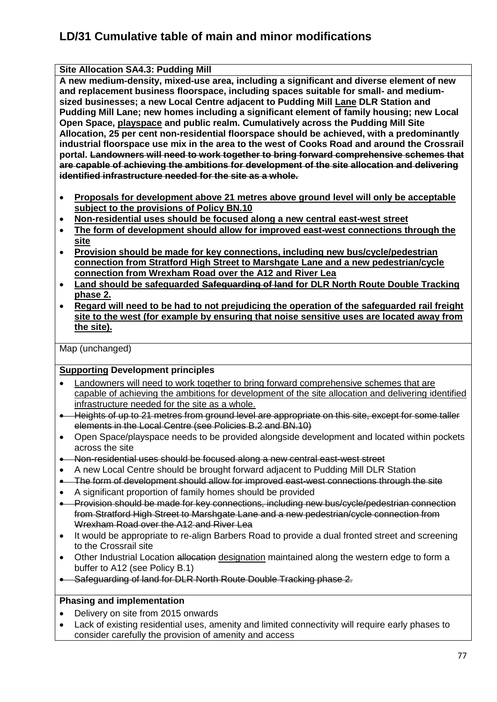**Site Allocation SA4.3: Pudding Mill A new medium-density, mixed-use area, including a significant and diverse element of new and replacement business floorspace, including spaces suitable for small- and mediumsized businesses; a new Local Centre adjacent to Pudding Mill Lane DLR Station and Pudding Mill Lane; new homes including a significant element of family housing; new Local Open Space, playspace and public realm. Cumulatively across the Pudding Mill Site Allocation, 25 per cent non-residential floorspace should be achieved, with a predominantly industrial floorspace use mix in the area to the west of Cooks Road and around the Crossrail portal. Landowners will need to work together to bring forward comprehensive schemes that are capable of achieving the ambitions for development of the site allocation and delivering identified infrastructure needed for the site as a whole.**

- **Proposals for development above 21 metres above ground level will only be acceptable subject to the provisions of Policy BN.10**
- **Non-residential uses should be focused along a new central east-west street**
- **The form of development should allow for improved east-west connections through the site**
- **Provision should be made for key connections, including new bus/cycle/pedestrian connection from Stratford High Street to Marshgate Lane and a new pedestrian/cycle connection from Wrexham Road over the A12 and River Lea**
- **Land should be safeguarded Safeguarding of land for DLR North Route Double Tracking phase 2.**
- **Regard will need to be had to not prejudicing the operation of the safeguarded rail freight site to the west (for example by ensuring that noise sensitive uses are located away from the site).**

Map (unchanged)

#### **Supporting Development principles**

- Landowners will need to work together to bring forward comprehensive schemes that are capable of achieving the ambitions for development of the site allocation and delivering identified infrastructure needed for the site as a whole.
- Heights of up to 21 metres from ground level are appropriate on this site, except for some taller elements in the Local Centre (see Policies B.2 and BN.10)
- Open Space/playspace needs to be provided alongside development and located within pockets across the site
- Non-residential uses should be focused along a new central east-west street
- A new Local Centre should be brought forward adjacent to Pudding Mill DLR Station
- The form of development should allow for improved east-west connections through the site
- A significant proportion of family homes should be provided
- Provision should be made for key connections, including new bus/cycle/pedestrian connection from Stratford High Street to Marshgate Lane and a new pedestrian/cycle connection from Wrexham Road over the A12 and River Lea
- It would be appropriate to re-align Barbers Road to provide a dual fronted street and screening to the Crossrail site
- Other Industrial Location allocation designation maintained along the western edge to form a buffer to A12 (see Policy B.1)
- Safeguarding of land for DLR North Route Double Tracking phase 2.

#### **Phasing and implementation**

- Delivery on site from 2015 onwards
- Lack of existing residential uses, amenity and limited connectivity will require early phases to consider carefully the provision of amenity and access